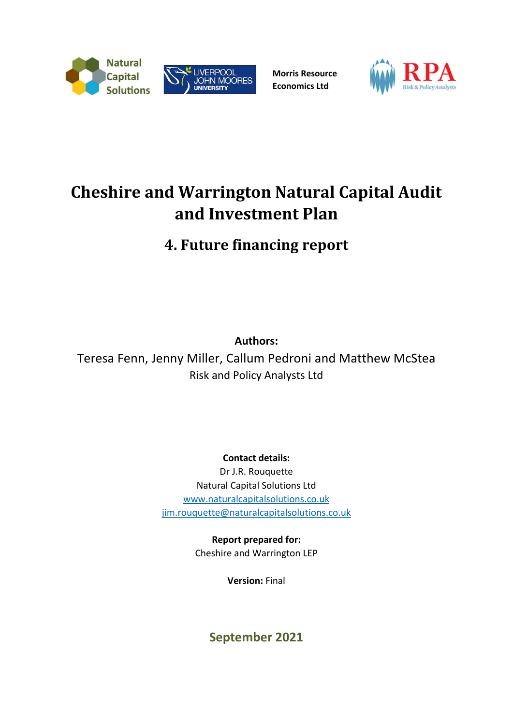



**Morris Resource Economics Ltd**



# **Cheshire and Warrington Natural Capital Audit and Investment Plan**

**4. Future financing report**

**Authors:**

Teresa Fenn, Jenny Miller, Callum Pedroni and Matthew McStea Risk and Policy Analysts Ltd

**Contact details:**

Dr J.R. Rouquette Natural Capital Solutions Ltd [www.naturalcapitalsolutions.co.uk](http://www.naturalcapitalsolutions.co.uk/) [jim.rouquette@naturalcapitalsolutions.co.uk](mailto:jim.rouquette@naturalcapitalsolutions.co.uk)

> **Report prepared for:** Cheshire and Warrington LEP

> > **Version:** Final

**September 2021**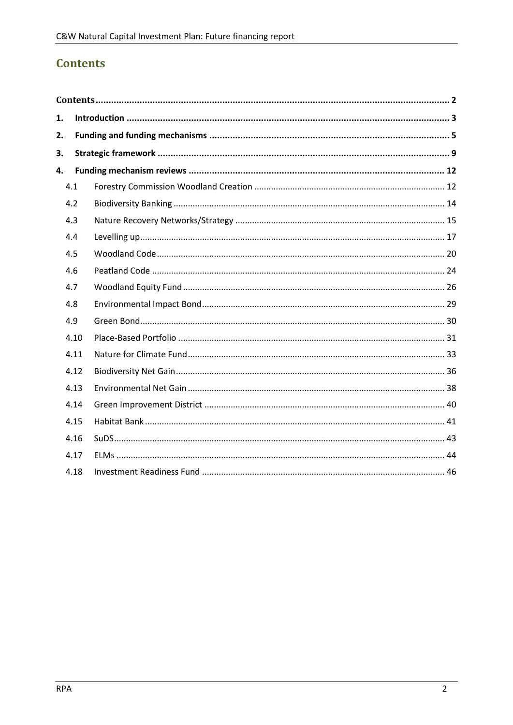# <span id="page-1-0"></span>**Contents**

| 1. |      |  |  |  |  |  |  |  |  |
|----|------|--|--|--|--|--|--|--|--|
| 2. |      |  |  |  |  |  |  |  |  |
| 3. |      |  |  |  |  |  |  |  |  |
| 4. |      |  |  |  |  |  |  |  |  |
|    | 4.1  |  |  |  |  |  |  |  |  |
|    | 4.2  |  |  |  |  |  |  |  |  |
|    | 4.3  |  |  |  |  |  |  |  |  |
|    | 4.4  |  |  |  |  |  |  |  |  |
|    | 4.5  |  |  |  |  |  |  |  |  |
|    | 4.6  |  |  |  |  |  |  |  |  |
|    | 4.7  |  |  |  |  |  |  |  |  |
|    | 4.8  |  |  |  |  |  |  |  |  |
|    | 4.9  |  |  |  |  |  |  |  |  |
|    | 4.10 |  |  |  |  |  |  |  |  |
|    | 4.11 |  |  |  |  |  |  |  |  |
|    | 4.12 |  |  |  |  |  |  |  |  |
|    | 4.13 |  |  |  |  |  |  |  |  |
|    | 4.14 |  |  |  |  |  |  |  |  |
|    | 4.15 |  |  |  |  |  |  |  |  |
|    | 4.16 |  |  |  |  |  |  |  |  |
|    | 4.17 |  |  |  |  |  |  |  |  |
|    | 4.18 |  |  |  |  |  |  |  |  |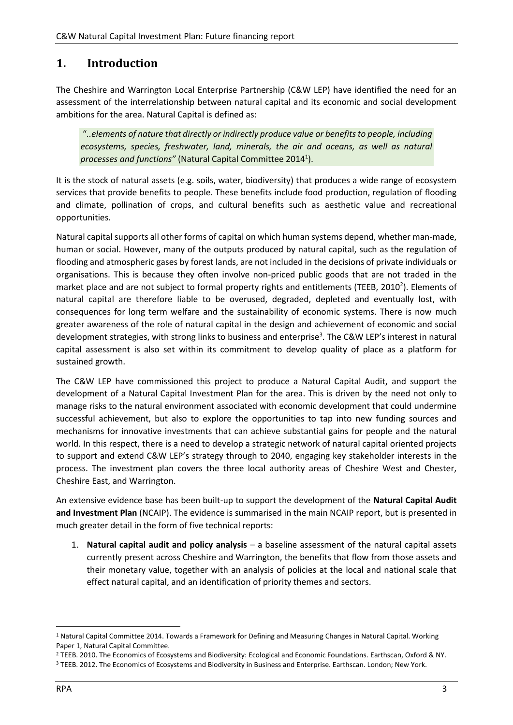# <span id="page-2-0"></span>**1. Introduction**

The Cheshire and Warrington Local Enterprise Partnership (C&W LEP) have identified the need for an assessment of the interrelationship between natural capital and its economic and social development ambitions for the area. Natural Capital is defined as:

"*..elements of nature that directly or indirectly produce value or benefits to people, including ecosystems, species, freshwater, land, minerals, the air and oceans, as well as natural processes and functions"* (Natural Capital Committee 2014<sup>1</sup> ).

It is the stock of natural assets (e.g. soils, water, biodiversity) that produces a wide range of ecosystem services that provide benefits to people. These benefits include food production, regulation of flooding and climate, pollination of crops, and cultural benefits such as aesthetic value and recreational opportunities.

Natural capital supports all other forms of capital on which human systems depend, whether man-made, human or social. However, many of the outputs produced by natural capital, such as the regulation of flooding and atmospheric gases by forest lands, are not included in the decisions of private individuals or organisations. This is because they often involve non-priced public goods that are not traded in the market place and are not subject to formal property rights and entitlements (TEEB, 2010<sup>2</sup>). Elements of natural capital are therefore liable to be overused, degraded, depleted and eventually lost, with consequences for long term welfare and the sustainability of economic systems. There is now much greater awareness of the role of natural capital in the design and achievement of economic and social development strategies, with strong links to business and enterprise<sup>3</sup>. The C&W LEP's interest in natural capital assessment is also set within its commitment to develop quality of place as a platform for sustained growth.

The C&W LEP have commissioned this project to produce a Natural Capital Audit, and support the development of a Natural Capital Investment Plan for the area. This is driven by the need not only to manage risks to the natural environment associated with economic development that could undermine successful achievement, but also to explore the opportunities to tap into new funding sources and mechanisms for innovative investments that can achieve substantial gains for people and the natural world. In this respect, there is a need to develop a strategic network of natural capital oriented projects to support and extend C&W LEP's strategy through to 2040, engaging key stakeholder interests in the process. The investment plan covers the three local authority areas of Cheshire West and Chester, Cheshire East, and Warrington.

An extensive evidence base has been built-up to support the development of the **Natural Capital Audit and Investment Plan** (NCAIP). The evidence is summarised in the main NCAIP report, but is presented in much greater detail in the form of five technical reports:

1. **Natural capital audit and policy analysis** – a baseline assessment of the natural capital assets currently present across Cheshire and Warrington, the benefits that flow from those assets and their monetary value, together with an analysis of policies at the local and national scale that effect natural capital, and an identification of priority themes and sectors.

<sup>&</sup>lt;sup>1</sup> Natural Capital Committee 2014. Towards a Framework for Defining and Measuring Changes in Natural Capital. Working Paper 1, Natural Capital Committee.

<sup>&</sup>lt;sup>2</sup> TEEB. 2010. The Economics of Ecosystems and Biodiversity: Ecological and Economic Foundations. Earthscan, Oxford & NY.

<sup>&</sup>lt;sup>3</sup> TEEB. 2012. The Economics of Ecosystems and Biodiversity in Business and Enterprise. Earthscan. London; New York.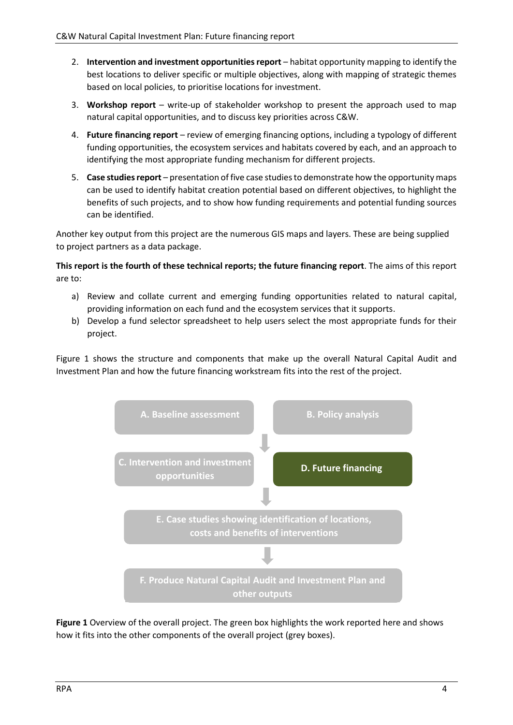- 2. **Intervention and investment opportunities report** habitat opportunity mapping to identify the best locations to deliver specific or multiple objectives, along with mapping of strategic themes based on local policies, to prioritise locations for investment.
- 3. **Workshop report** write-up of stakeholder workshop to present the approach used to map natural capital opportunities, and to discuss key priorities across C&W.
- 4. **Future financing report** review of emerging financing options, including a typology of different funding opportunities, the ecosystem services and habitats covered by each, and an approach to identifying the most appropriate funding mechanism for different projects.
- 5. **Case studies report**  presentation of five case studies to demonstrate how the opportunity maps can be used to identify habitat creation potential based on different objectives, to highlight the benefits of such projects, and to show how funding requirements and potential funding sources can be identified.

Another key output from this project are the numerous GIS maps and layers. These are being supplied to project partners as a data package.

**This report is the fourth of these technical reports; the future financing report**. The aims of this report are to:

- a) Review and collate current and emerging funding opportunities related to natural capital, providing information on each fund and the ecosystem services that it supports.
- b) Develop a fund selector spreadsheet to help users select the most appropriate funds for their project.

Figure 1 shows the structure and components that make up the overall Natural Capital Audit and Investment Plan and how the future financing workstream fits into the rest of the project.



**Figure 1** Overview of the overall project. The green box highlights the work reported here and shows how it fits into the other components of the overall project (grey boxes).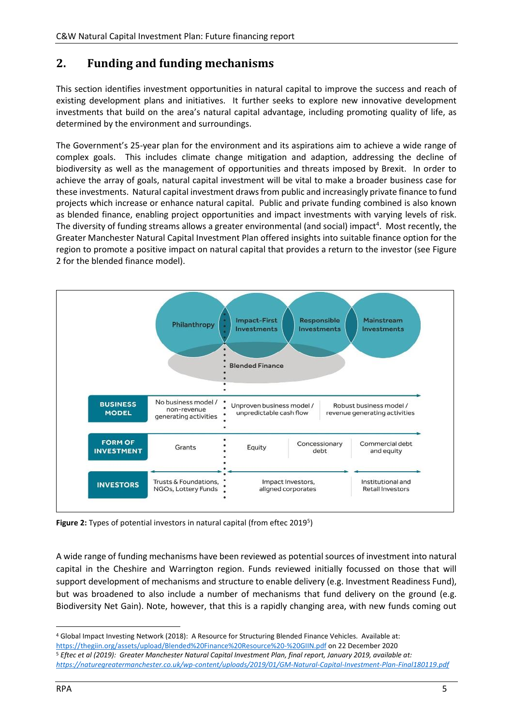# <span id="page-4-0"></span>**2. Funding and funding mechanisms**

This section identifies investment opportunities in natural capital to improve the success and reach of existing development plans and initiatives. It further seeks to explore new innovative development investments that build on the area's natural capital advantage, including promoting quality of life, as determined by the environment and surroundings.

The Government's 25-year plan for the environment and its aspirations aim to achieve a wide range of complex goals. This includes climate change mitigation and adaption, addressing the decline of biodiversity as well as the management of opportunities and threats imposed by Brexit. In order to achieve the array of goals, natural capital investment will be vital to make a broader business case for these investments. Natural capital investment draws from public and increasingly private finance to fund projects which increase or enhance natural capital. Public and private funding combined is also known as blended finance, enabling project opportunities and impact investments with varying levels of risk. The diversity of funding streams allows a greater environmental (and social) impact<sup>4</sup>. Most recently, the Greater Manchester Natural Capital Investment Plan offered insights into suitable finance option for the region to promote a positive impact on natural capital that provides a return to the investor (see Figure 2 for the blended finance model).



Figure 2: Types of potential investors in natural capital (from eftec 2019<sup>5</sup>)

A wide range of funding mechanisms have been reviewed as potential sources of investment into natural capital in the Cheshire and Warrington region. Funds reviewed initially focussed on those that will support development of mechanisms and structure to enable delivery (e.g. Investment Readiness Fund), but was broadened to also include a number of mechanisms that fund delivery on the ground (e.g. Biodiversity Net Gain). Note, however, that this is a rapidly changing area, with new funds coming out

<https://thegiin.org/assets/upload/Blended%20Finance%20Resource%20-%20GIIN.pdf> on 22 December 2020

<sup>4</sup> Global Impact Investing Network (2018): A Resource for Structuring Blended Finance Vehicles. Available at:

<sup>5</sup> *Eftec et al (2019): Greater Manchester Natural Capital Investment Plan, final report, January 2019, available at: <https://naturegreatermanchester.co.uk/wp-content/uploads/2019/01/GM-Natural-Capital-Investment-Plan-Final180119.pdf>*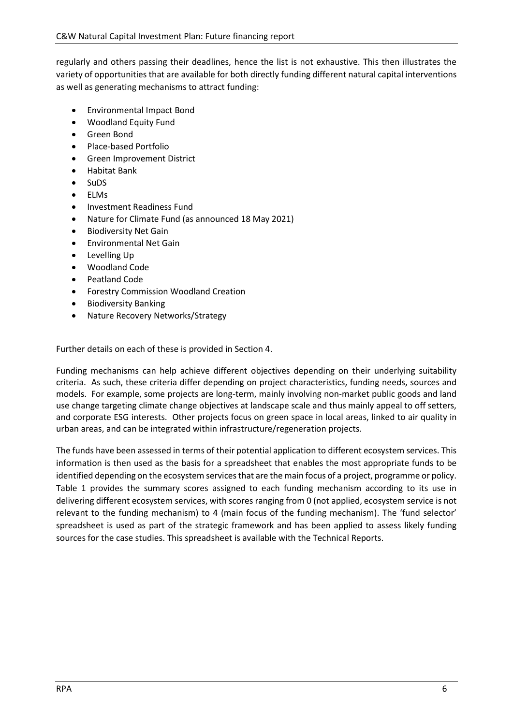regularly and others passing their deadlines, hence the list is not exhaustive. This then illustrates the variety of opportunities that are available for both directly funding different natural capital interventions as well as generating mechanisms to attract funding:

- Environmental Impact Bond
- Woodland Equity Fund
- Green Bond
- Place-based Portfolio
- Green Improvement District
- Habitat Bank
- SuDS
- ELMs
- Investment Readiness Fund
- Nature for Climate Fund (as announced 18 May 2021)
- Biodiversity Net Gain
- Environmental Net Gain
- Levelling Up
- Woodland Code
- Peatland Code
- Forestry Commission Woodland Creation
- Biodiversity Banking
- Nature Recovery Networks/Strategy

Further details on each of these is provided in Section 4.

Funding mechanisms can help achieve different objectives depending on their underlying suitability criteria. As such, these criteria differ depending on project characteristics, funding needs, sources and models. For example, some projects are long-term, mainly involving non-market public goods and land use change targeting climate change objectives at landscape scale and thus mainly appeal to off setters, and corporate ESG interests. Other projects focus on green space in local areas, linked to air quality in urban areas, and can be integrated within infrastructure/regeneration projects.

The funds have been assessed in terms of their potential application to different ecosystem services. This information is then used as the basis for a spreadsheet that enables the most appropriate funds to be identified depending on the ecosystem services that are the main focus of a project, programme or policy. Table 1 provides the summary scores assigned to each funding mechanism according to its use in delivering different ecosystem services, with scores ranging from 0 (not applied, ecosystem service is not relevant to the funding mechanism) to 4 (main focus of the funding mechanism). The 'fund selector' spreadsheet is used as part of the strategic framework and has been applied to assess likely funding sources for the case studies. This spreadsheet is available with the Technical Reports.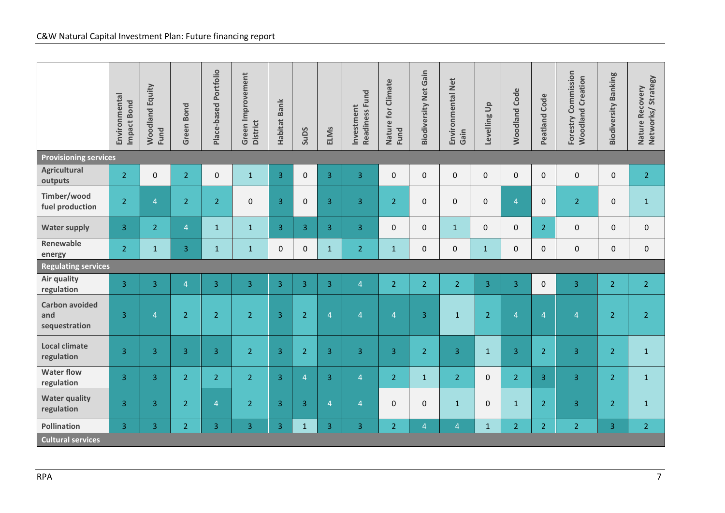|                                               | Environmental<br>Impact Bond | <b>Woodland Equity</b><br>Fund | Green Bond     | Place-based Portfolio | Green Improvement<br><b>District</b> | Habitat Bank   | SuDS                | <b>ELMs</b>    | <b>Readiness Fund</b><br>Investment | Nature for Climate<br>Fund | <b>Biodiversity Net Gain</b> | Environmental Net<br>Gain | $\frac{1}{2}$<br>Levelling I | <b>Woodland Code</b> | <b>Peatland Code</b> | Forestry Commission<br><b>Woodland Creation</b> | <b>Biodiversity Banking</b> | Nature Recovery<br>Networks/ Strategy |
|-----------------------------------------------|------------------------------|--------------------------------|----------------|-----------------------|--------------------------------------|----------------|---------------------|----------------|-------------------------------------|----------------------------|------------------------------|---------------------------|------------------------------|----------------------|----------------------|-------------------------------------------------|-----------------------------|---------------------------------------|
| <b>Provisioning services</b>                  |                              |                                |                |                       |                                      |                |                     |                |                                     |                            |                              |                           |                              |                      |                      |                                                 |                             |                                       |
| <b>Agricultural</b><br>outputs                | 2 <sup>1</sup>               | 0                              | $\overline{2}$ | $\pmb{0}$             | $\mathbf 1$                          | 3              | $\mathsf{O}\xspace$ | 3              | 3                                   | $\pmb{0}$                  | $\mathsf{O}\xspace$          | $\pmb{0}$                 | $\pmb{0}$                    | 0                    | 0                    | $\pmb{0}$                                       | $\mathsf{O}\xspace$         | $\overline{2}$                        |
| Timber/wood<br>fuel production                | $\overline{2}$               | $\overline{4}$                 | $\overline{2}$ | $\overline{2}$        | $\pmb{0}$                            | 3              | $\mathsf{O}\xspace$ | 3              | 3                                   | $\overline{2}$             | $\pmb{0}$                    | $\mathbf{0}$              | $\pmb{0}$                    | $\overline{4}$       | $\pmb{0}$            | $\overline{2}$                                  | $\pmb{0}$                   | $\mathbf{1}$                          |
| <b>Water supply</b>                           | $\overline{3}$               | 2 <sup>1</sup>                 | $\overline{4}$ | $\mathbf{1}$          | $\mathbf{1}$                         | 3 <sup>1</sup> | $\overline{3}$      | $\overline{3}$ | $\overline{3}$                      | $\mathbf 0$                | $\pmb{0}$                    | $\mathbf{1}$              | $\mathbf 0$                  | 0                    | $\overline{2}$       | $\pmb{0}$                                       | $\mathbf 0$                 | $\mathbf{0}$                          |
| Renewable<br>energy                           | 2 <sup>1</sup>               | $1\,$                          | 3              | $\mathbf 1$           | $\mathbf 1$                          | $\mathbf 0$    | $\mathsf{O}\xspace$ | $\mathbf 1$    | $\overline{2}$                      | $\mathbf 1$                | $\mathsf{O}\xspace$          | 0                         | $\mathbf{1}$                 | 0                    | $\pmb{0}$            | $\mathsf{O}\xspace$                             | $\mathbf 0$                 | $\mathsf{O}\xspace$                   |
| <b>Regulating services</b>                    |                              |                                |                |                       |                                      |                |                     |                |                                     |                            |                              |                           |                              |                      |                      |                                                 |                             |                                       |
| <b>Air quality</b><br>regulation              | $\overline{3}$               | $\overline{3}$                 | $\overline{4}$ | 3                     | 3                                    | $\overline{3}$ | $\overline{3}$      | $\overline{3}$ | $\overline{4}$                      | $\overline{2}$             | $\overline{2}$               | $\overline{2}$            | $\overline{3}$               | $\overline{3}$       | $\mathsf{O}\xspace$  | $\overline{3}$                                  | $\overline{2}$              | 2 <sup>1</sup>                        |
| <b>Carbon avoided</b><br>and<br>sequestration | 3                            | $\overline{4}$                 | $\overline{2}$ | $\overline{2}$        | $\overline{2}$                       | 3              | $\overline{2}$      | $\overline{4}$ | $\overline{4}$                      | $\overline{4}$             | 3                            | $\mathbf{1}$              | $\overline{2}$               | $\overline{4}$       | $\overline{4}$       | $\overline{4}$                                  | $\overline{2}$              | $\overline{2}$                        |
| <b>Local climate</b><br>regulation            | 3                            | 3                              | 3              | 3                     | $\overline{2}$                       | 3              | $\overline{2}$      | 3              | 3                                   | 3                          | $\overline{2}$               | 3                         | $\mathbf{1}$                 | 3                    | $\overline{2}$       | $\overline{3}$                                  | $\overline{2}$              | $\mathbf{1}$                          |
| <b>Water flow</b><br>regulation               | 3                            | 3                              | $\overline{2}$ | $\overline{2}$        | $\overline{2}$                       | 3              | $\overline{4}$      | 3              | $\overline{4}$                      | $\overline{2}$             | $\mathbf{1}$                 | $\overline{2}$            | $\Omega$                     | $\overline{2}$       | 3                    | $\overline{3}$                                  | $\overline{2}$              | $\mathbf{1}$                          |
| <b>Water quality</b><br>regulation            | 3                            | 3                              | $\overline{2}$ | $\overline{4}$        | $\overline{2}$                       | 3              | 3                   | $\overline{4}$ | $\overline{4}$                      | $\mathbf 0$                | $\mathsf{O}\xspace$          | $\mathbf{1}$              | $\mathbf 0$                  | $\mathbf{1}$         | $\overline{2}$       | $\overline{3}$                                  | $\overline{2}$              | $\mathbf{1}$                          |
| <b>Pollination</b>                            | 3                            | $\overline{3}$                 | $\overline{2}$ | 3                     | $\overline{3}$                       | $\overline{3}$ | $\mathbf{1}$        | 3              | 3                                   | $\overline{2}$             | $\overline{4}$               | $\overline{4}$            | $\mathbf{1}$                 | $\overline{2}$       | $\overline{2}$       | $\overline{2}$                                  | 3                           | 2 <sup>1</sup>                        |
| <b>Cultural services</b>                      |                              |                                |                |                       |                                      |                |                     |                |                                     |                            |                              |                           |                              |                      |                      |                                                 |                             |                                       |
|                                               |                              |                                |                |                       |                                      |                |                     |                |                                     |                            |                              |                           |                              |                      |                      |                                                 |                             |                                       |
| <b>RPA</b>                                    |                              |                                |                |                       |                                      |                |                     |                |                                     |                            |                              |                           |                              |                      |                      |                                                 |                             | $\overline{7}$                        |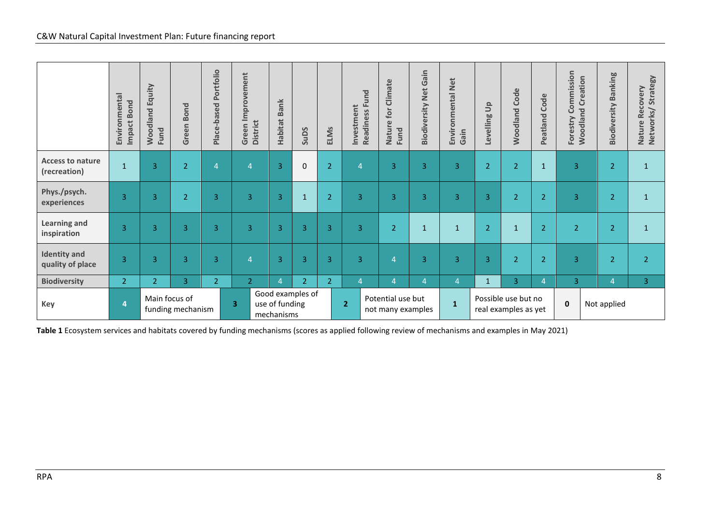|                                                                                                                                                                                                                                   | Environmental<br>Impact Bond | <b>Woodland Equity</b><br>Fund | Green Bond     | Place-based Portfolio | Green Improvement<br><b>District</b> | <b>Habitat Bank</b>                | SuDS           | <b>ELMs</b>    | Readiness<br>Fund<br>Investment | Nature for Climate<br>Fund | <b>Biodiversity Net Gain</b> | Environmental Net<br>Gain | Levelling Up   | <b>Woodland Code</b> | <b>Peatland Code</b> | Forestry Commission<br><b>Woodland Creation</b> | <b>Biodiversity Banking</b> | Nature Recovery<br>Networks/Strategy |
|-----------------------------------------------------------------------------------------------------------------------------------------------------------------------------------------------------------------------------------|------------------------------|--------------------------------|----------------|-----------------------|--------------------------------------|------------------------------------|----------------|----------------|---------------------------------|----------------------------|------------------------------|---------------------------|----------------|----------------------|----------------------|-------------------------------------------------|-----------------------------|--------------------------------------|
| <b>Access to nature</b><br>(recreation)                                                                                                                                                                                           | $\mathbf{1}$                 | 3                              | $\overline{2}$ | $\overline{4}$        | $\overline{4}$                       | $\overline{3}$                     | 0              | $\overline{2}$ | $\overline{4}$                  | 3                          | $\overline{3}$               | 3                         | $\overline{2}$ | 2 <sup>1</sup>       | $\mathbf 1$          | 3                                               | $\overline{2}$              | $\mathbf 1$                          |
| Phys./psych.<br>experiences                                                                                                                                                                                                       | 3                            | 3                              | $\overline{2}$ | 3                     | $\overline{3}$                       | $\overline{3}$                     | $\mathbf{1}$   | $\overline{2}$ | 3                               | 3                          | 3                            | 3                         | 3              | $\overline{2}$       | $\overline{2}$       | 3                                               | $\overline{2}$              | $\mathbf{1}$                         |
| <b>Learning and</b><br>inspiration                                                                                                                                                                                                | $\overline{3}$               | 3                              | $\overline{3}$ | 3                     | 3                                    | $\overline{3}$                     | $\overline{3}$ | 3              | 3                               | $\overline{2}$             | $\mathbf{1}$                 | $\mathbf{1}$              | $\overline{2}$ | $\mathbf{1}$         | $\overline{2}$       | 2 <sup>1</sup>                                  | $\overline{2}$              | $\mathbf{1}$                         |
| <b>Identity and</b><br>quality of place                                                                                                                                                                                           | $\overline{3}$               | 3                              | 3              | 3                     | $\overline{4}$                       | $\overline{3}$                     | 3              | 3              | 3                               | $\overline{4}$             | $\overline{3}$               | 3                         | $\overline{3}$ | $\overline{2}$       | $\overline{2}$       | $\overline{3}$                                  | $\overline{2}$              | 2 <sup>1</sup>                       |
| <b>Biodiversity</b>                                                                                                                                                                                                               | 2 <sup>1</sup>               | 2 <sup>1</sup>                 | 3              | 2 <sup>1</sup>        | $\overline{2}$                       | $\overline{4}$                     | $\overline{2}$ | $\overline{2}$ | $\overline{4}$                  | $\overline{4}$             | $\overline{4}$               | $\overline{4}$            | $\mathbf{1}$   | 3                    | $\overline{4}$       | 3                                               | $\overline{4}$              | 3                                    |
| Key                                                                                                                                                                                                                               | $\overline{\mathbf{4}}$      | Main focus of                  |                |                       | 3                                    | Good examples of<br>use of funding |                |                | 2 <sub>1</sub>                  | Potential use but          |                              | $\mathbf 1$               |                | Possible use but no  |                      | $\pmb{0}$                                       | Not applied                 |                                      |
| funding mechanism<br>not many examples<br>real examples as yet<br>mechanisms<br>Table 1 Ecosystem services and habitats covered by funding mechanisms (scores as applied following review of mechanisms and examples in May 2021) |                              |                                |                |                       |                                      |                                    |                |                |                                 |                            |                              |                           |                |                      |                      |                                                 |                             |                                      |
| <b>RPA</b>                                                                                                                                                                                                                        |                              |                                |                |                       |                                      |                                    |                |                |                                 |                            |                              |                           |                |                      |                      |                                                 |                             | 8                                    |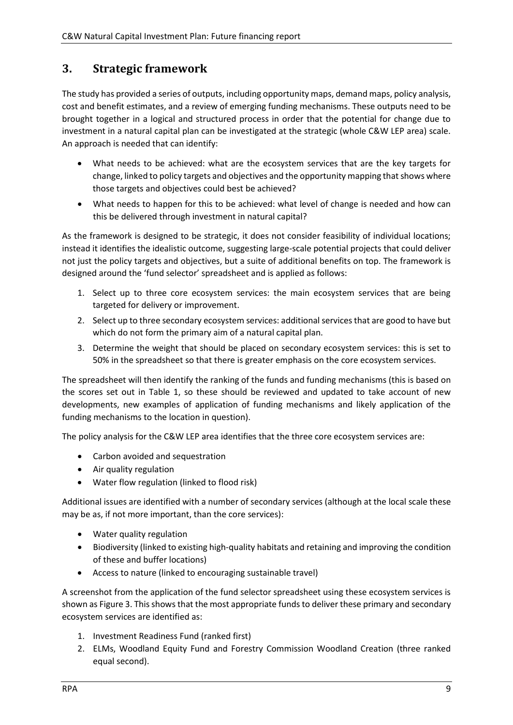# <span id="page-8-0"></span>**3. Strategic framework**

The study has provided a series of outputs, including opportunity maps, demand maps, policy analysis, cost and benefit estimates, and a review of emerging funding mechanisms. These outputs need to be brought together in a logical and structured process in order that the potential for change due to investment in a natural capital plan can be investigated at the strategic (whole C&W LEP area) scale. An approach is needed that can identify:

- What needs to be achieved: what are the ecosystem services that are the key targets for change, linked to policy targets and objectives and the opportunity mapping that shows where those targets and objectives could best be achieved?
- What needs to happen for this to be achieved: what level of change is needed and how can this be delivered through investment in natural capital?

As the framework is designed to be strategic, it does not consider feasibility of individual locations; instead it identifies the idealistic outcome, suggesting large-scale potential projects that could deliver not just the policy targets and objectives, but a suite of additional benefits on top. The framework is designed around the 'fund selector' spreadsheet and is applied as follows:

- 1. Select up to three core ecosystem services: the main ecosystem services that are being targeted for delivery or improvement.
- 2. Select up to three secondary ecosystem services: additional services that are good to have but which do not form the primary aim of a natural capital plan.
- 3. Determine the weight that should be placed on secondary ecosystem services: this is set to 50% in the spreadsheet so that there is greater emphasis on the core ecosystem services.

The spreadsheet will then identify the ranking of the funds and funding mechanisms (this is based on the scores set out in Table 1, so these should be reviewed and updated to take account of new developments, new examples of application of funding mechanisms and likely application of the funding mechanisms to the location in question).

The policy analysis for the C&W LEP area identifies that the three core ecosystem services are:

- Carbon avoided and sequestration
- Air quality regulation
- Water flow regulation (linked to flood risk)

Additional issues are identified with a number of secondary services (although at the local scale these may be as, if not more important, than the core services):

- Water quality regulation
- Biodiversity (linked to existing high-quality habitats and retaining and improving the condition of these and buffer locations)
- Access to nature (linked to encouraging sustainable travel)

A screenshot from the application of the fund selector spreadsheet using these ecosystem services is shown as Figure 3. This shows that the most appropriate funds to deliver these primary and secondary ecosystem services are identified as:

- 1. Investment Readiness Fund (ranked first)
- 2. ELMs, Woodland Equity Fund and Forestry Commission Woodland Creation (three ranked equal second).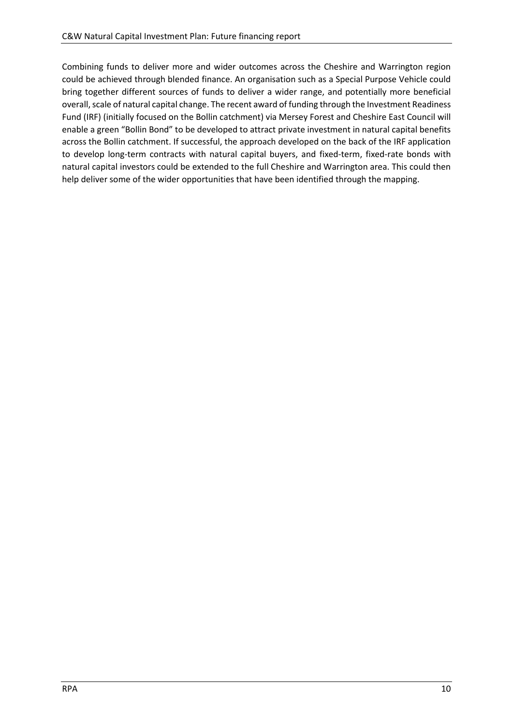Combining funds to deliver more and wider outcomes across the Cheshire and Warrington region could be achieved through blended finance. An organisation such as a Special Purpose Vehicle could bring together different sources of funds to deliver a wider range, and potentially more beneficial overall, scale of natural capital change. The recent award of funding through the Investment Readiness Fund (IRF) (initially focused on the Bollin catchment) via Mersey Forest and Cheshire East Council will enable a green "Bollin Bond" to be developed to attract private investment in natural capital benefits across the Bollin catchment. If successful, the approach developed on the back of the IRF application to develop long-term contracts with natural capital buyers, and fixed-term, fixed-rate bonds with natural capital investors could be extended to the full Cheshire and Warrington area. This could then help deliver some of the wider opportunities that have been identified through the mapping.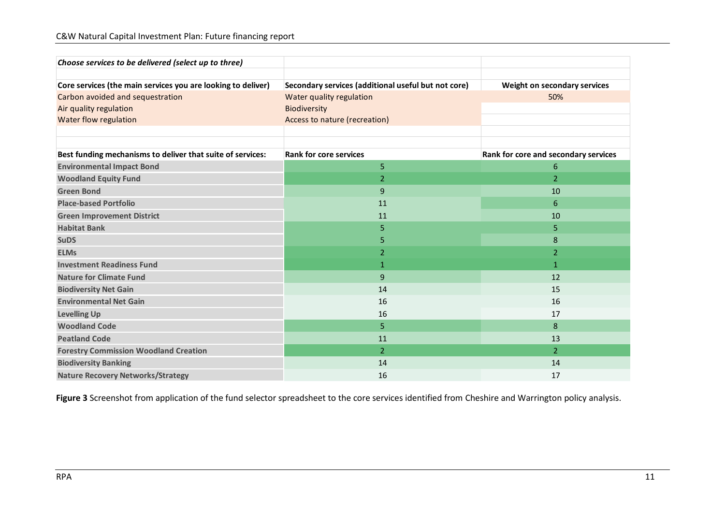| Choose services to be delivered (select up to three)         |                                                     |                                      |  |  |
|--------------------------------------------------------------|-----------------------------------------------------|--------------------------------------|--|--|
| Core services (the main services you are looking to deliver) | Secondary services (additional useful but not core) | Weight on secondary services         |  |  |
| Carbon avoided and sequestration                             | Water quality regulation                            | 50%                                  |  |  |
| Air quality regulation                                       | <b>Biodiversity</b>                                 |                                      |  |  |
| Water flow regulation                                        | Access to nature (recreation)                       |                                      |  |  |
|                                                              |                                                     |                                      |  |  |
| Best funding mechanisms to deliver that suite of services:   | <b>Rank for core services</b>                       | Rank for core and secondary services |  |  |
| <b>Environmental Impact Bond</b>                             | 5                                                   | 6                                    |  |  |
| <b>Woodland Equity Fund</b>                                  | $\overline{2}$                                      | $\overline{2}$                       |  |  |
| <b>Green Bond</b>                                            | 9                                                   | 10                                   |  |  |
| <b>Place-based Portfolio</b>                                 | 11                                                  | 6                                    |  |  |
| <b>Green Improvement District</b>                            | 11                                                  | 10                                   |  |  |
| <b>Habitat Bank</b>                                          | 5                                                   | 5.                                   |  |  |
| <b>SuDS</b>                                                  | 5                                                   | 8                                    |  |  |
| <b>ELMs</b>                                                  | 2                                                   | 2                                    |  |  |
| <b>Investment Readiness Fund</b>                             | $\mathbf{1}$                                        | $\mathbf{1}$                         |  |  |
| <b>Nature for Climate Fund</b>                               | 9                                                   | 12                                   |  |  |
| <b>Biodiversity Net Gain</b>                                 | 14                                                  | 15                                   |  |  |
| <b>Environmental Net Gain</b>                                | 16                                                  | 16                                   |  |  |
| <b>Levelling Up</b>                                          | 16                                                  | 17                                   |  |  |
| <b>Woodland Code</b>                                         | 5                                                   | 8                                    |  |  |
| <b>Peatland Code</b>                                         | 11                                                  | 13                                   |  |  |
| <b>Forestry Commission Woodland Creation</b>                 | $\overline{2}$                                      | $\overline{2}$                       |  |  |
| <b>Biodiversity Banking</b>                                  | 14                                                  | 14                                   |  |  |
| <b>Nature Recovery Networks/Strategy</b>                     | 16                                                  | 17                                   |  |  |

**Figure 3** Screenshot from application of the fund selector spreadsheet to the core services identified from Cheshire and Warrington policy analysis.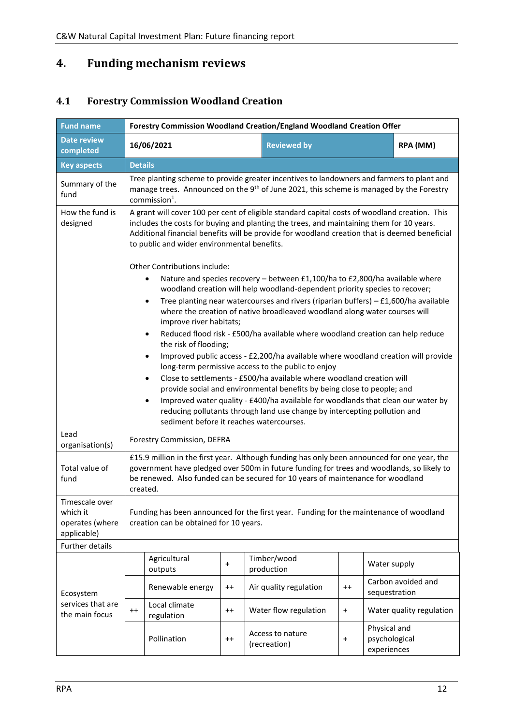# <span id="page-11-0"></span>**4. Funding mechanism reviews**

# <span id="page-11-1"></span>**4.1 Forestry Commission Woodland Creation**

| <b>Fund name</b>                                             | Forestry Commission Woodland Creation/England Woodland Creation Offer                                                                                                                                                                                                                                                                           |                                                                                                                                                                                                                                                                                                                                           |                                                                                                                                                                                                                                                                             |           |                                              |  |  |  |  |  |  |
|--------------------------------------------------------------|-------------------------------------------------------------------------------------------------------------------------------------------------------------------------------------------------------------------------------------------------------------------------------------------------------------------------------------------------|-------------------------------------------------------------------------------------------------------------------------------------------------------------------------------------------------------------------------------------------------------------------------------------------------------------------------------------------|-----------------------------------------------------------------------------------------------------------------------------------------------------------------------------------------------------------------------------------------------------------------------------|-----------|----------------------------------------------|--|--|--|--|--|--|
| <b>Date review</b><br>completed                              | 16/06/2021                                                                                                                                                                                                                                                                                                                                      |                                                                                                                                                                                                                                                                                                                                           | <b>Reviewed by</b>                                                                                                                                                                                                                                                          |           | RPA (MM)                                     |  |  |  |  |  |  |
| <b>Key aspects</b>                                           | <b>Details</b>                                                                                                                                                                                                                                                                                                                                  |                                                                                                                                                                                                                                                                                                                                           |                                                                                                                                                                                                                                                                             |           |                                              |  |  |  |  |  |  |
| Summary of the<br>fund                                       | Tree planting scheme to provide greater incentives to landowners and farmers to plant and<br>manage trees. Announced on the 9 <sup>th</sup> of June 2021, this scheme is managed by the Forestry<br>commission $1$ .                                                                                                                            |                                                                                                                                                                                                                                                                                                                                           |                                                                                                                                                                                                                                                                             |           |                                              |  |  |  |  |  |  |
| How the fund is<br>designed                                  |                                                                                                                                                                                                                                                                                                                                                 | A grant will cover 100 per cent of eligible standard capital costs of woodland creation. This<br>includes the costs for buying and planting the trees, and maintaining them for 10 years.<br>Additional financial benefits will be provide for woodland creation that is deemed beneficial<br>to public and wider environmental benefits. |                                                                                                                                                                                                                                                                             |           |                                              |  |  |  |  |  |  |
|                                                              | Other Contributions include:                                                                                                                                                                                                                                                                                                                    |                                                                                                                                                                                                                                                                                                                                           |                                                                                                                                                                                                                                                                             |           |                                              |  |  |  |  |  |  |
|                                                              | Nature and species recovery - between £1,100/ha to £2,800/ha available where<br>woodland creation will help woodland-dependent priority species to recover;<br>Tree planting near watercourses and rivers (riparian buffers) $-$ £1,600/ha available<br>$\bullet$<br>where the creation of native broadleaved woodland along water courses will |                                                                                                                                                                                                                                                                                                                                           |                                                                                                                                                                                                                                                                             |           |                                              |  |  |  |  |  |  |
|                                                              | $\bullet$                                                                                                                                                                                                                                                                                                                                       | improve river habitats;<br>Reduced flood risk - £500/ha available where woodland creation can help reduce<br>the risk of flooding;                                                                                                                                                                                                        |                                                                                                                                                                                                                                                                             |           |                                              |  |  |  |  |  |  |
|                                                              | ٠<br>٠                                                                                                                                                                                                                                                                                                                                          | Improved public access - £2,200/ha available where woodland creation will provide<br>long-term permissive access to the public to enjoy<br>Close to settlements - £500/ha available where woodland creation will                                                                                                                          |                                                                                                                                                                                                                                                                             |           |                                              |  |  |  |  |  |  |
|                                                              |                                                                                                                                                                                                                                                                                                                                                 |                                                                                                                                                                                                                                                                                                                                           | provide social and environmental benefits by being close to people; and                                                                                                                                                                                                     |           |                                              |  |  |  |  |  |  |
|                                                              | $\bullet$                                                                                                                                                                                                                                                                                                                                       |                                                                                                                                                                                                                                                                                                                                           | Improved water quality - £400/ha available for woodlands that clean our water by<br>reducing pollutants through land use change by intercepting pollution and<br>sediment before it reaches watercourses.                                                                   |           |                                              |  |  |  |  |  |  |
| Lead<br>organisation(s)                                      | Forestry Commission, DEFRA                                                                                                                                                                                                                                                                                                                      |                                                                                                                                                                                                                                                                                                                                           |                                                                                                                                                                                                                                                                             |           |                                              |  |  |  |  |  |  |
| Total value of<br>fund                                       | created.                                                                                                                                                                                                                                                                                                                                        |                                                                                                                                                                                                                                                                                                                                           | £15.9 million in the first year. Although funding has only been announced for one year, the<br>government have pledged over 500m in future funding for trees and woodlands, so likely to<br>be renewed. Also funded can be secured for 10 years of maintenance for woodland |           |                                              |  |  |  |  |  |  |
| Timescale over<br>which it<br>operates (where<br>applicable) | creation can be obtained for 10 years.                                                                                                                                                                                                                                                                                                          |                                                                                                                                                                                                                                                                                                                                           | Funding has been announced for the first year. Funding for the maintenance of woodland                                                                                                                                                                                      |           |                                              |  |  |  |  |  |  |
| <b>Further details</b>                                       |                                                                                                                                                                                                                                                                                                                                                 |                                                                                                                                                                                                                                                                                                                                           |                                                                                                                                                                                                                                                                             |           |                                              |  |  |  |  |  |  |
|                                                              | Agricultural<br>outputs                                                                                                                                                                                                                                                                                                                         | $\ddot{}$                                                                                                                                                                                                                                                                                                                                 | Timber/wood<br>production                                                                                                                                                                                                                                                   |           | Water supply                                 |  |  |  |  |  |  |
| Ecosystem                                                    | Renewable energy                                                                                                                                                                                                                                                                                                                                | $^{++}$                                                                                                                                                                                                                                                                                                                                   | Air quality regulation                                                                                                                                                                                                                                                      | $^{++}$   | Carbon avoided and<br>sequestration          |  |  |  |  |  |  |
| services that are<br>the main focus                          | Local climate<br>$^{++}$<br>regulation                                                                                                                                                                                                                                                                                                          | $^{++}$                                                                                                                                                                                                                                                                                                                                   | Water flow regulation                                                                                                                                                                                                                                                       | $\ddot{}$ | Water quality regulation                     |  |  |  |  |  |  |
|                                                              | Pollination                                                                                                                                                                                                                                                                                                                                     | $^{++}$                                                                                                                                                                                                                                                                                                                                   | Access to nature<br>(recreation)                                                                                                                                                                                                                                            | $\ddot{}$ | Physical and<br>psychological<br>experiences |  |  |  |  |  |  |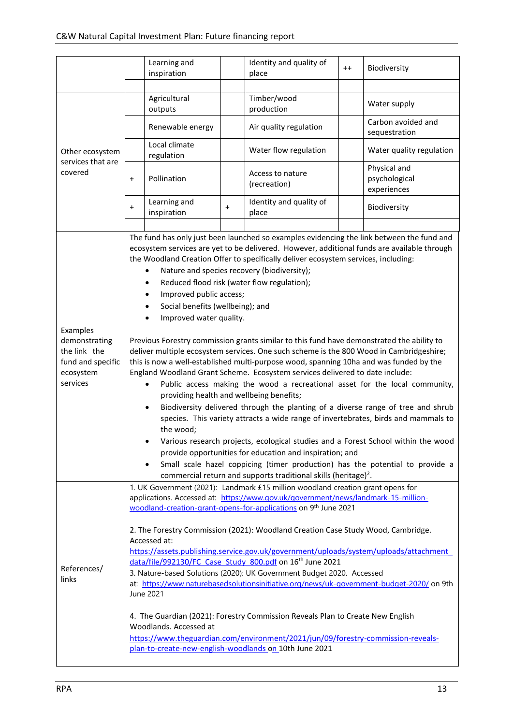|                                                                                         |                                                                                                                                                                                                                                                                                                                                                                                                                                                                                                                                                                                                                                                                                                                                                                                                                                                                                                                                                                                                                                           | Learning and<br>inspiration                                                                                                                                  |           | Identity and quality of<br>place                                                                                                                                                                                                                                                                                                                                                                                                                                                                                                                                                                                                                                                                                                                                                                           | $^{++}$ | Biodiversity                                                                                                                                                                                                                                                                                                                                                                                                                |  |  |
|-----------------------------------------------------------------------------------------|-------------------------------------------------------------------------------------------------------------------------------------------------------------------------------------------------------------------------------------------------------------------------------------------------------------------------------------------------------------------------------------------------------------------------------------------------------------------------------------------------------------------------------------------------------------------------------------------------------------------------------------------------------------------------------------------------------------------------------------------------------------------------------------------------------------------------------------------------------------------------------------------------------------------------------------------------------------------------------------------------------------------------------------------|--------------------------------------------------------------------------------------------------------------------------------------------------------------|-----------|------------------------------------------------------------------------------------------------------------------------------------------------------------------------------------------------------------------------------------------------------------------------------------------------------------------------------------------------------------------------------------------------------------------------------------------------------------------------------------------------------------------------------------------------------------------------------------------------------------------------------------------------------------------------------------------------------------------------------------------------------------------------------------------------------------|---------|-----------------------------------------------------------------------------------------------------------------------------------------------------------------------------------------------------------------------------------------------------------------------------------------------------------------------------------------------------------------------------------------------------------------------------|--|--|
|                                                                                         |                                                                                                                                                                                                                                                                                                                                                                                                                                                                                                                                                                                                                                                                                                                                                                                                                                                                                                                                                                                                                                           |                                                                                                                                                              |           |                                                                                                                                                                                                                                                                                                                                                                                                                                                                                                                                                                                                                                                                                                                                                                                                            |         |                                                                                                                                                                                                                                                                                                                                                                                                                             |  |  |
|                                                                                         |                                                                                                                                                                                                                                                                                                                                                                                                                                                                                                                                                                                                                                                                                                                                                                                                                                                                                                                                                                                                                                           | Agricultural<br>outputs                                                                                                                                      |           | Timber/wood<br>production                                                                                                                                                                                                                                                                                                                                                                                                                                                                                                                                                                                                                                                                                                                                                                                  |         | Water supply                                                                                                                                                                                                                                                                                                                                                                                                                |  |  |
|                                                                                         |                                                                                                                                                                                                                                                                                                                                                                                                                                                                                                                                                                                                                                                                                                                                                                                                                                                                                                                                                                                                                                           | Renewable energy                                                                                                                                             |           | Air quality regulation                                                                                                                                                                                                                                                                                                                                                                                                                                                                                                                                                                                                                                                                                                                                                                                     |         | Carbon avoided and<br>sequestration                                                                                                                                                                                                                                                                                                                                                                                         |  |  |
| Other ecosystem<br>services that are                                                    |                                                                                                                                                                                                                                                                                                                                                                                                                                                                                                                                                                                                                                                                                                                                                                                                                                                                                                                                                                                                                                           | Local climate<br>regulation                                                                                                                                  |           | Water flow regulation                                                                                                                                                                                                                                                                                                                                                                                                                                                                                                                                                                                                                                                                                                                                                                                      |         | Water quality regulation                                                                                                                                                                                                                                                                                                                                                                                                    |  |  |
| covered                                                                                 | $\ddot{}$                                                                                                                                                                                                                                                                                                                                                                                                                                                                                                                                                                                                                                                                                                                                                                                                                                                                                                                                                                                                                                 | Pollination                                                                                                                                                  |           | Access to nature<br>(recreation)                                                                                                                                                                                                                                                                                                                                                                                                                                                                                                                                                                                                                                                                                                                                                                           |         | Physical and<br>psychological<br>experiences                                                                                                                                                                                                                                                                                                                                                                                |  |  |
|                                                                                         | $\ddot{}$                                                                                                                                                                                                                                                                                                                                                                                                                                                                                                                                                                                                                                                                                                                                                                                                                                                                                                                                                                                                                                 | Learning and<br>inspiration                                                                                                                                  | $\ddot{}$ | Identity and quality of<br>place                                                                                                                                                                                                                                                                                                                                                                                                                                                                                                                                                                                                                                                                                                                                                                           |         | Biodiversity                                                                                                                                                                                                                                                                                                                                                                                                                |  |  |
|                                                                                         |                                                                                                                                                                                                                                                                                                                                                                                                                                                                                                                                                                                                                                                                                                                                                                                                                                                                                                                                                                                                                                           |                                                                                                                                                              |           |                                                                                                                                                                                                                                                                                                                                                                                                                                                                                                                                                                                                                                                                                                                                                                                                            |         |                                                                                                                                                                                                                                                                                                                                                                                                                             |  |  |
| Examples<br>demonstrating<br>the link the<br>fund and specific<br>ecosystem<br>services |                                                                                                                                                                                                                                                                                                                                                                                                                                                                                                                                                                                                                                                                                                                                                                                                                                                                                                                                                                                                                                           | Improved public access;<br>Social benefits (wellbeing); and<br>Improved water quality.<br>providing health and wellbeing benefits;<br>$\bullet$<br>the wood; |           | The fund has only just been launched so examples evidencing the link between the fund and<br>ecosystem services are yet to be delivered. However, additional funds are available through<br>the Woodland Creation Offer to specifically deliver ecosystem services, including:<br>Nature and species recovery (biodiversity);<br>Reduced flood risk (water flow regulation);<br>Previous Forestry commission grants similar to this fund have demonstrated the ability to<br>deliver multiple ecosystem services. One such scheme is the 800 Wood in Cambridgeshire;<br>this is now a well-established multi-purpose wood, spanning 10ha and was funded by the<br>England Woodland Grant Scheme. Ecosystem services delivered to date include:<br>provide opportunities for education and inspiration; and |         | Public access making the wood a recreational asset for the local community,<br>Biodiversity delivered through the planting of a diverse range of tree and shrub<br>species. This variety attracts a wide range of invertebrates, birds and mammals to<br>Various research projects, ecological studies and a Forest School within the wood<br>Small scale hazel coppicing (timer production) has the potential to provide a |  |  |
| References/<br>links                                                                    | commercial return and supports traditional skills (heritage) <sup>2</sup> .<br>1. UK Government (2021): Landmark £15 million woodland creation grant opens for<br>applications. Accessed at: https://www.gov.uk/government/news/landmark-15-million-<br>woodland-creation-grant-opens-for-applications on 9th June 2021<br>2. The Forestry Commission (2021): Woodland Creation Case Study Wood, Cambridge.<br>Accessed at:<br>https://assets.publishing.service.gov.uk/government/uploads/system/uploads/attachment<br>data/file/992130/FC Case Study 800.pdf on 16 <sup>th</sup> June 2021<br>3. Nature-based Solutions (2020): UK Government Budget 2020. Accessed<br>at: https://www.naturebasedsolutionsinitiative.org/news/uk-government-budget-2020/ on 9th<br>June 2021<br>4. The Guardian (2021): Forestry Commission Reveals Plan to Create New English<br>Woodlands. Accessed at<br>https://www.theguardian.com/environment/2021/jun/09/forestry-commission-reveals-<br>plan-to-create-new-english-woodlands on 10th June 2021 |                                                                                                                                                              |           |                                                                                                                                                                                                                                                                                                                                                                                                                                                                                                                                                                                                                                                                                                                                                                                                            |         |                                                                                                                                                                                                                                                                                                                                                                                                                             |  |  |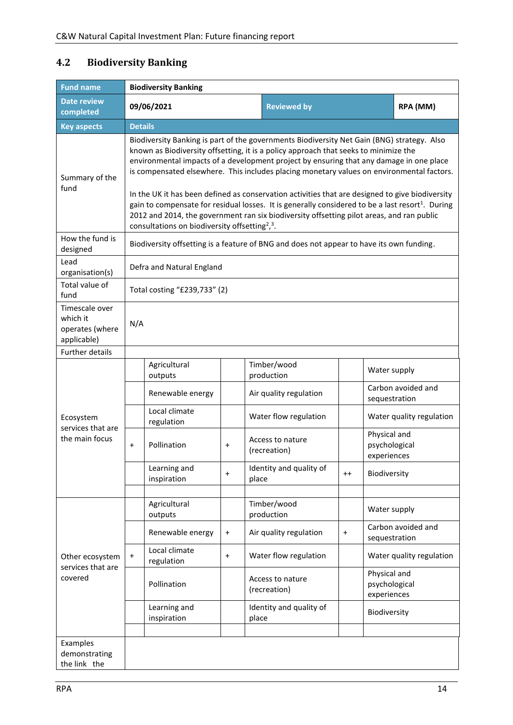#### <span id="page-13-0"></span>**4.2 Biodiversity Banking**

| <b>Fund name</b>                                             | <b>Biodiversity Banking</b> |                                                                                                                                                                                                                                                                                                                                                                                                                                                                                                                                                                                                                                                                                                                                                                      |           |                                  |           |                                              |                          |  |  |  |  |  |
|--------------------------------------------------------------|-----------------------------|----------------------------------------------------------------------------------------------------------------------------------------------------------------------------------------------------------------------------------------------------------------------------------------------------------------------------------------------------------------------------------------------------------------------------------------------------------------------------------------------------------------------------------------------------------------------------------------------------------------------------------------------------------------------------------------------------------------------------------------------------------------------|-----------|----------------------------------|-----------|----------------------------------------------|--------------------------|--|--|--|--|--|
| <b>Date review</b><br>completed                              |                             | 09/06/2021                                                                                                                                                                                                                                                                                                                                                                                                                                                                                                                                                                                                                                                                                                                                                           |           | <b>Reviewed by</b>               |           |                                              | RPA (MM)                 |  |  |  |  |  |
| <b>Key aspects</b>                                           | <b>Details</b>              |                                                                                                                                                                                                                                                                                                                                                                                                                                                                                                                                                                                                                                                                                                                                                                      |           |                                  |           |                                              |                          |  |  |  |  |  |
| Summary of the<br>fund                                       |                             | Biodiversity Banking is part of the governments Biodiversity Net Gain (BNG) strategy. Also<br>known as Biodiversity offsetting, it is a policy approach that seeks to minimize the<br>environmental impacts of a development project by ensuring that any damage in one place<br>is compensated elsewhere. This includes placing monetary values on environmental factors.<br>In the UK it has been defined as conservation activities that are designed to give biodiversity<br>gain to compensate for residual losses. It is generally considered to be a last resort <sup>1</sup> . During<br>2012 and 2014, the government ran six biodiversity offsetting pilot areas, and ran public<br>consultations on biodiversity offsetting <sup>2</sup> , <sup>3</sup> . |           |                                  |           |                                              |                          |  |  |  |  |  |
| How the fund is<br>designed                                  |                             | Biodiversity offsetting is a feature of BNG and does not appear to have its own funding.                                                                                                                                                                                                                                                                                                                                                                                                                                                                                                                                                                                                                                                                             |           |                                  |           |                                              |                          |  |  |  |  |  |
| Lead<br>organisation(s)                                      |                             | Defra and Natural England                                                                                                                                                                                                                                                                                                                                                                                                                                                                                                                                                                                                                                                                                                                                            |           |                                  |           |                                              |                          |  |  |  |  |  |
| Total value of<br>fund                                       |                             | Total costing "£239,733" (2)                                                                                                                                                                                                                                                                                                                                                                                                                                                                                                                                                                                                                                                                                                                                         |           |                                  |           |                                              |                          |  |  |  |  |  |
| Timescale over<br>which it<br>operates (where<br>applicable) | N/A                         |                                                                                                                                                                                                                                                                                                                                                                                                                                                                                                                                                                                                                                                                                                                                                                      |           |                                  |           |                                              |                          |  |  |  |  |  |
| <b>Further details</b>                                       |                             |                                                                                                                                                                                                                                                                                                                                                                                                                                                                                                                                                                                                                                                                                                                                                                      |           |                                  |           |                                              |                          |  |  |  |  |  |
|                                                              |                             | Agricultural<br>outputs                                                                                                                                                                                                                                                                                                                                                                                                                                                                                                                                                                                                                                                                                                                                              |           | Timber/wood<br>production        |           | Water supply                                 |                          |  |  |  |  |  |
|                                                              |                             | Renewable energy                                                                                                                                                                                                                                                                                                                                                                                                                                                                                                                                                                                                                                                                                                                                                     |           | Air quality regulation           |           | sequestration                                | Carbon avoided and       |  |  |  |  |  |
| Ecosystem<br>services that are                               |                             | Local climate<br>regulation                                                                                                                                                                                                                                                                                                                                                                                                                                                                                                                                                                                                                                                                                                                                          |           | Water flow regulation            |           |                                              | Water quality regulation |  |  |  |  |  |
| the main focus                                               | $\ddot{}$                   | Pollination                                                                                                                                                                                                                                                                                                                                                                                                                                                                                                                                                                                                                                                                                                                                                          | $\ddot{}$ | Access to nature<br>(recreation) |           | Physical and<br>psychological<br>experiences |                          |  |  |  |  |  |
|                                                              |                             | Learning and<br>inspiration                                                                                                                                                                                                                                                                                                                                                                                                                                                                                                                                                                                                                                                                                                                                          | $\ddot{}$ | Identity and quality of<br>place | $^{++}$   | Biodiversity                                 |                          |  |  |  |  |  |
|                                                              |                             | Agricultural<br>outputs                                                                                                                                                                                                                                                                                                                                                                                                                                                                                                                                                                                                                                                                                                                                              |           | Timber/wood<br>production        |           | Water supply                                 |                          |  |  |  |  |  |
|                                                              |                             | Renewable energy                                                                                                                                                                                                                                                                                                                                                                                                                                                                                                                                                                                                                                                                                                                                                     | $\ddot{}$ | Air quality regulation           | $\ddot{}$ | sequestration                                | Carbon avoided and       |  |  |  |  |  |
| Other ecosystem<br>services that are                         | $\ddot{}$                   | Local climate<br>regulation                                                                                                                                                                                                                                                                                                                                                                                                                                                                                                                                                                                                                                                                                                                                          | $\ddot{}$ | Water flow regulation            |           |                                              | Water quality regulation |  |  |  |  |  |
| covered                                                      |                             | Pollination                                                                                                                                                                                                                                                                                                                                                                                                                                                                                                                                                                                                                                                                                                                                                          |           | Access to nature<br>(recreation) |           | Physical and<br>psychological<br>experiences |                          |  |  |  |  |  |
|                                                              |                             | Learning and<br>inspiration                                                                                                                                                                                                                                                                                                                                                                                                                                                                                                                                                                                                                                                                                                                                          |           | Identity and quality of<br>place |           | Biodiversity                                 |                          |  |  |  |  |  |
|                                                              |                             |                                                                                                                                                                                                                                                                                                                                                                                                                                                                                                                                                                                                                                                                                                                                                                      |           |                                  |           |                                              |                          |  |  |  |  |  |
| Examples<br>demonstrating<br>the link the                    |                             |                                                                                                                                                                                                                                                                                                                                                                                                                                                                                                                                                                                                                                                                                                                                                                      |           |                                  |           |                                              |                          |  |  |  |  |  |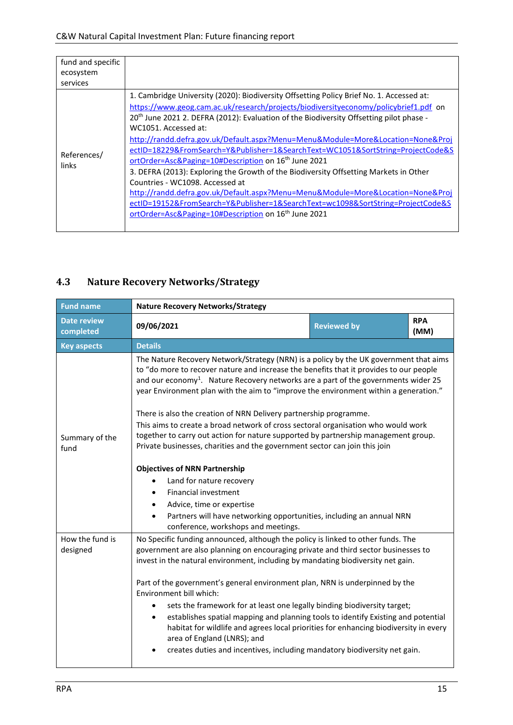| fund and specific<br>ecosystem<br>services |                                                                                                                                                                                                                                                                                                                                                                                                                                                                                                                                                                                                                                                                                                                                                                                                                                                                                                                                 |
|--------------------------------------------|---------------------------------------------------------------------------------------------------------------------------------------------------------------------------------------------------------------------------------------------------------------------------------------------------------------------------------------------------------------------------------------------------------------------------------------------------------------------------------------------------------------------------------------------------------------------------------------------------------------------------------------------------------------------------------------------------------------------------------------------------------------------------------------------------------------------------------------------------------------------------------------------------------------------------------|
| References/<br>links                       | 1. Cambridge University (2020): Biodiversity Offsetting Policy Brief No. 1. Accessed at:<br>https://www.geog.cam.ac.uk/research/projects/biodiversityeconomy/policybrief1.pdf on<br>20 <sup>th</sup> June 2021 2. DEFRA (2012): Evaluation of the Biodiversity Offsetting pilot phase -<br>WC1051. Accessed at:<br>http://randd.defra.gov.uk/Default.aspx?Menu=Menu&Module=More&Location=None&Proj<br>ectID=18229&FromSearch=Y&Publisher=1&SearchText=WC1051&SortString=ProjectCode&S<br>ortOrder=Asc&Paging=10#Description on 16 <sup>th</sup> June 2021<br>3. DEFRA (2013): Exploring the Growth of the Biodiversity Offsetting Markets in Other<br>Countries - WC1098. Accessed at<br>http://randd.defra.gov.uk/Default.aspx?Menu=Menu&Module=More&Location=None&Proj<br>ectID=19152&FromSearch=Y&Publisher=1&SearchText=wc1098&SortString=ProjectCode&S<br>ortOrder=Asc&Paging=10#Description on 16 <sup>th</sup> June 2021 |

# <span id="page-14-0"></span>**4.3 Nature Recovery Networks/Strategy**

| <b>Fund name</b><br><b>Nature Recovery Networks/Strategy</b> |                                                                                                                                                                                                                                                                                                                                                                                                                                                |                    |                    |  |  |  |  |  |  |  |
|--------------------------------------------------------------|------------------------------------------------------------------------------------------------------------------------------------------------------------------------------------------------------------------------------------------------------------------------------------------------------------------------------------------------------------------------------------------------------------------------------------------------|--------------------|--------------------|--|--|--|--|--|--|--|
| <b>Date review</b><br>completed                              | 09/06/2021                                                                                                                                                                                                                                                                                                                                                                                                                                     | <b>Reviewed by</b> | <b>RPA</b><br>(MM) |  |  |  |  |  |  |  |
| <b>Key aspects</b>                                           | <b>Details</b>                                                                                                                                                                                                                                                                                                                                                                                                                                 |                    |                    |  |  |  |  |  |  |  |
|                                                              | The Nature Recovery Network/Strategy (NRN) is a policy by the UK government that aims<br>to "do more to recover nature and increase the benefits that it provides to our people<br>and our economy <sup>1</sup> . Nature Recovery networks are a part of the governments wider 25<br>year Environment plan with the aim to "improve the environment within a generation."<br>There is also the creation of NRN Delivery partnership programme. |                    |                    |  |  |  |  |  |  |  |
| Summary of the<br>fund                                       | This aims to create a broad network of cross sectoral organisation who would work<br>together to carry out action for nature supported by partnership management group.<br>Private businesses, charities and the government sector can join this join                                                                                                                                                                                          |                    |                    |  |  |  |  |  |  |  |
|                                                              | <b>Objectives of NRN Partnership</b>                                                                                                                                                                                                                                                                                                                                                                                                           |                    |                    |  |  |  |  |  |  |  |
|                                                              | Land for nature recovery                                                                                                                                                                                                                                                                                                                                                                                                                       |                    |                    |  |  |  |  |  |  |  |
|                                                              | Financial investment                                                                                                                                                                                                                                                                                                                                                                                                                           |                    |                    |  |  |  |  |  |  |  |
|                                                              | Advice, time or expertise                                                                                                                                                                                                                                                                                                                                                                                                                      |                    |                    |  |  |  |  |  |  |  |
|                                                              | Partners will have networking opportunities, including an annual NRN<br>$\bullet$<br>conference, workshops and meetings.                                                                                                                                                                                                                                                                                                                       |                    |                    |  |  |  |  |  |  |  |
| How the fund is<br>designed                                  | No Specific funding announced, although the policy is linked to other funds. The<br>government are also planning on encouraging private and third sector businesses to<br>invest in the natural environment, including by mandating biodiversity net gain.                                                                                                                                                                                     |                    |                    |  |  |  |  |  |  |  |
|                                                              | Part of the government's general environment plan, NRN is underpinned by the<br>Environment bill which:                                                                                                                                                                                                                                                                                                                                        |                    |                    |  |  |  |  |  |  |  |
|                                                              | sets the framework for at least one legally binding biodiversity target;<br>٠                                                                                                                                                                                                                                                                                                                                                                  |                    |                    |  |  |  |  |  |  |  |
|                                                              | establishes spatial mapping and planning tools to identify Existing and potential<br>$\bullet$<br>habitat for wildlife and agrees local priorities for enhancing biodiversity in every<br>area of England (LNRS); and                                                                                                                                                                                                                          |                    |                    |  |  |  |  |  |  |  |
|                                                              | creates duties and incentives, including mandatory biodiversity net gain.                                                                                                                                                                                                                                                                                                                                                                      |                    |                    |  |  |  |  |  |  |  |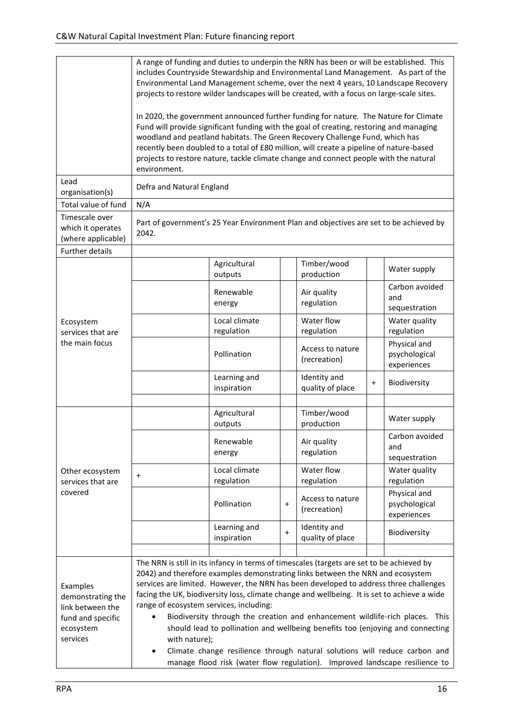|                                                           | A range of funding and duties to underpin the NRN has been or will be established. This<br>includes Countryside Stewardship and Environmental Land Management. As part of the<br>Environmental Land Management scheme, over the next 4 years, 10 Landscape Recovery<br>projects to restore wilder landscapes will be created, with a focus on large-scale sites.<br>In 2020, the government announced further funding for nature. The Nature for Climate<br>Fund will provide significant funding with the goal of creating, restoring and managing<br>woodland and peatland habitats. The Green Recovery Challenge Fund, which has<br>recently been doubled to a total of £80 million, will create a pipeline of nature-based<br>projects to restore nature, tackle climate change and connect people with the natural<br>environment. |                             |           |                                                                                                                                                                |           |                                              |  |  |  |  |
|-----------------------------------------------------------|-----------------------------------------------------------------------------------------------------------------------------------------------------------------------------------------------------------------------------------------------------------------------------------------------------------------------------------------------------------------------------------------------------------------------------------------------------------------------------------------------------------------------------------------------------------------------------------------------------------------------------------------------------------------------------------------------------------------------------------------------------------------------------------------------------------------------------------------|-----------------------------|-----------|----------------------------------------------------------------------------------------------------------------------------------------------------------------|-----------|----------------------------------------------|--|--|--|--|
| Lead<br>organisation(s)                                   | Defra and Natural England                                                                                                                                                                                                                                                                                                                                                                                                                                                                                                                                                                                                                                                                                                                                                                                                               |                             |           |                                                                                                                                                                |           |                                              |  |  |  |  |
| Total value of fund                                       | N/A                                                                                                                                                                                                                                                                                                                                                                                                                                                                                                                                                                                                                                                                                                                                                                                                                                     |                             |           |                                                                                                                                                                |           |                                              |  |  |  |  |
| Timescale over<br>which it operates<br>(where applicable) | Part of government's 25 Year Environment Plan and objectives are set to be achieved by<br>2042.                                                                                                                                                                                                                                                                                                                                                                                                                                                                                                                                                                                                                                                                                                                                         |                             |           |                                                                                                                                                                |           |                                              |  |  |  |  |
| Further details                                           |                                                                                                                                                                                                                                                                                                                                                                                                                                                                                                                                                                                                                                                                                                                                                                                                                                         |                             |           |                                                                                                                                                                |           |                                              |  |  |  |  |
|                                                           |                                                                                                                                                                                                                                                                                                                                                                                                                                                                                                                                                                                                                                                                                                                                                                                                                                         | Agricultural<br>outputs     |           | Timber/wood<br>production                                                                                                                                      |           | Water supply                                 |  |  |  |  |
|                                                           |                                                                                                                                                                                                                                                                                                                                                                                                                                                                                                                                                                                                                                                                                                                                                                                                                                         | Renewable<br>energy         |           | Air quality<br>regulation                                                                                                                                      |           | Carbon avoided<br>and<br>sequestration       |  |  |  |  |
| Ecosystem<br>services that are                            |                                                                                                                                                                                                                                                                                                                                                                                                                                                                                                                                                                                                                                                                                                                                                                                                                                         | Local climate<br>regulation |           | Water flow<br>regulation                                                                                                                                       |           | Water quality<br>regulation                  |  |  |  |  |
| the main focus                                            |                                                                                                                                                                                                                                                                                                                                                                                                                                                                                                                                                                                                                                                                                                                                                                                                                                         | Pollination                 |           | Access to nature<br>(recreation)                                                                                                                               |           | Physical and<br>psychological<br>experiences |  |  |  |  |
|                                                           |                                                                                                                                                                                                                                                                                                                                                                                                                                                                                                                                                                                                                                                                                                                                                                                                                                         | Learning and<br>inspiration |           | Identity and<br>quality of place                                                                                                                               | $\ddot{}$ | Biodiversity                                 |  |  |  |  |
|                                                           |                                                                                                                                                                                                                                                                                                                                                                                                                                                                                                                                                                                                                                                                                                                                                                                                                                         |                             |           |                                                                                                                                                                |           |                                              |  |  |  |  |
|                                                           |                                                                                                                                                                                                                                                                                                                                                                                                                                                                                                                                                                                                                                                                                                                                                                                                                                         | Agricultural<br>outputs     |           | Timber/wood<br>production                                                                                                                                      |           | Water supply                                 |  |  |  |  |
|                                                           |                                                                                                                                                                                                                                                                                                                                                                                                                                                                                                                                                                                                                                                                                                                                                                                                                                         | Renewable<br>energy         |           | Air quality<br>regulation                                                                                                                                      |           | Carbon avoided<br>and<br>sequestration       |  |  |  |  |
| Other ecosystem<br>services that are                      | $\ddot{}$                                                                                                                                                                                                                                                                                                                                                                                                                                                                                                                                                                                                                                                                                                                                                                                                                               | Local climate<br>regulation |           | Water flow<br>regulation                                                                                                                                       |           | Water quality<br>regulation                  |  |  |  |  |
| covered                                                   |                                                                                                                                                                                                                                                                                                                                                                                                                                                                                                                                                                                                                                                                                                                                                                                                                                         | Pollination                 | $\ddot{}$ | Access to nature<br>(recreation)                                                                                                                               |           | Physical and<br>psychological<br>experiences |  |  |  |  |
|                                                           |                                                                                                                                                                                                                                                                                                                                                                                                                                                                                                                                                                                                                                                                                                                                                                                                                                         | Learning and<br>inspiration | $\ddot{}$ | Identity and<br>quality of place                                                                                                                               |           | Biodiversity                                 |  |  |  |  |
|                                                           |                                                                                                                                                                                                                                                                                                                                                                                                                                                                                                                                                                                                                                                                                                                                                                                                                                         |                             |           |                                                                                                                                                                |           |                                              |  |  |  |  |
| Examples<br>demonstrating the<br>link between the         | The NRN is still in its infancy in terms of timescales (targets are set to be achieved by<br>2042) and therefore examples demonstrating links between the NRN and ecosystem<br>services are limited. However, the NRN has been developed to address three challenges<br>facing the UK, biodiversity loss, climate change and wellbeing. It is set to achieve a wide<br>range of ecosystem services, including:                                                                                                                                                                                                                                                                                                                                                                                                                          |                             |           |                                                                                                                                                                |           |                                              |  |  |  |  |
| fund and specific<br>ecosystem                            |                                                                                                                                                                                                                                                                                                                                                                                                                                                                                                                                                                                                                                                                                                                                                                                                                                         |                             |           | Biodiversity through the creation and enhancement wildlife-rich places. This<br>should lead to pollination and wellbeing benefits too (enjoying and connecting |           |                                              |  |  |  |  |
| services                                                  | with nature);<br>$\bullet$                                                                                                                                                                                                                                                                                                                                                                                                                                                                                                                                                                                                                                                                                                                                                                                                              |                             |           | Climate change resilience through natural solutions will reduce carbon and                                                                                     |           |                                              |  |  |  |  |
|                                                           |                                                                                                                                                                                                                                                                                                                                                                                                                                                                                                                                                                                                                                                                                                                                                                                                                                         |                             |           | manage flood risk (water flow regulation). Improved landscape resilience to                                                                                    |           |                                              |  |  |  |  |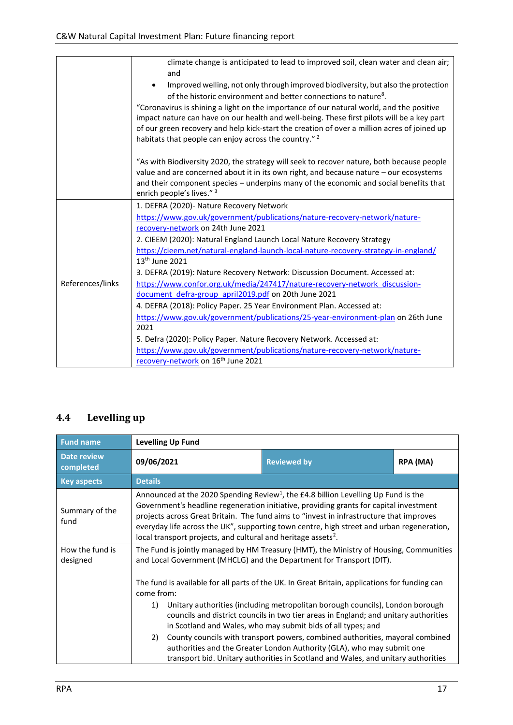|                  | climate change is anticipated to lead to improved soil, clean water and clean air;                                                                                                                                                                                                                                                                        |
|------------------|-----------------------------------------------------------------------------------------------------------------------------------------------------------------------------------------------------------------------------------------------------------------------------------------------------------------------------------------------------------|
|                  | and                                                                                                                                                                                                                                                                                                                                                       |
|                  | Improved welling, not only through improved biodiversity, but also the protection<br>of the historic environment and better connections to nature <sup>8</sup> .                                                                                                                                                                                          |
|                  | "Coronavirus is shining a light on the importance of our natural world, and the positive<br>impact nature can have on our health and well-being. These first pilots will be a key part<br>of our green recovery and help kick-start the creation of over a million acres of joined up<br>habitats that people can enjoy across the country." <sup>2</sup> |
|                  |                                                                                                                                                                                                                                                                                                                                                           |
|                  | "As with Biodiversity 2020, the strategy will seek to recover nature, both because people<br>value and are concerned about it in its own right, and because nature - our ecosystems<br>and their component species - underpins many of the economic and social benefits that<br>enrich people's lives." 3                                                 |
|                  | 1. DEFRA (2020)- Nature Recovery Network                                                                                                                                                                                                                                                                                                                  |
|                  | https://www.gov.uk/government/publications/nature-recovery-network/nature-                                                                                                                                                                                                                                                                                |
|                  | recovery-network on 24th June 2021                                                                                                                                                                                                                                                                                                                        |
|                  | 2. CIEEM (2020): Natural England Launch Local Nature Recovery Strategy                                                                                                                                                                                                                                                                                    |
|                  | https://cieem.net/natural-england-launch-local-nature-recovery-strategy-in-england/                                                                                                                                                                                                                                                                       |
|                  | 13 <sup>th</sup> June 2021                                                                                                                                                                                                                                                                                                                                |
|                  | 3. DEFRA (2019): Nature Recovery Network: Discussion Document. Accessed at:                                                                                                                                                                                                                                                                               |
| References/links | https://www.confor.org.uk/media/247417/nature-recovery-network discussion-                                                                                                                                                                                                                                                                                |
|                  | document defra-group april2019.pdf on 20th June 2021                                                                                                                                                                                                                                                                                                      |
|                  | 4. DEFRA (2018): Policy Paper. 25 Year Environment Plan. Accessed at:                                                                                                                                                                                                                                                                                     |
|                  | https://www.gov.uk/government/publications/25-year-environment-plan on 26th June                                                                                                                                                                                                                                                                          |
|                  | 2021                                                                                                                                                                                                                                                                                                                                                      |
|                  | 5. Defra (2020): Policy Paper. Nature Recovery Network. Accessed at:                                                                                                                                                                                                                                                                                      |
|                  | https://www.gov.uk/government/publications/nature-recovery-network/nature-                                                                                                                                                                                                                                                                                |
|                  | recovery-network on 16 <sup>th</sup> June 2021                                                                                                                                                                                                                                                                                                            |

### <span id="page-16-0"></span>**4.4 Levelling up**

| <b>Fund name</b>                                                                                                                                                                                                                                                                                                                                                                                                                                                                                  | <b>Levelling Up Fund</b>                                                                                                                                                                                                                                                                                                                                                                                                                                      |                                                                                               |          |  |  |  |  |  |  |  |  |
|---------------------------------------------------------------------------------------------------------------------------------------------------------------------------------------------------------------------------------------------------------------------------------------------------------------------------------------------------------------------------------------------------------------------------------------------------------------------------------------------------|---------------------------------------------------------------------------------------------------------------------------------------------------------------------------------------------------------------------------------------------------------------------------------------------------------------------------------------------------------------------------------------------------------------------------------------------------------------|-----------------------------------------------------------------------------------------------|----------|--|--|--|--|--|--|--|--|
| <b>Date review</b><br>completed                                                                                                                                                                                                                                                                                                                                                                                                                                                                   | 09/06/2021                                                                                                                                                                                                                                                                                                                                                                                                                                                    | <b>Reviewed by</b>                                                                            | RPA (MA) |  |  |  |  |  |  |  |  |
| <b>Key aspects</b>                                                                                                                                                                                                                                                                                                                                                                                                                                                                                | <b>Details</b>                                                                                                                                                                                                                                                                                                                                                                                                                                                |                                                                                               |          |  |  |  |  |  |  |  |  |
| Summary of the<br>fund                                                                                                                                                                                                                                                                                                                                                                                                                                                                            | Announced at the 2020 Spending Review <sup>1</sup> , the £4.8 billion Levelling Up Fund is the<br>Government's headline regeneration initiative, providing grants for capital investment<br>projects across Great Britain. The fund aims to "invest in infrastructure that improves<br>everyday life across the UK", supporting town centre, high street and urban regeneration,<br>local transport projects, and cultural and heritage assets <sup>2</sup> . |                                                                                               |          |  |  |  |  |  |  |  |  |
| How the fund is<br>designed                                                                                                                                                                                                                                                                                                                                                                                                                                                                       | The Fund is jointly managed by HM Treasury (HMT), the Ministry of Housing, Communities<br>and Local Government (MHCLG) and the Department for Transport (DfT).                                                                                                                                                                                                                                                                                                |                                                                                               |          |  |  |  |  |  |  |  |  |
|                                                                                                                                                                                                                                                                                                                                                                                                                                                                                                   | come from:                                                                                                                                                                                                                                                                                                                                                                                                                                                    | The fund is available for all parts of the UK. In Great Britain, applications for funding can |          |  |  |  |  |  |  |  |  |
| Unitary authorities (including metropolitan borough councils), London borough<br>1)<br>councils and district councils in two tier areas in England; and unitary authorities<br>in Scotland and Wales, who may submit bids of all types; and<br>County councils with transport powers, combined authorities, mayoral combined<br>2)<br>authorities and the Greater London Authority (GLA), who may submit one<br>transport bid. Unitary authorities in Scotland and Wales, and unitary authorities |                                                                                                                                                                                                                                                                                                                                                                                                                                                               |                                                                                               |          |  |  |  |  |  |  |  |  |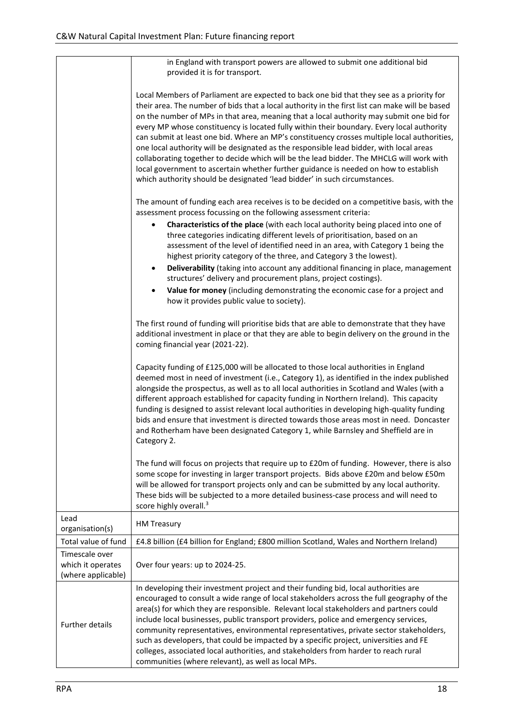|                                                           | in England with transport powers are allowed to submit one additional bid<br>provided it is for transport.                                                                                                                                                                                                                                                                                                                                                                                                                                                                                                                                                                                                                                                                                                                                     |
|-----------------------------------------------------------|------------------------------------------------------------------------------------------------------------------------------------------------------------------------------------------------------------------------------------------------------------------------------------------------------------------------------------------------------------------------------------------------------------------------------------------------------------------------------------------------------------------------------------------------------------------------------------------------------------------------------------------------------------------------------------------------------------------------------------------------------------------------------------------------------------------------------------------------|
|                                                           | Local Members of Parliament are expected to back one bid that they see as a priority for<br>their area. The number of bids that a local authority in the first list can make will be based<br>on the number of MPs in that area, meaning that a local authority may submit one bid for<br>every MP whose constituency is located fully within their boundary. Every local authority<br>can submit at least one bid. Where an MP's constituency crosses multiple local authorities,<br>one local authority will be designated as the responsible lead bidder, with local areas<br>collaborating together to decide which will be the lead bidder. The MHCLG will work with<br>local government to ascertain whether further guidance is needed on how to establish<br>which authority should be designated 'lead bidder' in such circumstances. |
|                                                           | The amount of funding each area receives is to be decided on a competitive basis, with the<br>assessment process focussing on the following assessment criteria:<br>Characteristics of the place (with each local authority being placed into one of<br>٠<br>three categories indicating different levels of prioritisation, based on an<br>assessment of the level of identified need in an area, with Category 1 being the<br>highest priority category of the three, and Category 3 the lowest).<br>Deliverability (taking into account any additional financing in place, management<br>$\bullet$<br>structures' delivery and procurement plans, project costings).<br>Value for money (including demonstrating the economic case for a project and<br>how it provides public value to society).                                           |
|                                                           | The first round of funding will prioritise bids that are able to demonstrate that they have<br>additional investment in place or that they are able to begin delivery on the ground in the<br>coming financial year (2021-22).                                                                                                                                                                                                                                                                                                                                                                                                                                                                                                                                                                                                                 |
|                                                           | Capacity funding of £125,000 will be allocated to those local authorities in England<br>deemed most in need of investment (i.e., Category 1), as identified in the index published<br>alongside the prospectus, as well as to all local authorities in Scotland and Wales (with a<br>different approach established for capacity funding in Northern Ireland). This capacity<br>funding is designed to assist relevant local authorities in developing high-quality funding<br>bids and ensure that investment is directed towards those areas most in need. Doncaster<br>and Rotherham have been designated Category 1, while Barnsley and Sheffield are in<br>Category 2.                                                                                                                                                                    |
|                                                           | The fund will focus on projects that require up to £20m of funding. However, there is also<br>some scope for investing in larger transport projects. Bids above £20m and below £50m<br>will be allowed for transport projects only and can be submitted by any local authority.<br>These bids will be subjected to a more detailed business-case process and will need to<br>score highly overall. <sup>3</sup>                                                                                                                                                                                                                                                                                                                                                                                                                                |
| Lead<br>organisation(s)                                   | <b>HM Treasury</b>                                                                                                                                                                                                                                                                                                                                                                                                                                                                                                                                                                                                                                                                                                                                                                                                                             |
| Total value of fund                                       | £4.8 billion (£4 billion for England; £800 million Scotland, Wales and Northern Ireland)                                                                                                                                                                                                                                                                                                                                                                                                                                                                                                                                                                                                                                                                                                                                                       |
| Timescale over<br>which it operates<br>(where applicable) | Over four years: up to 2024-25.                                                                                                                                                                                                                                                                                                                                                                                                                                                                                                                                                                                                                                                                                                                                                                                                                |
| <b>Further details</b>                                    | In developing their investment project and their funding bid, local authorities are<br>encouraged to consult a wide range of local stakeholders across the full geography of the<br>area(s) for which they are responsible. Relevant local stakeholders and partners could<br>include local businesses, public transport providers, police and emergency services,<br>community representatives, environmental representatives, private sector stakeholders,<br>such as developers, that could be impacted by a specific project, universities and FE<br>colleges, associated local authorities, and stakeholders from harder to reach rural<br>communities (where relevant), as well as local MPs.                                                                                                                                            |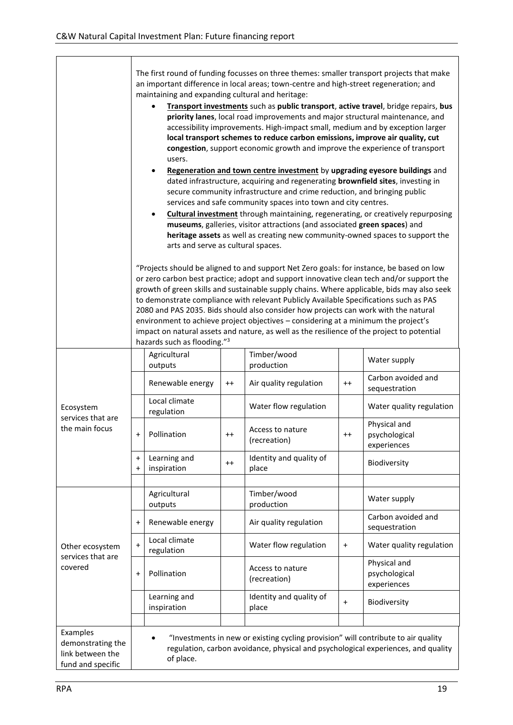|                                                            | The first round of funding focusses on three themes: smaller transport projects that make<br>an important difference in local areas; town-centre and high-street regeneration; and<br>maintaining and expanding cultural and heritage:                                                                                                                                                                                                                                                                                                                                                                                                                                                |                                                                                                                                                                                                                                                                                                                          |         |                                                                                                                                                            |                 |                                                                                         |  |  |
|------------------------------------------------------------|---------------------------------------------------------------------------------------------------------------------------------------------------------------------------------------------------------------------------------------------------------------------------------------------------------------------------------------------------------------------------------------------------------------------------------------------------------------------------------------------------------------------------------------------------------------------------------------------------------------------------------------------------------------------------------------|--------------------------------------------------------------------------------------------------------------------------------------------------------------------------------------------------------------------------------------------------------------------------------------------------------------------------|---------|------------------------------------------------------------------------------------------------------------------------------------------------------------|-----------------|-----------------------------------------------------------------------------------------|--|--|
|                                                            | Transport investments such as public transport, active travel, bridge repairs, bus<br>priority lanes, local road improvements and major structural maintenance, and<br>accessibility improvements. High-impact small, medium and by exception larger<br>local transport schemes to reduce carbon emissions, improve air quality, cut<br>congestion, support economic growth and improve the experience of transport<br>users.                                                                                                                                                                                                                                                         |                                                                                                                                                                                                                                                                                                                          |         |                                                                                                                                                            |                 |                                                                                         |  |  |
|                                                            |                                                                                                                                                                                                                                                                                                                                                                                                                                                                                                                                                                                                                                                                                       | Regeneration and town centre investment by upgrading eyesore buildings and<br>$\bullet$<br>dated infrastructure, acquiring and regenerating brownfield sites, investing in<br>secure community infrastructure and crime reduction, and bringing public<br>services and safe community spaces into town and city centres. |         |                                                                                                                                                            |                 |                                                                                         |  |  |
|                                                            |                                                                                                                                                                                                                                                                                                                                                                                                                                                                                                                                                                                                                                                                                       | $\bullet$<br>arts and serve as cultural spaces.                                                                                                                                                                                                                                                                          |         | museums, galleries, visitor attractions (and associated green spaces) and<br>heritage assets as well as creating new community-owned spaces to support the |                 | <b>Cultural investment</b> through maintaining, regenerating, or creatively repurposing |  |  |
|                                                            | "Projects should be aligned to and support Net Zero goals: for instance, be based on low<br>or zero carbon best practice; adopt and support innovative clean tech and/or support the<br>growth of green skills and sustainable supply chains. Where applicable, bids may also seek<br>to demonstrate compliance with relevant Publicly Available Specifications such as PAS<br>2080 and PAS 2035. Bids should also consider how projects can work with the natural<br>environment to achieve project objectives - considering at a minimum the project's<br>impact on natural assets and nature, as well as the resilience of the project to potential<br>hazards such as flooding."3 |                                                                                                                                                                                                                                                                                                                          |         |                                                                                                                                                            |                 |                                                                                         |  |  |
|                                                            |                                                                                                                                                                                                                                                                                                                                                                                                                                                                                                                                                                                                                                                                                       | Agricultural<br>outputs                                                                                                                                                                                                                                                                                                  |         | Timber/wood<br>production                                                                                                                                  |                 | Water supply                                                                            |  |  |
|                                                            |                                                                                                                                                                                                                                                                                                                                                                                                                                                                                                                                                                                                                                                                                       | Renewable energy                                                                                                                                                                                                                                                                                                         | $^{++}$ | Air quality regulation                                                                                                                                     | $^{++}$         | Carbon avoided and<br>sequestration                                                     |  |  |
| Ecosystem                                                  |                                                                                                                                                                                                                                                                                                                                                                                                                                                                                                                                                                                                                                                                                       | Local climate<br>regulation                                                                                                                                                                                                                                                                                              |         | Water flow regulation                                                                                                                                      |                 | Water quality regulation                                                                |  |  |
| services that are<br>the main focus                        | $\ddot{}$                                                                                                                                                                                                                                                                                                                                                                                                                                                                                                                                                                                                                                                                             | Pollination                                                                                                                                                                                                                                                                                                              | $^{++}$ | Access to nature<br>(recreation)                                                                                                                           | $^{\mathrm{+}}$ | Physical and<br>psychological<br>experiences                                            |  |  |
|                                                            | $\pmb{+}$<br>$\ddot{}$                                                                                                                                                                                                                                                                                                                                                                                                                                                                                                                                                                                                                                                                | Learning and<br>inspiration                                                                                                                                                                                                                                                                                              | $^{++}$ | Identity and quality of<br>place                                                                                                                           |                 | Biodiversity                                                                            |  |  |
|                                                            |                                                                                                                                                                                                                                                                                                                                                                                                                                                                                                                                                                                                                                                                                       |                                                                                                                                                                                                                                                                                                                          |         |                                                                                                                                                            |                 |                                                                                         |  |  |
|                                                            |                                                                                                                                                                                                                                                                                                                                                                                                                                                                                                                                                                                                                                                                                       | Agricultural<br>outputs                                                                                                                                                                                                                                                                                                  |         | Timber/wood<br>production                                                                                                                                  |                 | Water supply                                                                            |  |  |
|                                                            | $\pmb{+}$                                                                                                                                                                                                                                                                                                                                                                                                                                                                                                                                                                                                                                                                             | Renewable energy                                                                                                                                                                                                                                                                                                         |         | Air quality regulation                                                                                                                                     |                 | Carbon avoided and<br>sequestration                                                     |  |  |
| Other ecosystem<br>services that are                       | $\ddot{}$                                                                                                                                                                                                                                                                                                                                                                                                                                                                                                                                                                                                                                                                             | Local climate<br>regulation                                                                                                                                                                                                                                                                                              |         | Water flow regulation                                                                                                                                      | $\ddot{}$       | Water quality regulation                                                                |  |  |
| covered                                                    | $\ddot{}$                                                                                                                                                                                                                                                                                                                                                                                                                                                                                                                                                                                                                                                                             | Pollination                                                                                                                                                                                                                                                                                                              |         | Access to nature<br>(recreation)                                                                                                                           |                 | Physical and<br>psychological<br>experiences                                            |  |  |
|                                                            |                                                                                                                                                                                                                                                                                                                                                                                                                                                                                                                                                                                                                                                                                       | Learning and<br>inspiration                                                                                                                                                                                                                                                                                              |         | Identity and quality of<br>place                                                                                                                           | $\ddot{}$       | Biodiversity                                                                            |  |  |
| Examples                                                   |                                                                                                                                                                                                                                                                                                                                                                                                                                                                                                                                                                                                                                                                                       |                                                                                                                                                                                                                                                                                                                          |         |                                                                                                                                                            |                 |                                                                                         |  |  |
| demonstrating the<br>link between the<br>fund and specific |                                                                                                                                                                                                                                                                                                                                                                                                                                                                                                                                                                                                                                                                                       | of place.                                                                                                                                                                                                                                                                                                                |         | "Investments in new or existing cycling provision" will contribute to air quality                                                                          |                 | regulation, carbon avoidance, physical and psychological experiences, and quality       |  |  |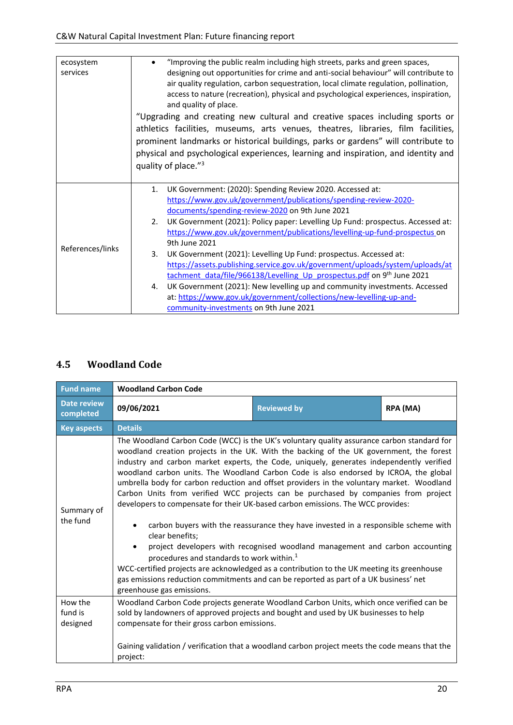| ecosystem<br>services | "Improving the public realm including high streets, parks and green spaces,<br>designing out opportunities for crime and anti-social behaviour" will contribute to<br>air quality regulation, carbon sequestration, local climate regulation, pollination,<br>access to nature (recreation), physical and psychological experiences, inspiration,<br>and quality of place.<br>"Upgrading and creating new cultural and creative spaces including sports or<br>athletics facilities, museums, arts venues, theatres, libraries, film facilities,<br>prominent landmarks or historical buildings, parks or gardens" will contribute to<br>physical and psychological experiences, learning and inspiration, and identity and<br>quality of place."3                                                                                     |  |  |  |  |  |
|-----------------------|---------------------------------------------------------------------------------------------------------------------------------------------------------------------------------------------------------------------------------------------------------------------------------------------------------------------------------------------------------------------------------------------------------------------------------------------------------------------------------------------------------------------------------------------------------------------------------------------------------------------------------------------------------------------------------------------------------------------------------------------------------------------------------------------------------------------------------------|--|--|--|--|--|
| References/links      | UK Government: (2020): Spending Review 2020. Accessed at:<br>1.<br>https://www.gov.uk/government/publications/spending-review-2020-<br>documents/spending-review-2020 on 9th June 2021<br>UK Government (2021): Policy paper: Levelling Up Fund: prospectus. Accessed at:<br>2.<br>https://www.gov.uk/government/publications/levelling-up-fund-prospectus on<br>9th June 2021<br>UK Government (2021): Levelling Up Fund: prospectus. Accessed at:<br>3.<br>https://assets.publishing.service.gov.uk/government/uploads/system/uploads/at<br>tachment data/file/966138/Levelling Up prospectus.pdf on 9 <sup>th</sup> June 2021<br>UK Government (2021): New levelling up and community investments. Accessed<br>4.<br>at: https://www.gov.uk/government/collections/new-levelling-up-and-<br>community-investments on 9th June 2021 |  |  |  |  |  |

# <span id="page-19-0"></span>**4.5 Woodland Code**

| <b>Fund name</b>                | <b>Woodland Carbon Code</b>                                                                                                                                                                                                                                                                                                                                                                                                                                                                                                                                                                                                                                                                                                                                                                                                                                                                                                                      |                                                                                                                                                                    |  |  |  |  |  |  |
|---------------------------------|--------------------------------------------------------------------------------------------------------------------------------------------------------------------------------------------------------------------------------------------------------------------------------------------------------------------------------------------------------------------------------------------------------------------------------------------------------------------------------------------------------------------------------------------------------------------------------------------------------------------------------------------------------------------------------------------------------------------------------------------------------------------------------------------------------------------------------------------------------------------------------------------------------------------------------------------------|--------------------------------------------------------------------------------------------------------------------------------------------------------------------|--|--|--|--|--|--|
| <b>Date review</b><br>completed | 09/06/2021<br><b>Reviewed by</b><br>RPA (MA)                                                                                                                                                                                                                                                                                                                                                                                                                                                                                                                                                                                                                                                                                                                                                                                                                                                                                                     |                                                                                                                                                                    |  |  |  |  |  |  |
| <b>Key aspects</b>              | <b>Details</b>                                                                                                                                                                                                                                                                                                                                                                                                                                                                                                                                                                                                                                                                                                                                                                                                                                                                                                                                   |                                                                                                                                                                    |  |  |  |  |  |  |
| Summary of<br>the fund          | The Woodland Carbon Code (WCC) is the UK's voluntary quality assurance carbon standard for<br>woodland creation projects in the UK. With the backing of the UK government, the forest<br>industry and carbon market experts, the Code, uniquely, generates independently verified<br>woodland carbon units. The Woodland Carbon Code is also endorsed by ICROA, the global<br>umbrella body for carbon reduction and offset providers in the voluntary market. Woodland<br>Carbon Units from verified WCC projects can be purchased by companies from project<br>developers to compensate for their UK-based carbon emissions. The WCC provides:<br>clear benefits;<br>procedures and standards to work within. <sup>1</sup><br>WCC-certified projects are acknowledged as a contribution to the UK meeting its greenhouse<br>gas emissions reduction commitments and can be reported as part of a UK business' net<br>greenhouse gas emissions. | carbon buyers with the reassurance they have invested in a responsible scheme with<br>project developers with recognised woodland management and carbon accounting |  |  |  |  |  |  |
| How the<br>fund is<br>designed  | Woodland Carbon Code projects generate Woodland Carbon Units, which once verified can be<br>sold by landowners of approved projects and bought and used by UK businesses to help<br>compensate for their gross carbon emissions.                                                                                                                                                                                                                                                                                                                                                                                                                                                                                                                                                                                                                                                                                                                 |                                                                                                                                                                    |  |  |  |  |  |  |
|                                 | Gaining validation / verification that a woodland carbon project meets the code means that the<br>project:                                                                                                                                                                                                                                                                                                                                                                                                                                                                                                                                                                                                                                                                                                                                                                                                                                       |                                                                                                                                                                    |  |  |  |  |  |  |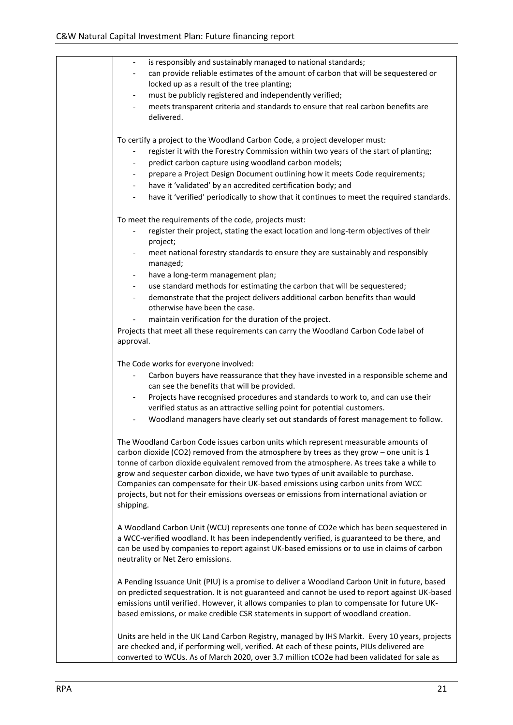| is responsibly and sustainably managed to national standards;                                                                                                                                                                                                                                                                                                                                                                                                                                                                                                   |
|-----------------------------------------------------------------------------------------------------------------------------------------------------------------------------------------------------------------------------------------------------------------------------------------------------------------------------------------------------------------------------------------------------------------------------------------------------------------------------------------------------------------------------------------------------------------|
| can provide reliable estimates of the amount of carbon that will be sequestered or                                                                                                                                                                                                                                                                                                                                                                                                                                                                              |
| locked up as a result of the tree planting;                                                                                                                                                                                                                                                                                                                                                                                                                                                                                                                     |
| must be publicly registered and independently verified;                                                                                                                                                                                                                                                                                                                                                                                                                                                                                                         |
| meets transparent criteria and standards to ensure that real carbon benefits are                                                                                                                                                                                                                                                                                                                                                                                                                                                                                |
| delivered.                                                                                                                                                                                                                                                                                                                                                                                                                                                                                                                                                      |
| To certify a project to the Woodland Carbon Code, a project developer must:                                                                                                                                                                                                                                                                                                                                                                                                                                                                                     |
| register it with the Forestry Commission within two years of the start of planting;                                                                                                                                                                                                                                                                                                                                                                                                                                                                             |
| predict carbon capture using woodland carbon models;                                                                                                                                                                                                                                                                                                                                                                                                                                                                                                            |
| prepare a Project Design Document outlining how it meets Code requirements;                                                                                                                                                                                                                                                                                                                                                                                                                                                                                     |
| have it 'validated' by an accredited certification body; and                                                                                                                                                                                                                                                                                                                                                                                                                                                                                                    |
| have it 'verified' periodically to show that it continues to meet the required standards.<br>$\blacksquare$                                                                                                                                                                                                                                                                                                                                                                                                                                                     |
|                                                                                                                                                                                                                                                                                                                                                                                                                                                                                                                                                                 |
| To meet the requirements of the code, projects must:                                                                                                                                                                                                                                                                                                                                                                                                                                                                                                            |
| register their project, stating the exact location and long-term objectives of their                                                                                                                                                                                                                                                                                                                                                                                                                                                                            |
| project;                                                                                                                                                                                                                                                                                                                                                                                                                                                                                                                                                        |
| meet national forestry standards to ensure they are sustainably and responsibly<br>managed;                                                                                                                                                                                                                                                                                                                                                                                                                                                                     |
| have a long-term management plan;                                                                                                                                                                                                                                                                                                                                                                                                                                                                                                                               |
| $\blacksquare$                                                                                                                                                                                                                                                                                                                                                                                                                                                                                                                                                  |
| use standard methods for estimating the carbon that will be sequestered;                                                                                                                                                                                                                                                                                                                                                                                                                                                                                        |
| demonstrate that the project delivers additional carbon benefits than would<br>otherwise have been the case.                                                                                                                                                                                                                                                                                                                                                                                                                                                    |
| maintain verification for the duration of the project.                                                                                                                                                                                                                                                                                                                                                                                                                                                                                                          |
| Projects that meet all these requirements can carry the Woodland Carbon Code label of                                                                                                                                                                                                                                                                                                                                                                                                                                                                           |
| approval.                                                                                                                                                                                                                                                                                                                                                                                                                                                                                                                                                       |
|                                                                                                                                                                                                                                                                                                                                                                                                                                                                                                                                                                 |
| The Code works for everyone involved:                                                                                                                                                                                                                                                                                                                                                                                                                                                                                                                           |
| Carbon buyers have reassurance that they have invested in a responsible scheme and<br>can see the benefits that will be provided.                                                                                                                                                                                                                                                                                                                                                                                                                               |
| Projects have recognised procedures and standards to work to, and can use their                                                                                                                                                                                                                                                                                                                                                                                                                                                                                 |
| verified status as an attractive selling point for potential customers.                                                                                                                                                                                                                                                                                                                                                                                                                                                                                         |
| Woodland managers have clearly set out standards of forest management to follow.                                                                                                                                                                                                                                                                                                                                                                                                                                                                                |
| The Woodland Carbon Code issues carbon units which represent measurable amounts of<br>carbon dioxide (CO2) removed from the atmosphere by trees as they grow - one unit is 1<br>tonne of carbon dioxide equivalent removed from the atmosphere. As trees take a while to<br>grow and sequester carbon dioxide, we have two types of unit available to purchase.<br>Companies can compensate for their UK-based emissions using carbon units from WCC<br>projects, but not for their emissions overseas or emissions from international aviation or<br>shipping. |
| A Woodland Carbon Unit (WCU) represents one tonne of CO2e which has been sequestered in<br>a WCC-verified woodland. It has been independently verified, is guaranteed to be there, and<br>can be used by companies to report against UK-based emissions or to use in claims of carbon<br>neutrality or Net Zero emissions.                                                                                                                                                                                                                                      |
| A Pending Issuance Unit (PIU) is a promise to deliver a Woodland Carbon Unit in future, based<br>on predicted sequestration. It is not guaranteed and cannot be used to report against UK-based<br>emissions until verified. However, it allows companies to plan to compensate for future UK-<br>based emissions, or make credible CSR statements in support of woodland creation.                                                                                                                                                                             |
| Units are held in the UK Land Carbon Registry, managed by IHS Markit. Every 10 years, projects<br>are checked and, if performing well, verified. At each of these points, PIUs delivered are<br>converted to WCUs. As of March 2020, over 3.7 million tCO2e had been validated for sale as                                                                                                                                                                                                                                                                      |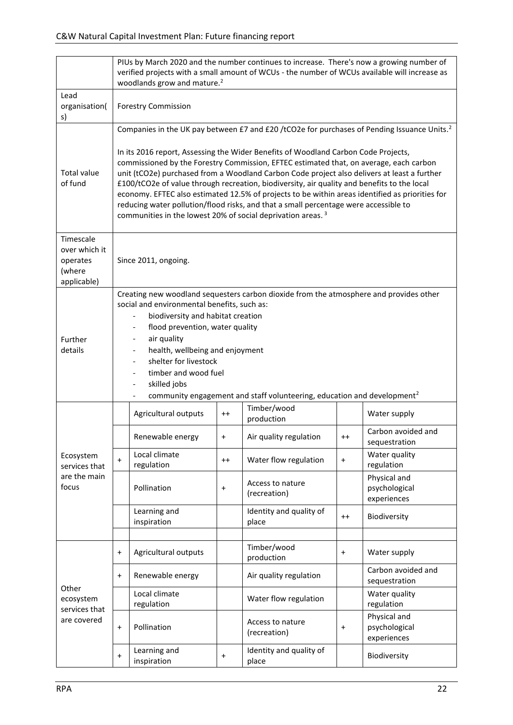|                                                                 | PIUs by March 2020 and the number continues to increase. There's now a growing number of<br>verified projects with a small amount of WCUs - the number of WCUs available will increase as<br>woodlands grow and mature. <sup>2</sup>                                                                                                                                                                                                                                                                                                                                                                                                                                                                                                                        |                             |           |                                  |           |                                              |  |
|-----------------------------------------------------------------|-------------------------------------------------------------------------------------------------------------------------------------------------------------------------------------------------------------------------------------------------------------------------------------------------------------------------------------------------------------------------------------------------------------------------------------------------------------------------------------------------------------------------------------------------------------------------------------------------------------------------------------------------------------------------------------------------------------------------------------------------------------|-----------------------------|-----------|----------------------------------|-----------|----------------------------------------------|--|
| Lead<br>organisation(<br>s)                                     | <b>Forestry Commission</b>                                                                                                                                                                                                                                                                                                                                                                                                                                                                                                                                                                                                                                                                                                                                  |                             |           |                                  |           |                                              |  |
| <b>Total value</b><br>of fund                                   | Companies in the UK pay between £7 and £20 /tCO2e for purchases of Pending Issuance Units. <sup>2</sup><br>In its 2016 report, Assessing the Wider Benefits of Woodland Carbon Code Projects,<br>commissioned by the Forestry Commission, EFTEC estimated that, on average, each carbon<br>unit (tCO2e) purchased from a Woodland Carbon Code project also delivers at least a further<br>£100/tCO2e of value through recreation, biodiversity, air quality and benefits to the local<br>economy. EFTEC also estimated 12.5% of projects to be within areas identified as priorities for<br>reducing water pollution/flood risks, and that a small percentage were accessible to<br>communities in the lowest 20% of social deprivation areas. <sup>3</sup> |                             |           |                                  |           |                                              |  |
| Timescale<br>over which it<br>operates<br>(where<br>applicable) | Since 2011, ongoing.                                                                                                                                                                                                                                                                                                                                                                                                                                                                                                                                                                                                                                                                                                                                        |                             |           |                                  |           |                                              |  |
| Further<br>details                                              | Creating new woodland sequesters carbon dioxide from the atmosphere and provides other<br>social and environmental benefits, such as:<br>biodiversity and habitat creation<br>flood prevention, water quality<br>air quality<br>health, wellbeing and enjoyment<br>shelter for livestock<br>timber and wood fuel<br>skilled jobs<br>community engagement and staff volunteering, education and development <sup>2</sup>                                                                                                                                                                                                                                                                                                                                     |                             |           |                                  |           |                                              |  |
|                                                                 |                                                                                                                                                                                                                                                                                                                                                                                                                                                                                                                                                                                                                                                                                                                                                             | Agricultural outputs        | $++$      | Timber/wood<br>production        |           | Water supply                                 |  |
|                                                                 |                                                                                                                                                                                                                                                                                                                                                                                                                                                                                                                                                                                                                                                                                                                                                             | Renewable energy            | $\ddot{}$ | Air quality regulation           | $^{++}$   | Carbon avoided and<br>sequestration          |  |
| Ecosystem<br>services that                                      | $\ddot{}$                                                                                                                                                                                                                                                                                                                                                                                                                                                                                                                                                                                                                                                                                                                                                   | Local climate<br>regulation | $^{++}$   | Water flow regulation            | $\ddot{}$ | Water quality<br>regulation                  |  |
| are the main<br>focus                                           |                                                                                                                                                                                                                                                                                                                                                                                                                                                                                                                                                                                                                                                                                                                                                             | Pollination                 | $\pmb{+}$ | Access to nature<br>(recreation) |           | Physical and<br>psychological<br>experiences |  |
|                                                                 |                                                                                                                                                                                                                                                                                                                                                                                                                                                                                                                                                                                                                                                                                                                                                             | Learning and<br>inspiration |           | Identity and quality of<br>place | $++$      | Biodiversity                                 |  |
|                                                                 | $\ddot{}$                                                                                                                                                                                                                                                                                                                                                                                                                                                                                                                                                                                                                                                                                                                                                   | Agricultural outputs        |           | Timber/wood<br>production        | $\ddot{}$ | Water supply                                 |  |
|                                                                 | $\ddot{}$                                                                                                                                                                                                                                                                                                                                                                                                                                                                                                                                                                                                                                                                                                                                                   | Renewable energy            |           | Air quality regulation           |           | Carbon avoided and<br>sequestration          |  |
| Other<br>ecosystem<br>services that                             |                                                                                                                                                                                                                                                                                                                                                                                                                                                                                                                                                                                                                                                                                                                                                             | Local climate<br>regulation |           | Water flow regulation            |           | Water quality<br>regulation                  |  |
| are covered                                                     | $\ddot{}$                                                                                                                                                                                                                                                                                                                                                                                                                                                                                                                                                                                                                                                                                                                                                   | Pollination                 |           | Access to nature<br>(recreation) | $\ddot{}$ | Physical and<br>psychological<br>experiences |  |
|                                                                 | $\ddot{}$                                                                                                                                                                                                                                                                                                                                                                                                                                                                                                                                                                                                                                                                                                                                                   | Learning and<br>inspiration | $\ddot{}$ | Identity and quality of<br>place |           | Biodiversity                                 |  |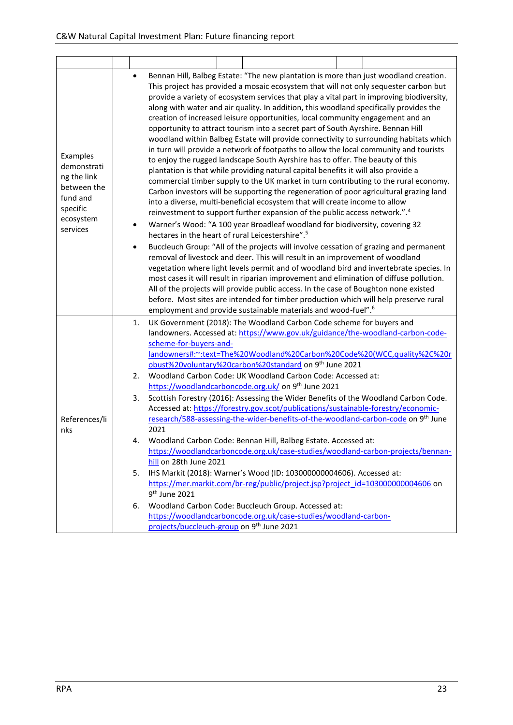|                      |                                                                                      | $\bullet$                                                                               |                                                                                                                                                                        |                                                                                      | Bennan Hill, Balbeg Estate: "The new plantation is more than just woodland creation.          |  |  |  |  |  |  |  |
|----------------------|--------------------------------------------------------------------------------------|-----------------------------------------------------------------------------------------|------------------------------------------------------------------------------------------------------------------------------------------------------------------------|--------------------------------------------------------------------------------------|-----------------------------------------------------------------------------------------------|--|--|--|--|--|--|--|
|                      | This project has provided a mosaic ecosystem that will not only sequester carbon but |                                                                                         |                                                                                                                                                                        |                                                                                      |                                                                                               |  |  |  |  |  |  |  |
|                      |                                                                                      |                                                                                         |                                                                                                                                                                        |                                                                                      | provide a variety of ecosystem services that play a vital part in improving biodiversity,     |  |  |  |  |  |  |  |
|                      |                                                                                      | along with water and air quality. In addition, this woodland specifically provides the  |                                                                                                                                                                        |                                                                                      |                                                                                               |  |  |  |  |  |  |  |
|                      |                                                                                      |                                                                                         |                                                                                                                                                                        |                                                                                      | creation of increased leisure opportunities, local community engagement and an                |  |  |  |  |  |  |  |
|                      |                                                                                      |                                                                                         |                                                                                                                                                                        |                                                                                      | opportunity to attract tourism into a secret part of South Ayrshire. Bennan Hill              |  |  |  |  |  |  |  |
|                      |                                                                                      |                                                                                         |                                                                                                                                                                        |                                                                                      | woodland within Balbeg Estate will provide connectivity to surrounding habitats which         |  |  |  |  |  |  |  |
| Examples             |                                                                                      |                                                                                         |                                                                                                                                                                        |                                                                                      | in turn will provide a network of footpaths to allow the local community and tourists         |  |  |  |  |  |  |  |
| demonstrati          | to enjoy the rugged landscape South Ayrshire has to offer. The beauty of this        |                                                                                         |                                                                                                                                                                        |                                                                                      |                                                                                               |  |  |  |  |  |  |  |
| ng the link          |                                                                                      |                                                                                         | plantation is that while providing natural capital benefits it will also provide a                                                                                     |                                                                                      |                                                                                               |  |  |  |  |  |  |  |
| between the          |                                                                                      |                                                                                         |                                                                                                                                                                        | commercial timber supply to the UK market in turn contributing to the rural economy. |                                                                                               |  |  |  |  |  |  |  |
| fund and             |                                                                                      |                                                                                         |                                                                                                                                                                        |                                                                                      | Carbon investors will be supporting the regeneration of poor agricultural grazing land        |  |  |  |  |  |  |  |
| specific             |                                                                                      |                                                                                         |                                                                                                                                                                        |                                                                                      | into a diverse, multi-beneficial ecosystem that will create income to allow                   |  |  |  |  |  |  |  |
| ecosystem            |                                                                                      |                                                                                         |                                                                                                                                                                        |                                                                                      | reinvestment to support further expansion of the public access network.". <sup>4</sup>        |  |  |  |  |  |  |  |
| services             |                                                                                      | Warner's Wood: "A 100 year Broadleaf woodland for biodiversity, covering 32<br>٠        |                                                                                                                                                                        |                                                                                      |                                                                                               |  |  |  |  |  |  |  |
|                      |                                                                                      | hectares in the heart of rural Leicestershire". <sup>5</sup>                            |                                                                                                                                                                        |                                                                                      |                                                                                               |  |  |  |  |  |  |  |
|                      |                                                                                      |                                                                                         | Buccleuch Group: "All of the projects will involve cessation of grazing and permanent<br>removal of livestock and deer. This will result in an improvement of woodland |                                                                                      |                                                                                               |  |  |  |  |  |  |  |
|                      |                                                                                      |                                                                                         | vegetation where light levels permit and of woodland bird and invertebrate species. In                                                                                 |                                                                                      |                                                                                               |  |  |  |  |  |  |  |
|                      |                                                                                      | most cases it will result in riparian improvement and elimination of diffuse pollution. |                                                                                                                                                                        |                                                                                      |                                                                                               |  |  |  |  |  |  |  |
|                      |                                                                                      |                                                                                         |                                                                                                                                                                        |                                                                                      | All of the projects will provide public access. In the case of Boughton none existed          |  |  |  |  |  |  |  |
|                      |                                                                                      |                                                                                         |                                                                                                                                                                        |                                                                                      | before. Most sites are intended for timber production which will help preserve rural          |  |  |  |  |  |  |  |
|                      |                                                                                      |                                                                                         |                                                                                                                                                                        |                                                                                      | employment and provide sustainable materials and wood-fuel". <sup>6</sup>                     |  |  |  |  |  |  |  |
|                      |                                                                                      | UK Government (2018): The Woodland Carbon Code scheme for buyers and<br>1.              |                                                                                                                                                                        |                                                                                      |                                                                                               |  |  |  |  |  |  |  |
|                      |                                                                                      |                                                                                         | landowners. Accessed at: https://www.gov.uk/guidance/the-woodland-carbon-code-                                                                                         |                                                                                      |                                                                                               |  |  |  |  |  |  |  |
|                      |                                                                                      |                                                                                         | scheme-for-buyers-and-                                                                                                                                                 |                                                                                      |                                                                                               |  |  |  |  |  |  |  |
|                      |                                                                                      | landowners#:~:text=The%20Woodland%20Carbon%20Code%20(WCC,quality%2C%20r                 |                                                                                                                                                                        |                                                                                      |                                                                                               |  |  |  |  |  |  |  |
|                      |                                                                                      | obust%20voluntary%20carbon%20standard on 9th June 2021                                  |                                                                                                                                                                        |                                                                                      |                                                                                               |  |  |  |  |  |  |  |
|                      |                                                                                      | 2.                                                                                      | Woodland Carbon Code: UK Woodland Carbon Code: Accessed at:                                                                                                            |                                                                                      |                                                                                               |  |  |  |  |  |  |  |
|                      |                                                                                      | 3.                                                                                      |                                                                                                                                                                        |                                                                                      | https://woodlandcarboncode.org.uk/ on 9 <sup>th</sup> June 2021                               |  |  |  |  |  |  |  |
|                      |                                                                                      | Scottish Forestry (2016): Assessing the Wider Benefits of the Woodland Carbon Code.     |                                                                                                                                                                        |                                                                                      |                                                                                               |  |  |  |  |  |  |  |
|                      |                                                                                      |                                                                                         |                                                                                                                                                                        |                                                                                      | Accessed at: https://forestry.gov.scot/publications/sustainable-forestry/economic-            |  |  |  |  |  |  |  |
| References/li<br>nks |                                                                                      |                                                                                         | 2021                                                                                                                                                                   |                                                                                      | research/588-assessing-the-wider-benefits-of-the-woodland-carbon-code on 9 <sup>th</sup> June |  |  |  |  |  |  |  |
|                      |                                                                                      | 4.                                                                                      |                                                                                                                                                                        |                                                                                      | Woodland Carbon Code: Bennan Hill, Balbeg Estate. Accessed at:                                |  |  |  |  |  |  |  |
|                      |                                                                                      |                                                                                         |                                                                                                                                                                        |                                                                                      | https://woodlandcarboncode.org.uk/case-studies/woodland-carbon-projects/bennan-               |  |  |  |  |  |  |  |
|                      |                                                                                      |                                                                                         | hill on 28th June 2021                                                                                                                                                 |                                                                                      |                                                                                               |  |  |  |  |  |  |  |
|                      |                                                                                      | 5.                                                                                      |                                                                                                                                                                        |                                                                                      | IHS Markit (2018): Warner's Wood (ID: 103000000004606). Accessed at:                          |  |  |  |  |  |  |  |
|                      |                                                                                      |                                                                                         |                                                                                                                                                                        |                                                                                      | https://mer.markit.com/br-reg/public/project.jsp?project_id=103000000004606_on                |  |  |  |  |  |  |  |
|                      |                                                                                      |                                                                                         | 9 <sup>th</sup> June 2021                                                                                                                                              |                                                                                      |                                                                                               |  |  |  |  |  |  |  |
|                      |                                                                                      | 6.                                                                                      |                                                                                                                                                                        |                                                                                      | Woodland Carbon Code: Buccleuch Group. Accessed at:                                           |  |  |  |  |  |  |  |
|                      |                                                                                      |                                                                                         |                                                                                                                                                                        |                                                                                      | https://woodlandcarboncode.org.uk/case-studies/woodland-carbon-                               |  |  |  |  |  |  |  |
|                      |                                                                                      | projects/buccleuch-group on 9th June 2021                                               |                                                                                                                                                                        |                                                                                      |                                                                                               |  |  |  |  |  |  |  |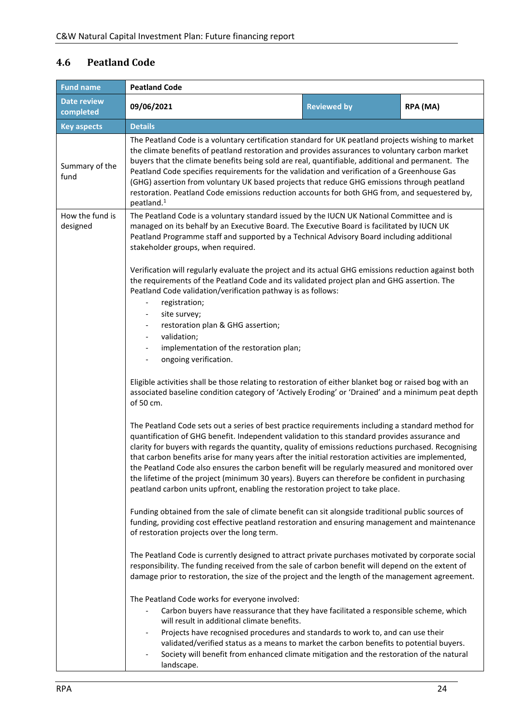#### <span id="page-23-0"></span>**4.6 Peatland Code**

| <b>Fund name</b>                | <b>Peatland Code</b>                                                                                                                                                                                                                                                                                                                                                                                                                                                                                                                                                                                                                                                                                      |                                                                                                                                                                                                                                                                                                                                                                                                                                                                                                                                                                                                             |  |  |  |  |  |  |  |
|---------------------------------|-----------------------------------------------------------------------------------------------------------------------------------------------------------------------------------------------------------------------------------------------------------------------------------------------------------------------------------------------------------------------------------------------------------------------------------------------------------------------------------------------------------------------------------------------------------------------------------------------------------------------------------------------------------------------------------------------------------|-------------------------------------------------------------------------------------------------------------------------------------------------------------------------------------------------------------------------------------------------------------------------------------------------------------------------------------------------------------------------------------------------------------------------------------------------------------------------------------------------------------------------------------------------------------------------------------------------------------|--|--|--|--|--|--|--|
| <b>Date review</b><br>completed | 09/06/2021                                                                                                                                                                                                                                                                                                                                                                                                                                                                                                                                                                                                                                                                                                | <b>Reviewed by</b><br>RPA (MA)                                                                                                                                                                                                                                                                                                                                                                                                                                                                                                                                                                              |  |  |  |  |  |  |  |
| <b>Key aspects</b>              | <b>Details</b>                                                                                                                                                                                                                                                                                                                                                                                                                                                                                                                                                                                                                                                                                            |                                                                                                                                                                                                                                                                                                                                                                                                                                                                                                                                                                                                             |  |  |  |  |  |  |  |
| Summary of the<br>fund          | peatland. <sup>1</sup>                                                                                                                                                                                                                                                                                                                                                                                                                                                                                                                                                                                                                                                                                    | The Peatland Code is a voluntary certification standard for UK peatland projects wishing to market<br>the climate benefits of peatland restoration and provides assurances to voluntary carbon market<br>buyers that the climate benefits being sold are real, quantifiable, additional and permanent. The<br>Peatland Code specifies requirements for the validation and verification of a Greenhouse Gas<br>(GHG) assertion from voluntary UK based projects that reduce GHG emissions through peatland<br>restoration. Peatland Code emissions reduction accounts for both GHG from, and sequestered by, |  |  |  |  |  |  |  |
| How the fund is<br>designed     | The Peatland Code is a voluntary standard issued by the IUCN UK National Committee and is<br>managed on its behalf by an Executive Board. The Executive Board is facilitated by IUCN UK<br>Peatland Programme staff and supported by a Technical Advisory Board including additional<br>stakeholder groups, when required.                                                                                                                                                                                                                                                                                                                                                                                |                                                                                                                                                                                                                                                                                                                                                                                                                                                                                                                                                                                                             |  |  |  |  |  |  |  |
|                                 | registration;<br>site survey;<br>$\overline{\phantom{a}}$                                                                                                                                                                                                                                                                                                                                                                                                                                                                                                                                                                                                                                                 | Verification will regularly evaluate the project and its actual GHG emissions reduction against both<br>the requirements of the Peatland Code and its validated project plan and GHG assertion. The<br>Peatland Code validation/verification pathway is as follows:                                                                                                                                                                                                                                                                                                                                         |  |  |  |  |  |  |  |
|                                 | restoration plan & GHG assertion;<br>validation;<br>implementation of the restoration plan;<br>$\overline{\phantom{a}}$<br>ongoing verification.<br>$\overline{\phantom{m}}$<br>Eligible activities shall be those relating to restoration of either blanket bog or raised bog with an<br>associated baseline condition category of 'Actively Eroding' or 'Drained' and a minimum peat depth<br>of 50 cm.                                                                                                                                                                                                                                                                                                 |                                                                                                                                                                                                                                                                                                                                                                                                                                                                                                                                                                                                             |  |  |  |  |  |  |  |
|                                 |                                                                                                                                                                                                                                                                                                                                                                                                                                                                                                                                                                                                                                                                                                           |                                                                                                                                                                                                                                                                                                                                                                                                                                                                                                                                                                                                             |  |  |  |  |  |  |  |
|                                 | The Peatland Code sets out a series of best practice requirements including a standard method for<br>quantification of GHG benefit. Independent validation to this standard provides assurance and<br>clarity for buyers with regards the quantity, quality of emissions reductions purchased. Recognising<br>that carbon benefits arise for many years after the initial restoration activities are implemented,<br>the Peatland Code also ensures the carbon benefit will be regularly measured and monitored over<br>the lifetime of the project (minimum 30 years). Buyers can therefore be confident in purchasing<br>peatland carbon units upfront, enabling the restoration project to take place. |                                                                                                                                                                                                                                                                                                                                                                                                                                                                                                                                                                                                             |  |  |  |  |  |  |  |
|                                 | Funding obtained from the sale of climate benefit can sit alongside traditional public sources of<br>funding, providing cost effective peatland restoration and ensuring management and maintenance<br>of restoration projects over the long term.<br>The Peatland Code is currently designed to attract private purchases motivated by corporate social<br>responsibility. The funding received from the sale of carbon benefit will depend on the extent of<br>damage prior to restoration, the size of the project and the length of the management agreement.                                                                                                                                         |                                                                                                                                                                                                                                                                                                                                                                                                                                                                                                                                                                                                             |  |  |  |  |  |  |  |
|                                 |                                                                                                                                                                                                                                                                                                                                                                                                                                                                                                                                                                                                                                                                                                           |                                                                                                                                                                                                                                                                                                                                                                                                                                                                                                                                                                                                             |  |  |  |  |  |  |  |
|                                 | The Peatland Code works for everyone involved:<br>Carbon buyers have reassurance that they have facilitated a responsible scheme, which<br>will result in additional climate benefits.<br>Projects have recognised procedures and standards to work to, and can use their<br>validated/verified status as a means to market the carbon benefits to potential buyers.<br>Society will benefit from enhanced climate mitigation and the restoration of the natural<br>landscape.                                                                                                                                                                                                                            |                                                                                                                                                                                                                                                                                                                                                                                                                                                                                                                                                                                                             |  |  |  |  |  |  |  |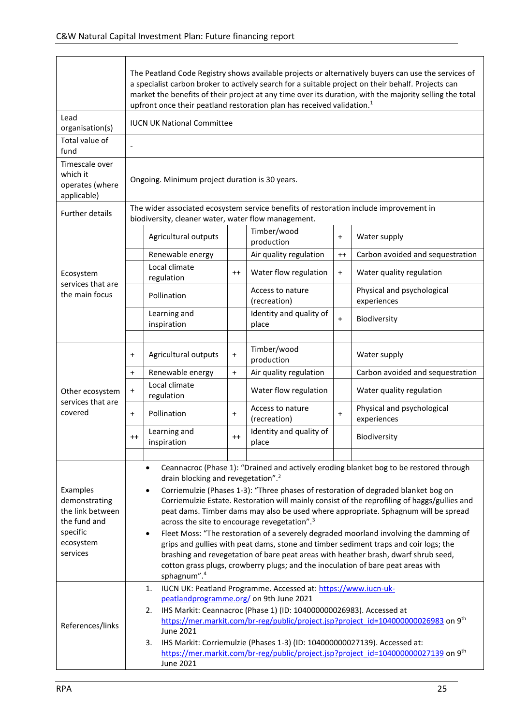|                                                                                                    | The Peatland Code Registry shows available projects or alternatively buyers can use the services of<br>a specialist carbon broker to actively search for a suitable project on their behalf. Projects can<br>market the benefits of their project at any time over its duration, with the majority selling the total<br>upfront once their peatland restoration plan has received validation. <sup>1</sup>                                                                                                                                      |                                                                                                                                                                                                                                                                                                                                                                                                |           |                                                                                       |           |                                                                                                                                                                        |  |
|----------------------------------------------------------------------------------------------------|-------------------------------------------------------------------------------------------------------------------------------------------------------------------------------------------------------------------------------------------------------------------------------------------------------------------------------------------------------------------------------------------------------------------------------------------------------------------------------------------------------------------------------------------------|------------------------------------------------------------------------------------------------------------------------------------------------------------------------------------------------------------------------------------------------------------------------------------------------------------------------------------------------------------------------------------------------|-----------|---------------------------------------------------------------------------------------|-----------|------------------------------------------------------------------------------------------------------------------------------------------------------------------------|--|
| Lead<br>organisation(s)                                                                            |                                                                                                                                                                                                                                                                                                                                                                                                                                                                                                                                                 | <b>IUCN UK National Committee</b>                                                                                                                                                                                                                                                                                                                                                              |           |                                                                                       |           |                                                                                                                                                                        |  |
| Total value of<br>fund                                                                             |                                                                                                                                                                                                                                                                                                                                                                                                                                                                                                                                                 |                                                                                                                                                                                                                                                                                                                                                                                                |           |                                                                                       |           |                                                                                                                                                                        |  |
| Timescale over<br>which it<br>operates (where<br>applicable)                                       |                                                                                                                                                                                                                                                                                                                                                                                                                                                                                                                                                 | Ongoing. Minimum project duration is 30 years.                                                                                                                                                                                                                                                                                                                                                 |           |                                                                                       |           |                                                                                                                                                                        |  |
| <b>Further details</b>                                                                             |                                                                                                                                                                                                                                                                                                                                                                                                                                                                                                                                                 | biodiversity, cleaner water, water flow management.                                                                                                                                                                                                                                                                                                                                            |           | The wider associated ecosystem service benefits of restoration include improvement in |           |                                                                                                                                                                        |  |
|                                                                                                    |                                                                                                                                                                                                                                                                                                                                                                                                                                                                                                                                                 | Agricultural outputs                                                                                                                                                                                                                                                                                                                                                                           |           | Timber/wood<br>production                                                             | $\ddot{}$ | Water supply                                                                                                                                                           |  |
|                                                                                                    |                                                                                                                                                                                                                                                                                                                                                                                                                                                                                                                                                 | Renewable energy                                                                                                                                                                                                                                                                                                                                                                               |           | Air quality regulation                                                                | $^{++}$   | Carbon avoided and sequestration                                                                                                                                       |  |
| Ecosystem                                                                                          |                                                                                                                                                                                                                                                                                                                                                                                                                                                                                                                                                 | Local climate<br>regulation                                                                                                                                                                                                                                                                                                                                                                    | $^{++}$   | Water flow regulation                                                                 | $\ddot{}$ | Water quality regulation                                                                                                                                               |  |
| services that are<br>the main focus                                                                |                                                                                                                                                                                                                                                                                                                                                                                                                                                                                                                                                 | Pollination                                                                                                                                                                                                                                                                                                                                                                                    |           | Access to nature<br>(recreation)                                                      |           | Physical and psychological<br>experiences                                                                                                                              |  |
|                                                                                                    |                                                                                                                                                                                                                                                                                                                                                                                                                                                                                                                                                 | Learning and<br>inspiration                                                                                                                                                                                                                                                                                                                                                                    |           | Identity and quality of<br>place                                                      | $\ddot{}$ | Biodiversity                                                                                                                                                           |  |
|                                                                                                    |                                                                                                                                                                                                                                                                                                                                                                                                                                                                                                                                                 |                                                                                                                                                                                                                                                                                                                                                                                                |           |                                                                                       |           |                                                                                                                                                                        |  |
|                                                                                                    | $\ddot{}$                                                                                                                                                                                                                                                                                                                                                                                                                                                                                                                                       | Agricultural outputs                                                                                                                                                                                                                                                                                                                                                                           | $\ddot{}$ | Timber/wood<br>production                                                             |           | Water supply                                                                                                                                                           |  |
|                                                                                                    | $\ddot{}$                                                                                                                                                                                                                                                                                                                                                                                                                                                                                                                                       | Renewable energy                                                                                                                                                                                                                                                                                                                                                                               | $+$       | Air quality regulation                                                                |           | Carbon avoided and sequestration                                                                                                                                       |  |
| Other ecosystem                                                                                    | $\ddot{}$                                                                                                                                                                                                                                                                                                                                                                                                                                                                                                                                       | Local climate<br>regulation                                                                                                                                                                                                                                                                                                                                                                    |           | Water flow regulation                                                                 |           | Water quality regulation                                                                                                                                               |  |
| services that are<br>covered                                                                       | $\ddot{}$                                                                                                                                                                                                                                                                                                                                                                                                                                                                                                                                       | Pollination                                                                                                                                                                                                                                                                                                                                                                                    | $\ddot{}$ | Access to nature<br>(recreation)                                                      | $+$       | Physical and psychological<br>experiences                                                                                                                              |  |
|                                                                                                    | $^{++}$                                                                                                                                                                                                                                                                                                                                                                                                                                                                                                                                         | Learning and<br>inspiration                                                                                                                                                                                                                                                                                                                                                                    |           | Identity and quality of<br>place                                                      |           | Biodiversity                                                                                                                                                           |  |
|                                                                                                    |                                                                                                                                                                                                                                                                                                                                                                                                                                                                                                                                                 |                                                                                                                                                                                                                                                                                                                                                                                                |           |                                                                                       |           |                                                                                                                                                                        |  |
|                                                                                                    |                                                                                                                                                                                                                                                                                                                                                                                                                                                                                                                                                 | $\bullet$<br>drain blocking and revegetation". <sup>2</sup>                                                                                                                                                                                                                                                                                                                                    |           |                                                                                       |           | Ceannacroc (Phase 1): "Drained and actively eroding blanket bog to be restored through                                                                                 |  |
| Examples<br>demonstrating<br>the link between<br>the fund and<br>specific<br>ecosystem<br>services | Corriemulzie (Phases 1-3): "Three phases of restoration of degraded blanket bog on<br>$\bullet$<br>Corriemulzie Estate. Restoration will mainly consist of the reprofiling of haggs/gullies and<br>peat dams. Timber dams may also be used where appropriate. Sphagnum will be spread<br>across the site to encourage revegetation". <sup>3</sup><br>Fleet Moss: "The restoration of a severely degraded moorland involving the damming of<br>$\bullet$<br>grips and gullies with peat dams, stone and timber sediment traps and coir logs; the |                                                                                                                                                                                                                                                                                                                                                                                                |           |                                                                                       |           |                                                                                                                                                                        |  |
|                                                                                                    |                                                                                                                                                                                                                                                                                                                                                                                                                                                                                                                                                 | sphagnum".4                                                                                                                                                                                                                                                                                                                                                                                    |           |                                                                                       |           | brashing and revegetation of bare peat areas with heather brash, dwarf shrub seed,<br>cotton grass plugs, crowberry plugs; and the inoculation of bare peat areas with |  |
| References/links                                                                                   |                                                                                                                                                                                                                                                                                                                                                                                                                                                                                                                                                 | IUCN UK: Peatland Programme. Accessed at: https://www.iucn-uk-<br>1.<br>peatlandprogramme.org/ on 9th June 2021<br>IHS Markit: Ceannacroc (Phase 1) (ID: 104000000026983). Accessed at<br>2.<br>https://mer.markit.com/br-reg/public/project.jsp?project_id=104000000026983 on 9 <sup>th</sup><br>June 2021<br>IHS Markit: Corriemulzie (Phases 1-3) (ID: 104000000027139). Accessed at:<br>3. |           |                                                                                       |           |                                                                                                                                                                        |  |
|                                                                                                    |                                                                                                                                                                                                                                                                                                                                                                                                                                                                                                                                                 | <b>June 2021</b>                                                                                                                                                                                                                                                                                                                                                                               |           |                                                                                       |           | https://mer.markit.com/br-reg/public/project.jsp?project_id=104000000027139 on 9th                                                                                     |  |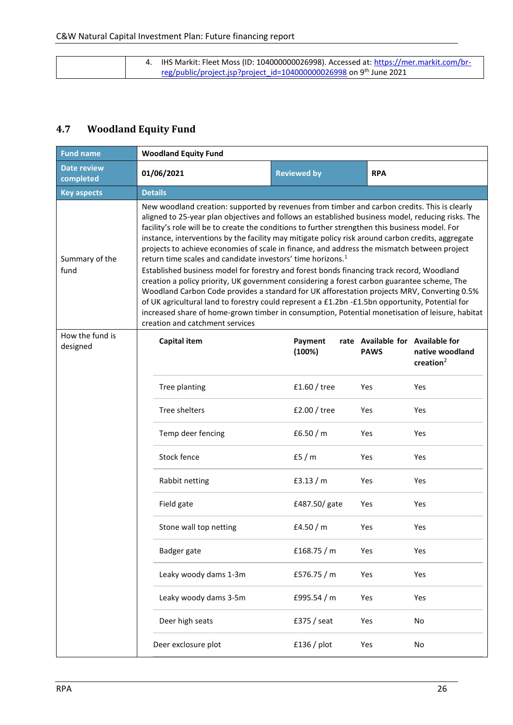| 4. IHS Markit: Fleet Moss (ID: 104000000026998). Accessed at: https://mer.markit.com/br- |
|------------------------------------------------------------------------------------------|
| reg/public/project.jsp?project_id=104000000026998 on 9th June 2021                       |

### <span id="page-25-0"></span>**4.7 Woodland Equity Fund**

| <b>Fund name</b>                | <b>Woodland Equity Fund</b>                                                                                                                                                                                                                                                                                                                                                                                                                                                                                                                                                                                                                                                                                                                                                                                                                                                                                                                                                                                                                                                                                             |                   |                                                 |                                 |  |  |  |  |
|---------------------------------|-------------------------------------------------------------------------------------------------------------------------------------------------------------------------------------------------------------------------------------------------------------------------------------------------------------------------------------------------------------------------------------------------------------------------------------------------------------------------------------------------------------------------------------------------------------------------------------------------------------------------------------------------------------------------------------------------------------------------------------------------------------------------------------------------------------------------------------------------------------------------------------------------------------------------------------------------------------------------------------------------------------------------------------------------------------------------------------------------------------------------|-------------------|-------------------------------------------------|---------------------------------|--|--|--|--|
| <b>Date review</b><br>completed | 01/06/2021<br><b>Reviewed by</b><br><b>RPA</b>                                                                                                                                                                                                                                                                                                                                                                                                                                                                                                                                                                                                                                                                                                                                                                                                                                                                                                                                                                                                                                                                          |                   |                                                 |                                 |  |  |  |  |
| <b>Key aspects</b>              | <b>Details</b>                                                                                                                                                                                                                                                                                                                                                                                                                                                                                                                                                                                                                                                                                                                                                                                                                                                                                                                                                                                                                                                                                                          |                   |                                                 |                                 |  |  |  |  |
| Summary of the<br>fund          | New woodland creation: supported by revenues from timber and carbon credits. This is clearly<br>aligned to 25-year plan objectives and follows an established business model, reducing risks. The<br>facility's role will be to create the conditions to further strengthen this business model. For<br>instance, interventions by the facility may mitigate policy risk around carbon credits, aggregate<br>projects to achieve economies of scale in finance, and address the mismatch between project<br>return time scales and candidate investors' time horizons. <sup>1</sup><br>Established business model for forestry and forest bonds financing track record, Woodland<br>creation a policy priority, UK government considering a forest carbon guarantee scheme, The<br>Woodland Carbon Code provides a standard for UK afforestation projects MRV, Converting 0.5%<br>of UK agricultural land to forestry could represent a £1.2bn -£1.5bn opportunity, Potential for<br>increased share of home-grown timber in consumption, Potential monetisation of leisure, habitat<br>creation and catchment services |                   |                                                 |                                 |  |  |  |  |
| How the fund is<br>designed     | <b>Capital item</b>                                                                                                                                                                                                                                                                                                                                                                                                                                                                                                                                                                                                                                                                                                                                                                                                                                                                                                                                                                                                                                                                                                     | Payment<br>(100%) | rate Available for Available for<br><b>PAWS</b> | native woodland<br>creation $2$ |  |  |  |  |
|                                 | Tree planting                                                                                                                                                                                                                                                                                                                                                                                                                                                                                                                                                                                                                                                                                                                                                                                                                                                                                                                                                                                                                                                                                                           | £1.60 / tree      | Yes                                             | Yes                             |  |  |  |  |
|                                 | Tree shelters                                                                                                                                                                                                                                                                                                                                                                                                                                                                                                                                                                                                                                                                                                                                                                                                                                                                                                                                                                                                                                                                                                           | £2.00 / tree      | Yes                                             | Yes                             |  |  |  |  |
|                                 | Temp deer fencing                                                                                                                                                                                                                                                                                                                                                                                                                                                                                                                                                                                                                                                                                                                                                                                                                                                                                                                                                                                                                                                                                                       | £6.50 $/m$        | Yes                                             | Yes                             |  |  |  |  |
|                                 | Stock fence                                                                                                                                                                                                                                                                                                                                                                                                                                                                                                                                                                                                                                                                                                                                                                                                                                                                                                                                                                                                                                                                                                             | £5 $/m$           | Yes                                             | Yes                             |  |  |  |  |
|                                 | Rabbit netting                                                                                                                                                                                                                                                                                                                                                                                                                                                                                                                                                                                                                                                                                                                                                                                                                                                                                                                                                                                                                                                                                                          | £3.13 $/m$        | Yes                                             | Yes                             |  |  |  |  |
|                                 | Field gate                                                                                                                                                                                                                                                                                                                                                                                                                                                                                                                                                                                                                                                                                                                                                                                                                                                                                                                                                                                                                                                                                                              | £487.50/gate      | Yes                                             | Yes                             |  |  |  |  |
|                                 | Stone wall top netting                                                                                                                                                                                                                                                                                                                                                                                                                                                                                                                                                                                                                                                                                                                                                                                                                                                                                                                                                                                                                                                                                                  | £4.50 $/m$        | Yes                                             | Yes                             |  |  |  |  |
|                                 | Badger gate                                                                                                                                                                                                                                                                                                                                                                                                                                                                                                                                                                                                                                                                                                                                                                                                                                                                                                                                                                                                                                                                                                             | £168.75 / m       | Yes                                             | Yes                             |  |  |  |  |
|                                 | Leaky woody dams 1-3m                                                                                                                                                                                                                                                                                                                                                                                                                                                                                                                                                                                                                                                                                                                                                                                                                                                                                                                                                                                                                                                                                                   | £576.75 / m       | Yes                                             | Yes                             |  |  |  |  |
|                                 | Leaky woody dams 3-5m                                                                                                                                                                                                                                                                                                                                                                                                                                                                                                                                                                                                                                                                                                                                                                                                                                                                                                                                                                                                                                                                                                   | £995.54 / m       | Yes                                             | Yes                             |  |  |  |  |
|                                 | Deer high seats                                                                                                                                                                                                                                                                                                                                                                                                                                                                                                                                                                                                                                                                                                                                                                                                                                                                                                                                                                                                                                                                                                         | £375 / seat       | Yes                                             | No                              |  |  |  |  |
|                                 | Deer exclosure plot                                                                                                                                                                                                                                                                                                                                                                                                                                                                                                                                                                                                                                                                                                                                                                                                                                                                                                                                                                                                                                                                                                     | $£136$ / plot     | Yes                                             | No                              |  |  |  |  |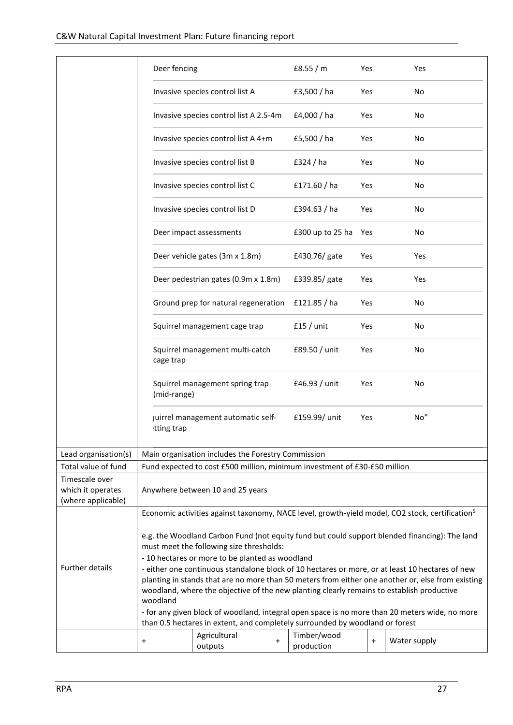|                                                           | Deer fencing                                                                                                                                                                                                                                                                                      |                                                                              |                                  | £8.55 $/m$                | Yes        | Yes                                                                                                         |  |
|-----------------------------------------------------------|---------------------------------------------------------------------------------------------------------------------------------------------------------------------------------------------------------------------------------------------------------------------------------------------------|------------------------------------------------------------------------------|----------------------------------|---------------------------|------------|-------------------------------------------------------------------------------------------------------------|--|
|                                                           |                                                                                                                                                                                                                                                                                                   | Invasive species control list A                                              |                                  | £3,500 / ha               | Yes        | No                                                                                                          |  |
|                                                           |                                                                                                                                                                                                                                                                                                   | Invasive species control list A 2.5-4m                                       |                                  | £4,000 / ha               | Yes        | No                                                                                                          |  |
|                                                           |                                                                                                                                                                                                                                                                                                   | Invasive species control list A 4+m                                          |                                  | £5,500 / ha               | Yes        | No.                                                                                                         |  |
|                                                           |                                                                                                                                                                                                                                                                                                   | Invasive species control list B                                              |                                  | £324 / ha                 | Yes        | No.                                                                                                         |  |
|                                                           |                                                                                                                                                                                                                                                                                                   | Invasive species control list C                                              |                                  | £171.60 / ha              | Yes        | No                                                                                                          |  |
|                                                           |                                                                                                                                                                                                                                                                                                   | Invasive species control list D                                              |                                  | £394.63 / ha              | Yes        | No                                                                                                          |  |
|                                                           |                                                                                                                                                                                                                                                                                                   | Deer impact assessments                                                      |                                  | £300 up to 25 ha Yes      |            | No                                                                                                          |  |
|                                                           |                                                                                                                                                                                                                                                                                                   | Deer vehicle gates (3m x 1.8m)                                               |                                  | £430.76/ gate             | Yes        | Yes                                                                                                         |  |
|                                                           |                                                                                                                                                                                                                                                                                                   | Deer pedestrian gates (0.9m x 1.8m)                                          |                                  | £339.85/gate              | Yes        | Yes                                                                                                         |  |
|                                                           |                                                                                                                                                                                                                                                                                                   | Ground prep for natural regeneration £121.85 / ha                            |                                  |                           | Yes        | No.                                                                                                         |  |
|                                                           |                                                                                                                                                                                                                                                                                                   | Squirrel management cage trap                                                |                                  | $f15 /$ unit              | Yes        | No                                                                                                          |  |
|                                                           | cage trap                                                                                                                                                                                                                                                                                         | Squirrel management multi-catch                                              |                                  | £89.50 / unit             | <b>Yes</b> | No                                                                                                          |  |
|                                                           | (mid-range)                                                                                                                                                                                                                                                                                       | Squirrel management spring trap                                              |                                  | £46.93 / unit             | Yes        | No                                                                                                          |  |
|                                                           | tting trap                                                                                                                                                                                                                                                                                        | juirrel management automatic self-                                           |                                  | £159.99/ unit             | Yes        | No"                                                                                                         |  |
| Lead organisation(s)                                      |                                                                                                                                                                                                                                                                                                   | Main organisation includes the Forestry Commission                           |                                  |                           |            |                                                                                                             |  |
| Total value of fund                                       |                                                                                                                                                                                                                                                                                                   | Fund expected to cost £500 million, minimum investment of £30-£50 million    |                                  |                           |            |                                                                                                             |  |
| Timescale over<br>which it operates<br>(where applicable) |                                                                                                                                                                                                                                                                                                   | Anywhere between 10 and 25 years                                             |                                  |                           |            |                                                                                                             |  |
|                                                           |                                                                                                                                                                                                                                                                                                   |                                                                              |                                  |                           |            | Economic activities against taxonomy, NACE level, growth-yield model, CO2 stock, certification <sup>5</sup> |  |
|                                                           | e.g. the Woodland Carbon Fund (not equity fund but could support blended financing): The land<br>must meet the following size thresholds:<br>- 10 hectares or more to be planted as woodland                                                                                                      |                                                                              |                                  |                           |            |                                                                                                             |  |
| <b>Further details</b>                                    | - either one continuous standalone block of 10 hectares or more, or at least 10 hectares of new<br>planting in stands that are no more than 50 meters from either one another or, else from existing<br>woodland, where the objective of the new planting clearly remains to establish productive |                                                                              |                                  |                           |            |                                                                                                             |  |
|                                                           | woodland                                                                                                                                                                                                                                                                                          | than 0.5 hectares in extent, and completely surrounded by woodland or forest |                                  |                           |            | - for any given block of woodland, integral open space is no more than 20 meters wide, no more              |  |
|                                                           | $\pmb{+}$                                                                                                                                                                                                                                                                                         | Agricultural<br>outputs                                                      | $\begin{array}{c} + \end{array}$ | Timber/wood<br>production | $\ddot{}$  | Water supply                                                                                                |  |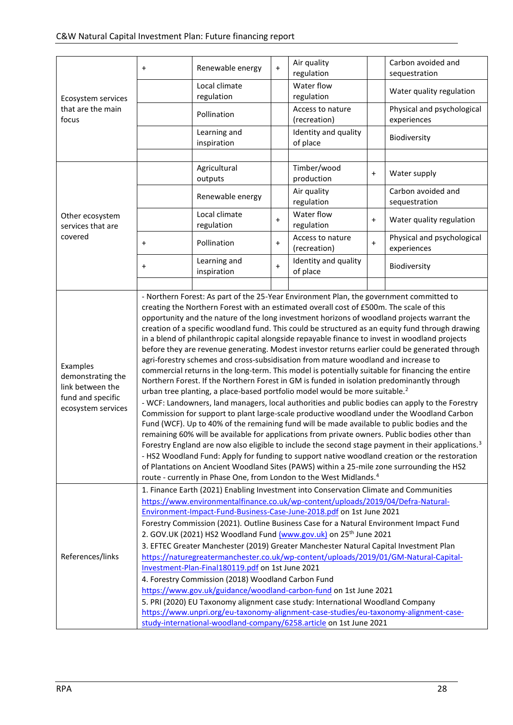|                                       | $\ddot{}$                                                                                                                                                                                        | Renewable energy                                                                        | $\ddot{}$ | Air quality<br>regulation |           | Carbon avoided and<br>sequestration |  |  |  |  |
|---------------------------------------|--------------------------------------------------------------------------------------------------------------------------------------------------------------------------------------------------|-----------------------------------------------------------------------------------------|-----------|---------------------------|-----------|-------------------------------------|--|--|--|--|
|                                       |                                                                                                                                                                                                  |                                                                                         |           |                           |           |                                     |  |  |  |  |
| Ecosystem services                    |                                                                                                                                                                                                  | Local climate<br>regulation                                                             |           | Water flow<br>regulation  |           | Water quality regulation            |  |  |  |  |
| that are the main                     |                                                                                                                                                                                                  |                                                                                         |           | Access to nature          |           | Physical and psychological          |  |  |  |  |
| focus                                 |                                                                                                                                                                                                  | Pollination                                                                             |           | (recreation)              |           | experiences                         |  |  |  |  |
|                                       |                                                                                                                                                                                                  | Learning and                                                                            |           | Identity and quality      |           | Biodiversity                        |  |  |  |  |
|                                       |                                                                                                                                                                                                  | inspiration                                                                             |           | of place                  |           |                                     |  |  |  |  |
|                                       |                                                                                                                                                                                                  |                                                                                         |           |                           |           |                                     |  |  |  |  |
|                                       |                                                                                                                                                                                                  | Agricultural                                                                            |           | Timber/wood               | $\ddot{}$ | Water supply                        |  |  |  |  |
|                                       |                                                                                                                                                                                                  | outputs                                                                                 |           | production                |           |                                     |  |  |  |  |
|                                       |                                                                                                                                                                                                  | Renewable energy                                                                        |           | Air quality               |           | Carbon avoided and                  |  |  |  |  |
|                                       |                                                                                                                                                                                                  |                                                                                         |           | regulation                |           | sequestration                       |  |  |  |  |
| Other ecosystem                       |                                                                                                                                                                                                  | Local climate                                                                           | $\ddot{}$ | Water flow                | $\ddot{}$ | Water quality regulation            |  |  |  |  |
| services that are                     |                                                                                                                                                                                                  | regulation                                                                              |           | regulation                |           |                                     |  |  |  |  |
| covered                               | $\pmb{+}$                                                                                                                                                                                        | Pollination                                                                             | $\ddot{}$ | Access to nature          | $\ddot{}$ | Physical and psychological          |  |  |  |  |
|                                       |                                                                                                                                                                                                  |                                                                                         |           | (recreation)              |           | experiences                         |  |  |  |  |
|                                       | $\pmb{+}$                                                                                                                                                                                        | Learning and                                                                            | $+$       | Identity and quality      |           | Biodiversity                        |  |  |  |  |
|                                       |                                                                                                                                                                                                  | inspiration                                                                             |           | of place                  |           |                                     |  |  |  |  |
|                                       |                                                                                                                                                                                                  |                                                                                         |           |                           |           |                                     |  |  |  |  |
|                                       | - Northern Forest: As part of the 25-Year Environment Plan, the government committed to                                                                                                          |                                                                                         |           |                           |           |                                     |  |  |  |  |
|                                       | creating the Northern Forest with an estimated overall cost of £500m. The scale of this                                                                                                          |                                                                                         |           |                           |           |                                     |  |  |  |  |
|                                       | opportunity and the nature of the long investment horizons of woodland projects warrant the                                                                                                      |                                                                                         |           |                           |           |                                     |  |  |  |  |
|                                       | creation of a specific woodland fund. This could be structured as an equity fund through drawing                                                                                                 |                                                                                         |           |                           |           |                                     |  |  |  |  |
|                                       | in a blend of philanthropic capital alongside repayable finance to invest in woodland projects<br>before they are revenue generating. Modest investor returns earlier could be generated through |                                                                                         |           |                           |           |                                     |  |  |  |  |
|                                       | agri-forestry schemes and cross-subsidisation from mature woodland and increase to                                                                                                               |                                                                                         |           |                           |           |                                     |  |  |  |  |
| Examples                              | commercial returns in the long-term. This model is potentially suitable for financing the entire                                                                                                 |                                                                                         |           |                           |           |                                     |  |  |  |  |
| demonstrating the                     | Northern Forest. If the Northern Forest in GM is funded in isolation predominantly through                                                                                                       |                                                                                         |           |                           |           |                                     |  |  |  |  |
| link between the<br>fund and specific | urban tree planting, a place-based portfolio model would be more suitable. <sup>2</sup>                                                                                                          |                                                                                         |           |                           |           |                                     |  |  |  |  |
| ecosystem services                    | - WCF: Landowners, land managers, local authorities and public bodies can apply to the Forestry                                                                                                  |                                                                                         |           |                           |           |                                     |  |  |  |  |
|                                       | Commission for support to plant large-scale productive woodland under the Woodland Carbon                                                                                                        |                                                                                         |           |                           |           |                                     |  |  |  |  |
|                                       | Fund (WCF). Up to 40% of the remaining fund will be made available to public bodies and the                                                                                                      |                                                                                         |           |                           |           |                                     |  |  |  |  |
|                                       | remaining 60% will be available for applications from private owners. Public bodies other than                                                                                                   |                                                                                         |           |                           |           |                                     |  |  |  |  |
|                                       | Forestry England are now also eligible to include the second stage payment in their applications. <sup>3</sup>                                                                                   |                                                                                         |           |                           |           |                                     |  |  |  |  |
|                                       | - HS2 Woodland Fund: Apply for funding to support native woodland creation or the restoration<br>of Plantations on Ancient Woodland Sites (PAWS) within a 25-mile zone surrounding the HS2       |                                                                                         |           |                           |           |                                     |  |  |  |  |
|                                       | route - currently in Phase One, from London to the West Midlands. <sup>4</sup>                                                                                                                   |                                                                                         |           |                           |           |                                     |  |  |  |  |
|                                       |                                                                                                                                                                                                  | 1. Finance Earth (2021) Enabling Investment into Conservation Climate and Communities   |           |                           |           |                                     |  |  |  |  |
|                                       |                                                                                                                                                                                                  | https://www.environmentalfinance.co.uk/wp-content/uploads/2019/04/Defra-Natural-        |           |                           |           |                                     |  |  |  |  |
|                                       |                                                                                                                                                                                                  | Environment-Impact-Fund-Business-Case-June-2018.pdf on 1st June 2021                    |           |                           |           |                                     |  |  |  |  |
|                                       |                                                                                                                                                                                                  | Forestry Commission (2021). Outline Business Case for a Natural Environment Impact Fund |           |                           |           |                                     |  |  |  |  |
|                                       |                                                                                                                                                                                                  | 2. GOV.UK (2021) HS2 Woodland Fund (www.gov.uk) on 25 <sup>th</sup> June 2021           |           |                           |           |                                     |  |  |  |  |
|                                       |                                                                                                                                                                                                  | 3. EFTEC Greater Manchester (2019) Greater Manchester Natural Capital Investment Plan   |           |                           |           |                                     |  |  |  |  |
| References/links                      |                                                                                                                                                                                                  | https://naturegreatermanchester.co.uk/wp-content/uploads/2019/01/GM-Natural-Capital-    |           |                           |           |                                     |  |  |  |  |
|                                       |                                                                                                                                                                                                  | Investment-Plan-Final180119.pdf on 1st June 2021                                        |           |                           |           |                                     |  |  |  |  |
|                                       |                                                                                                                                                                                                  | 4. Forestry Commission (2018) Woodland Carbon Fund                                      |           |                           |           |                                     |  |  |  |  |
|                                       |                                                                                                                                                                                                  | https://www.gov.uk/guidance/woodland-carbon-fund on 1st June 2021                       |           |                           |           |                                     |  |  |  |  |
|                                       |                                                                                                                                                                                                  | 5. PRI (2020) EU Taxonomy alignment case study: International Woodland Company          |           |                           |           |                                     |  |  |  |  |
|                                       |                                                                                                                                                                                                  | https://www.unpri.org/eu-taxonomy-alignment-case-studies/eu-taxonomy-alignment-case-    |           |                           |           |                                     |  |  |  |  |
|                                       |                                                                                                                                                                                                  | study-international-woodland-company/6258.article on 1st June 2021                      |           |                           |           |                                     |  |  |  |  |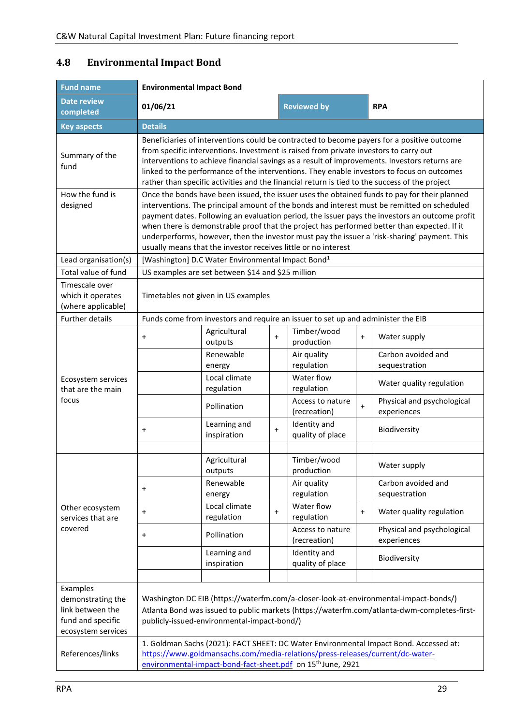| <b>Fund name</b>                                                                             | <b>Environmental Impact Bond</b> |                                                                                                                                                                                                                                                                                                                                                                                                                                                                                      |           |                                  |           |                                                                                                                                                                                                                                                                                                                                                                                                                                                                                              |  |  |  |
|----------------------------------------------------------------------------------------------|----------------------------------|--------------------------------------------------------------------------------------------------------------------------------------------------------------------------------------------------------------------------------------------------------------------------------------------------------------------------------------------------------------------------------------------------------------------------------------------------------------------------------------|-----------|----------------------------------|-----------|----------------------------------------------------------------------------------------------------------------------------------------------------------------------------------------------------------------------------------------------------------------------------------------------------------------------------------------------------------------------------------------------------------------------------------------------------------------------------------------------|--|--|--|
| <b>Date review</b><br>completed                                                              | 01/06/21                         |                                                                                                                                                                                                                                                                                                                                                                                                                                                                                      |           | <b>Reviewed by</b>               |           | <b>RPA</b>                                                                                                                                                                                                                                                                                                                                                                                                                                                                                   |  |  |  |
| <b>Key aspects</b>                                                                           | <b>Details</b>                   |                                                                                                                                                                                                                                                                                                                                                                                                                                                                                      |           |                                  |           |                                                                                                                                                                                                                                                                                                                                                                                                                                                                                              |  |  |  |
| Summary of the<br>fund                                                                       |                                  | Beneficiaries of interventions could be contracted to become payers for a positive outcome<br>from specific interventions. Investment is raised from private investors to carry out<br>interventions to achieve financial savings as a result of improvements. Investors returns are<br>linked to the performance of the interventions. They enable investors to focus on outcomes<br>rather than specific activities and the financial return is tied to the success of the project |           |                                  |           |                                                                                                                                                                                                                                                                                                                                                                                                                                                                                              |  |  |  |
| How the fund is<br>designed                                                                  |                                  | usually means that the investor receives little or no interest                                                                                                                                                                                                                                                                                                                                                                                                                       |           |                                  |           | Once the bonds have been issued, the issuer uses the obtained funds to pay for their planned<br>interventions. The principal amount of the bonds and interest must be remitted on scheduled<br>payment dates. Following an evaluation period, the issuer pays the investors an outcome profit<br>when there is demonstrable proof that the project has performed better than expected. If it<br>underperforms, however, then the investor must pay the issuer a 'risk-sharing' payment. This |  |  |  |
| Lead organisation(s)                                                                         |                                  | [Washington] D.C Water Environmental Impact Bond <sup>1</sup>                                                                                                                                                                                                                                                                                                                                                                                                                        |           |                                  |           |                                                                                                                                                                                                                                                                                                                                                                                                                                                                                              |  |  |  |
| Total value of fund                                                                          |                                  | US examples are set between \$14 and \$25 million                                                                                                                                                                                                                                                                                                                                                                                                                                    |           |                                  |           |                                                                                                                                                                                                                                                                                                                                                                                                                                                                                              |  |  |  |
| Timescale over<br>which it operates<br>(where applicable)                                    |                                  | Timetables not given in US examples<br>Funds come from investors and require an issuer to set up and administer the EIB                                                                                                                                                                                                                                                                                                                                                              |           |                                  |           |                                                                                                                                                                                                                                                                                                                                                                                                                                                                                              |  |  |  |
| <b>Further details</b>                                                                       |                                  |                                                                                                                                                                                                                                                                                                                                                                                                                                                                                      |           |                                  |           |                                                                                                                                                                                                                                                                                                                                                                                                                                                                                              |  |  |  |
|                                                                                              | $\ddot{}$                        | Agricultural<br>outputs                                                                                                                                                                                                                                                                                                                                                                                                                                                              | $\ddot{}$ | Timber/wood<br>production        | $+$       | Water supply                                                                                                                                                                                                                                                                                                                                                                                                                                                                                 |  |  |  |
|                                                                                              |                                  | Renewable<br>energy                                                                                                                                                                                                                                                                                                                                                                                                                                                                  |           | Air quality<br>regulation        |           | Carbon avoided and<br>sequestration                                                                                                                                                                                                                                                                                                                                                                                                                                                          |  |  |  |
| Ecosystem services<br>that are the main                                                      |                                  | Local climate<br>regulation                                                                                                                                                                                                                                                                                                                                                                                                                                                          |           | Water flow<br>regulation         |           | Water quality regulation                                                                                                                                                                                                                                                                                                                                                                                                                                                                     |  |  |  |
| focus                                                                                        |                                  | Pollination                                                                                                                                                                                                                                                                                                                                                                                                                                                                          |           | Access to nature<br>(recreation) | $\ddot{}$ | Physical and psychological<br>experiences                                                                                                                                                                                                                                                                                                                                                                                                                                                    |  |  |  |
|                                                                                              | $\ddot{}$                        | Learning and<br>inspiration                                                                                                                                                                                                                                                                                                                                                                                                                                                          | $+$       | Identity and<br>quality of place |           | Biodiversity                                                                                                                                                                                                                                                                                                                                                                                                                                                                                 |  |  |  |
|                                                                                              |                                  |                                                                                                                                                                                                                                                                                                                                                                                                                                                                                      |           |                                  |           |                                                                                                                                                                                                                                                                                                                                                                                                                                                                                              |  |  |  |
|                                                                                              |                                  | Agricultural<br>outputs                                                                                                                                                                                                                                                                                                                                                                                                                                                              |           | Timber/wood<br>production        |           | Water supply                                                                                                                                                                                                                                                                                                                                                                                                                                                                                 |  |  |  |
|                                                                                              | $\ddot{}$                        | Renewable<br>energy                                                                                                                                                                                                                                                                                                                                                                                                                                                                  |           | Air quality<br>regulation        |           | Carbon avoided and<br>sequestration                                                                                                                                                                                                                                                                                                                                                                                                                                                          |  |  |  |
| Other ecosystem<br>services that are                                                         | $+$                              | Local climate<br>regulation                                                                                                                                                                                                                                                                                                                                                                                                                                                          | $\ddot{}$ | Water flow<br>regulation         | $+$       | Water quality regulation                                                                                                                                                                                                                                                                                                                                                                                                                                                                     |  |  |  |
| covered                                                                                      | $\ddot{}$                        | Pollination                                                                                                                                                                                                                                                                                                                                                                                                                                                                          |           | Access to nature<br>(recreation) |           | Physical and psychological<br>experiences                                                                                                                                                                                                                                                                                                                                                                                                                                                    |  |  |  |
|                                                                                              |                                  | Learning and<br>inspiration                                                                                                                                                                                                                                                                                                                                                                                                                                                          |           | Identity and<br>quality of place |           | Biodiversity                                                                                                                                                                                                                                                                                                                                                                                                                                                                                 |  |  |  |
|                                                                                              |                                  |                                                                                                                                                                                                                                                                                                                                                                                                                                                                                      |           |                                  |           |                                                                                                                                                                                                                                                                                                                                                                                                                                                                                              |  |  |  |
| Examples<br>demonstrating the<br>link between the<br>fund and specific<br>ecosystem services |                                  | publicly-issued-environmental-impact-bond/)                                                                                                                                                                                                                                                                                                                                                                                                                                          |           |                                  |           | Washington DC EIB (https://waterfm.com/a-closer-look-at-environmental-impact-bonds/)<br>Atlanta Bond was issued to public markets (https://waterfm.com/atlanta-dwm-completes-first-                                                                                                                                                                                                                                                                                                          |  |  |  |
| References/links                                                                             |                                  | https://www.goldmansachs.com/media-relations/press-releases/current/dc-water-<br>environmental-impact-bond-fact-sheet.pdf on 15 <sup>th</sup> June, 2921                                                                                                                                                                                                                                                                                                                             |           |                                  |           | 1. Goldman Sachs (2021): FACT SHEET: DC Water Environmental Impact Bond. Accessed at:                                                                                                                                                                                                                                                                                                                                                                                                        |  |  |  |

### <span id="page-28-0"></span>**4.8 Environmental Impact Bond**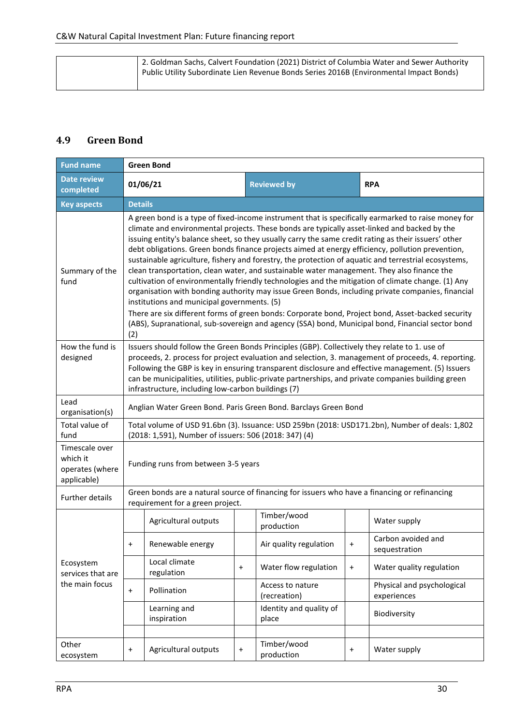| 2. Goldman Sachs, Calvert Foundation (2021) District of Columbia Water and Sewer Authority<br>Public Utility Subordinate Lien Revenue Bonds Series 2016B (Environmental Impact Bonds) |
|---------------------------------------------------------------------------------------------------------------------------------------------------------------------------------------|
|---------------------------------------------------------------------------------------------------------------------------------------------------------------------------------------|

### <span id="page-29-0"></span>**4.9 Green Bond**

| <b>Fund name</b>                                             | <b>Green Bond</b> |                                                                                                                                                                                                                                                                                                                                                                                                                                                                                                                                                                                                                                                                                                                                                                                                                                                                                                                                                                                                                                                                                          |                    |                                  |            |                                           |  |  |  |
|--------------------------------------------------------------|-------------------|------------------------------------------------------------------------------------------------------------------------------------------------------------------------------------------------------------------------------------------------------------------------------------------------------------------------------------------------------------------------------------------------------------------------------------------------------------------------------------------------------------------------------------------------------------------------------------------------------------------------------------------------------------------------------------------------------------------------------------------------------------------------------------------------------------------------------------------------------------------------------------------------------------------------------------------------------------------------------------------------------------------------------------------------------------------------------------------|--------------------|----------------------------------|------------|-------------------------------------------|--|--|--|
| <b>Date review</b><br>completed                              | 01/06/21          |                                                                                                                                                                                                                                                                                                                                                                                                                                                                                                                                                                                                                                                                                                                                                                                                                                                                                                                                                                                                                                                                                          | <b>Reviewed by</b> |                                  | <b>RPA</b> |                                           |  |  |  |
| <b>Key aspects</b>                                           | <b>Details</b>    |                                                                                                                                                                                                                                                                                                                                                                                                                                                                                                                                                                                                                                                                                                                                                                                                                                                                                                                                                                                                                                                                                          |                    |                                  |            |                                           |  |  |  |
| Summary of the<br>fund                                       | (2)               | A green bond is a type of fixed-income instrument that is specifically earmarked to raise money for<br>climate and environmental projects. These bonds are typically asset-linked and backed by the<br>issuing entity's balance sheet, so they usually carry the same credit rating as their issuers' other<br>debt obligations. Green bonds finance projects aimed at energy efficiency, pollution prevention,<br>sustainable agriculture, fishery and forestry, the protection of aquatic and terrestrial ecosystems,<br>clean transportation, clean water, and sustainable water management. They also finance the<br>cultivation of environmentally friendly technologies and the mitigation of climate change. (1) Any<br>organisation with bonding authority may issue Green Bonds, including private companies, financial<br>institutions and municipal governments. (5)<br>There are six different forms of green bonds: Corporate bond, Project bond, Asset-backed security<br>(ABS), Supranational, sub-sovereign and agency (SSA) bond, Municipal bond, Financial sector bond |                    |                                  |            |                                           |  |  |  |
| How the fund is<br>designed                                  |                   | Issuers should follow the Green Bonds Principles (GBP). Collectively they relate to 1. use of<br>proceeds, 2. process for project evaluation and selection, 3. management of proceeds, 4. reporting.<br>Following the GBP is key in ensuring transparent disclosure and effective management. (5) Issuers<br>can be municipalities, utilities, public-private partnerships, and private companies building green<br>infrastructure, including low-carbon buildings (7)                                                                                                                                                                                                                                                                                                                                                                                                                                                                                                                                                                                                                   |                    |                                  |            |                                           |  |  |  |
| Lead<br>organisation(s)                                      |                   | Anglian Water Green Bond. Paris Green Bond. Barclays Green Bond                                                                                                                                                                                                                                                                                                                                                                                                                                                                                                                                                                                                                                                                                                                                                                                                                                                                                                                                                                                                                          |                    |                                  |            |                                           |  |  |  |
| Total value of<br>fund                                       |                   | Total volume of USD 91.6bn (3). Issuance: USD 259bn (2018: USD171.2bn), Number of deals: 1,802<br>(2018: 1,591), Number of issuers: 506 (2018: 347) (4)                                                                                                                                                                                                                                                                                                                                                                                                                                                                                                                                                                                                                                                                                                                                                                                                                                                                                                                                  |                    |                                  |            |                                           |  |  |  |
| Timescale over<br>which it<br>operates (where<br>applicable) |                   | Funding runs from between 3-5 years                                                                                                                                                                                                                                                                                                                                                                                                                                                                                                                                                                                                                                                                                                                                                                                                                                                                                                                                                                                                                                                      |                    |                                  |            |                                           |  |  |  |
| Further details                                              |                   | Green bonds are a natural source of financing for issuers who have a financing or refinancing<br>requirement for a green project.                                                                                                                                                                                                                                                                                                                                                                                                                                                                                                                                                                                                                                                                                                                                                                                                                                                                                                                                                        |                    |                                  |            |                                           |  |  |  |
|                                                              |                   | Agricultural outputs                                                                                                                                                                                                                                                                                                                                                                                                                                                                                                                                                                                                                                                                                                                                                                                                                                                                                                                                                                                                                                                                     |                    | Timber/wood<br>production        |            | Water supply                              |  |  |  |
|                                                              |                   | Renewable energy                                                                                                                                                                                                                                                                                                                                                                                                                                                                                                                                                                                                                                                                                                                                                                                                                                                                                                                                                                                                                                                                         |                    | Air quality regulation           |            | Carbon avoided and<br>sequestration       |  |  |  |
| Ecosystem<br>services that are                               |                   | Local climate<br>regulation                                                                                                                                                                                                                                                                                                                                                                                                                                                                                                                                                                                                                                                                                                                                                                                                                                                                                                                                                                                                                                                              | $\ddot{}$          | Water flow regulation            | $\ddot{}$  | Water quality regulation                  |  |  |  |
| the main focus                                               | $\ddot{}$         | Pollination                                                                                                                                                                                                                                                                                                                                                                                                                                                                                                                                                                                                                                                                                                                                                                                                                                                                                                                                                                                                                                                                              |                    | Access to nature<br>(recreation) |            | Physical and psychological<br>experiences |  |  |  |
|                                                              |                   | Learning and<br>inspiration                                                                                                                                                                                                                                                                                                                                                                                                                                                                                                                                                                                                                                                                                                                                                                                                                                                                                                                                                                                                                                                              |                    | Identity and quality of<br>place |            | Biodiversity                              |  |  |  |
|                                                              |                   |                                                                                                                                                                                                                                                                                                                                                                                                                                                                                                                                                                                                                                                                                                                                                                                                                                                                                                                                                                                                                                                                                          |                    |                                  |            |                                           |  |  |  |
| Other<br>ecosystem                                           | $\ddot{}$         | Agricultural outputs                                                                                                                                                                                                                                                                                                                                                                                                                                                                                                                                                                                                                                                                                                                                                                                                                                                                                                                                                                                                                                                                     | $\ddot{}$          | Timber/wood<br>production        | $\ddot{}$  | Water supply                              |  |  |  |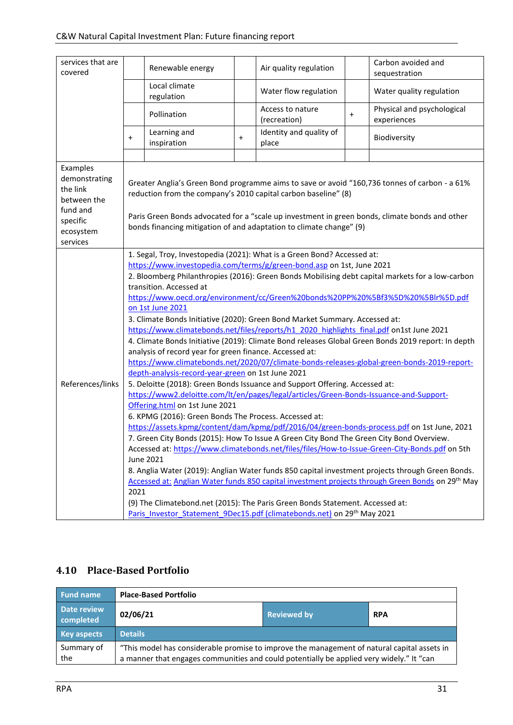| services that are<br>covered                                                                          |           | Renewable energy                                                                                                                                                                                                                                                                                                                                                                                                                                                                                                                                                                                                                                                                                                                                                                                                                                                                                                                                                    |           | Air quality regulation           |           | Carbon avoided and<br>sequestration                                                                                                                                                                                                                                                                                                                                                                                                                                                                                                                                                                                                                                                                                                                                                                           |  |  |
|-------------------------------------------------------------------------------------------------------|-----------|---------------------------------------------------------------------------------------------------------------------------------------------------------------------------------------------------------------------------------------------------------------------------------------------------------------------------------------------------------------------------------------------------------------------------------------------------------------------------------------------------------------------------------------------------------------------------------------------------------------------------------------------------------------------------------------------------------------------------------------------------------------------------------------------------------------------------------------------------------------------------------------------------------------------------------------------------------------------|-----------|----------------------------------|-----------|---------------------------------------------------------------------------------------------------------------------------------------------------------------------------------------------------------------------------------------------------------------------------------------------------------------------------------------------------------------------------------------------------------------------------------------------------------------------------------------------------------------------------------------------------------------------------------------------------------------------------------------------------------------------------------------------------------------------------------------------------------------------------------------------------------------|--|--|
|                                                                                                       |           | Local climate<br>regulation                                                                                                                                                                                                                                                                                                                                                                                                                                                                                                                                                                                                                                                                                                                                                                                                                                                                                                                                         |           | Water flow regulation            |           | Water quality regulation                                                                                                                                                                                                                                                                                                                                                                                                                                                                                                                                                                                                                                                                                                                                                                                      |  |  |
|                                                                                                       |           | Pollination                                                                                                                                                                                                                                                                                                                                                                                                                                                                                                                                                                                                                                                                                                                                                                                                                                                                                                                                                         |           | Access to nature<br>(recreation) | $\ddot{}$ | Physical and psychological<br>experiences                                                                                                                                                                                                                                                                                                                                                                                                                                                                                                                                                                                                                                                                                                                                                                     |  |  |
|                                                                                                       | $\ddot{}$ | Learning and<br>inspiration                                                                                                                                                                                                                                                                                                                                                                                                                                                                                                                                                                                                                                                                                                                                                                                                                                                                                                                                         | $\ddot{}$ | Identity and quality of<br>place |           | Biodiversity                                                                                                                                                                                                                                                                                                                                                                                                                                                                                                                                                                                                                                                                                                                                                                                                  |  |  |
|                                                                                                       |           |                                                                                                                                                                                                                                                                                                                                                                                                                                                                                                                                                                                                                                                                                                                                                                                                                                                                                                                                                                     |           |                                  |           |                                                                                                                                                                                                                                                                                                                                                                                                                                                                                                                                                                                                                                                                                                                                                                                                               |  |  |
| Examples<br>demonstrating<br>the link<br>between the<br>fund and<br>specific<br>ecosystem<br>services |           | Greater Anglia's Green Bond programme aims to save or avoid "160,736 tonnes of carbon - a 61%<br>reduction from the company's 2010 capital carbon baseline" (8)<br>Paris Green Bonds advocated for a "scale up investment in green bonds, climate bonds and other<br>bonds financing mitigation of and adaptation to climate change" (9)<br>1. Segal, Troy, Investopedia (2021): What is a Green Bond? Accessed at:                                                                                                                                                                                                                                                                                                                                                                                                                                                                                                                                                 |           |                                  |           |                                                                                                                                                                                                                                                                                                                                                                                                                                                                                                                                                                                                                                                                                                                                                                                                               |  |  |
| References/links                                                                                      | 2021      | https://www.investopedia.com/terms/g/green-bond.asp on 1st, June 2021<br>transition. Accessed at<br>on 1st June 2021<br>3. Climate Bonds Initiative (2020): Green Bond Market Summary. Accessed at:<br>https://www.climatebonds.net/files/reports/h1_2020_highlights_final.pdf on1st June 2021<br>analysis of record year for green finance. Accessed at:<br>depth-analysis-record-year-green on 1st June 2021<br>5. Deloitte (2018): Green Bonds Issuance and Support Offering. Accessed at:<br>https://www2.deloitte.com/lt/en/pages/legal/articles/Green-Bonds-Issuance-and-Support-<br>Offering.html on 1st June 2021<br>6. KPMG (2016): Green Bonds The Process. Accessed at:<br>7. Green City Bonds (2015): How To Issue A Green City Bond The Green City Bond Overview.<br>June 2021<br>(9) The Climatebond.net (2015): The Paris Green Bonds Statement. Accessed at:<br>Paris Investor Statement 9Dec15.pdf (climatebonds.net) on 29 <sup>th</sup> May 2021 |           |                                  |           | 2. Bloomberg Philanthropies (2016): Green Bonds Mobilising debt capital markets for a low-carbon<br>https://www.oecd.org/environment/cc/Green%20bonds%20PP%20%5Bf3%5D%20%5Blr%5D.pdf<br>4. Climate Bonds Initiative (2019): Climate Bond releases Global Green Bonds 2019 report: In depth<br>https://www.climatebonds.net/2020/07/climate-bonds-releases-global-green-bonds-2019-report-<br>https://assets.kpmg/content/dam/kpmg/pdf/2016/04/green-bonds-process.pdf on 1st June, 2021<br>Accessed at: https://www.climatebonds.net/files/files/How-to-Issue-Green-City-Bonds.pdf on 5th<br>8. Anglia Water (2019): Anglian Water funds 850 capital investment projects through Green Bonds.<br>Accessed at: Anglian Water funds 850 capital investment projects through Green Bonds on 29 <sup>th</sup> May |  |  |

### <span id="page-30-0"></span>**4.10 Place-Based Portfolio**

| <b>Fund name</b>         | <b>Place-Based Portfolio</b>                                                                                                                                                            |                    |            |  |  |  |  |
|--------------------------|-----------------------------------------------------------------------------------------------------------------------------------------------------------------------------------------|--------------------|------------|--|--|--|--|
| Date review<br>completed | 02/06/21                                                                                                                                                                                | <b>Reviewed by</b> | <b>RPA</b> |  |  |  |  |
| <b>Key aspects</b>       | <b>Details</b>                                                                                                                                                                          |                    |            |  |  |  |  |
| Summary of<br>the        | "This model has considerable promise to improve the management of natural capital assets in<br>a manner that engages communities and could potentially be applied very widely." It "can |                    |            |  |  |  |  |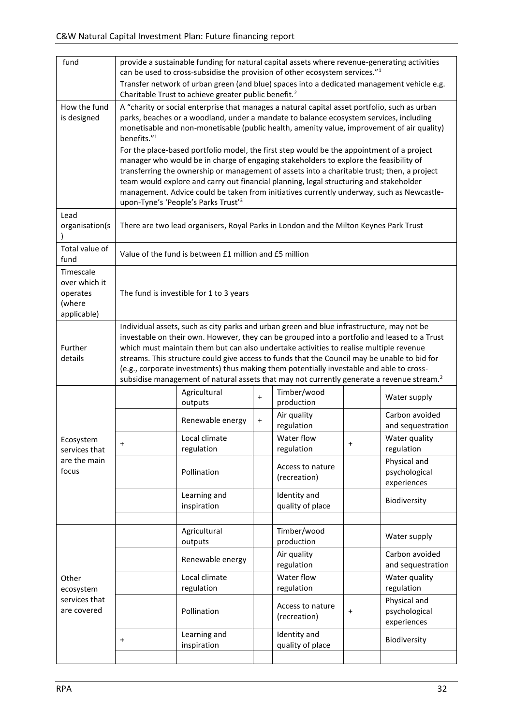| fund                                                            |                                                                                                                                                                                                                                                                                                                                                                                                                                                                                                                                                                                          | provide a sustainable funding for natural capital assets where revenue-generating activities<br>can be used to cross-subsidise the provision of other ecosystem services." <sup>1</sup><br>Transfer network of urban green (and blue) spaces into a dedicated management vehicle e.g.<br>Charitable Trust to achieve greater public benefit. <sup>2</sup><br>A "charity or social enterprise that manages a natural capital asset portfolio, such as urban                                                                                                                                                                                                                                                          |           |                                  |           |                                              |  |  |  |  |  |
|-----------------------------------------------------------------|------------------------------------------------------------------------------------------------------------------------------------------------------------------------------------------------------------------------------------------------------------------------------------------------------------------------------------------------------------------------------------------------------------------------------------------------------------------------------------------------------------------------------------------------------------------------------------------|---------------------------------------------------------------------------------------------------------------------------------------------------------------------------------------------------------------------------------------------------------------------------------------------------------------------------------------------------------------------------------------------------------------------------------------------------------------------------------------------------------------------------------------------------------------------------------------------------------------------------------------------------------------------------------------------------------------------|-----------|----------------------------------|-----------|----------------------------------------------|--|--|--|--|--|
| How the fund<br>is designed                                     | benefits." <sup>1</sup>                                                                                                                                                                                                                                                                                                                                                                                                                                                                                                                                                                  | parks, beaches or a woodland, under a mandate to balance ecosystem services, including<br>monetisable and non-monetisable (public health, amenity value, improvement of air quality)<br>For the place-based portfolio model, the first step would be the appointment of a project<br>manager who would be in charge of engaging stakeholders to explore the feasibility of<br>transferring the ownership or management of assets into a charitable trust; then, a project<br>team would explore and carry out financial planning, legal structuring and stakeholder<br>management. Advice could be taken from initiatives currently underway, such as Newcastle-<br>upon-Tyne's 'People's Parks Trust' <sup>3</sup> |           |                                  |           |                                              |  |  |  |  |  |
| Lead<br>organisation(s                                          |                                                                                                                                                                                                                                                                                                                                                                                                                                                                                                                                                                                          | There are two lead organisers, Royal Parks in London and the Milton Keynes Park Trust                                                                                                                                                                                                                                                                                                                                                                                                                                                                                                                                                                                                                               |           |                                  |           |                                              |  |  |  |  |  |
| Total value of<br>fund                                          |                                                                                                                                                                                                                                                                                                                                                                                                                                                                                                                                                                                          | Value of the fund is between £1 million and £5 million                                                                                                                                                                                                                                                                                                                                                                                                                                                                                                                                                                                                                                                              |           |                                  |           |                                              |  |  |  |  |  |
| Timescale<br>over which it<br>operates<br>(where<br>applicable) | The fund is investible for 1 to 3 years                                                                                                                                                                                                                                                                                                                                                                                                                                                                                                                                                  |                                                                                                                                                                                                                                                                                                                                                                                                                                                                                                                                                                                                                                                                                                                     |           |                                  |           |                                              |  |  |  |  |  |
| Further<br>details                                              | Individual assets, such as city parks and urban green and blue infrastructure, may not be<br>investable on their own. However, they can be grouped into a portfolio and leased to a Trust<br>which must maintain them but can also undertake activities to realise multiple revenue<br>streams. This structure could give access to funds that the Council may be unable to bid for<br>(e.g., corporate investments) thus making them potentially investable and able to cross-<br>subsidise management of natural assets that may not currently generate a revenue stream. <sup>2</sup> |                                                                                                                                                                                                                                                                                                                                                                                                                                                                                                                                                                                                                                                                                                                     |           |                                  |           |                                              |  |  |  |  |  |
|                                                                 |                                                                                                                                                                                                                                                                                                                                                                                                                                                                                                                                                                                          | Agricultural<br>outputs                                                                                                                                                                                                                                                                                                                                                                                                                                                                                                                                                                                                                                                                                             | $\ddot{}$ | Timber/wood<br>production        |           | Water supply                                 |  |  |  |  |  |
|                                                                 |                                                                                                                                                                                                                                                                                                                                                                                                                                                                                                                                                                                          | Renewable energy                                                                                                                                                                                                                                                                                                                                                                                                                                                                                                                                                                                                                                                                                                    | $\ddot{}$ | Air quality<br>regulation        |           | Carbon avoided<br>and sequestration          |  |  |  |  |  |
| Ecosystem<br>services that                                      | $\pmb{+}$                                                                                                                                                                                                                                                                                                                                                                                                                                                                                                                                                                                | Local climate<br>regulation                                                                                                                                                                                                                                                                                                                                                                                                                                                                                                                                                                                                                                                                                         |           | Water flow<br>regulation         | $\ddot{}$ | Water quality<br>regulation                  |  |  |  |  |  |
| are the main<br>focus                                           |                                                                                                                                                                                                                                                                                                                                                                                                                                                                                                                                                                                          | Pollination                                                                                                                                                                                                                                                                                                                                                                                                                                                                                                                                                                                                                                                                                                         |           | Access to nature<br>(recreation) |           | Physical and<br>psychological<br>experiences |  |  |  |  |  |
|                                                                 |                                                                                                                                                                                                                                                                                                                                                                                                                                                                                                                                                                                          | Learning and<br>inspiration                                                                                                                                                                                                                                                                                                                                                                                                                                                                                                                                                                                                                                                                                         |           | Identity and<br>quality of place |           | Biodiversity                                 |  |  |  |  |  |
|                                                                 |                                                                                                                                                                                                                                                                                                                                                                                                                                                                                                                                                                                          |                                                                                                                                                                                                                                                                                                                                                                                                                                                                                                                                                                                                                                                                                                                     |           |                                  |           |                                              |  |  |  |  |  |
|                                                                 |                                                                                                                                                                                                                                                                                                                                                                                                                                                                                                                                                                                          | Agricultural<br>outputs                                                                                                                                                                                                                                                                                                                                                                                                                                                                                                                                                                                                                                                                                             |           | Timber/wood<br>production        |           | Water supply                                 |  |  |  |  |  |
|                                                                 |                                                                                                                                                                                                                                                                                                                                                                                                                                                                                                                                                                                          | Renewable energy                                                                                                                                                                                                                                                                                                                                                                                                                                                                                                                                                                                                                                                                                                    |           | Air quality<br>regulation        |           | Carbon avoided<br>and sequestration          |  |  |  |  |  |
| Other<br>ecosystem                                              |                                                                                                                                                                                                                                                                                                                                                                                                                                                                                                                                                                                          | Local climate<br>regulation                                                                                                                                                                                                                                                                                                                                                                                                                                                                                                                                                                                                                                                                                         |           | Water flow<br>regulation         |           | Water quality<br>regulation                  |  |  |  |  |  |
| services that<br>are covered                                    |                                                                                                                                                                                                                                                                                                                                                                                                                                                                                                                                                                                          | Pollination                                                                                                                                                                                                                                                                                                                                                                                                                                                                                                                                                                                                                                                                                                         |           | Access to nature<br>(recreation) | $\ddot{}$ | Physical and<br>psychological<br>experiences |  |  |  |  |  |
|                                                                 | $\pmb{+}$                                                                                                                                                                                                                                                                                                                                                                                                                                                                                                                                                                                | Learning and<br>inspiration                                                                                                                                                                                                                                                                                                                                                                                                                                                                                                                                                                                                                                                                                         |           | Identity and<br>quality of place |           | Biodiversity                                 |  |  |  |  |  |
|                                                                 |                                                                                                                                                                                                                                                                                                                                                                                                                                                                                                                                                                                          |                                                                                                                                                                                                                                                                                                                                                                                                                                                                                                                                                                                                                                                                                                                     |           |                                  |           |                                              |  |  |  |  |  |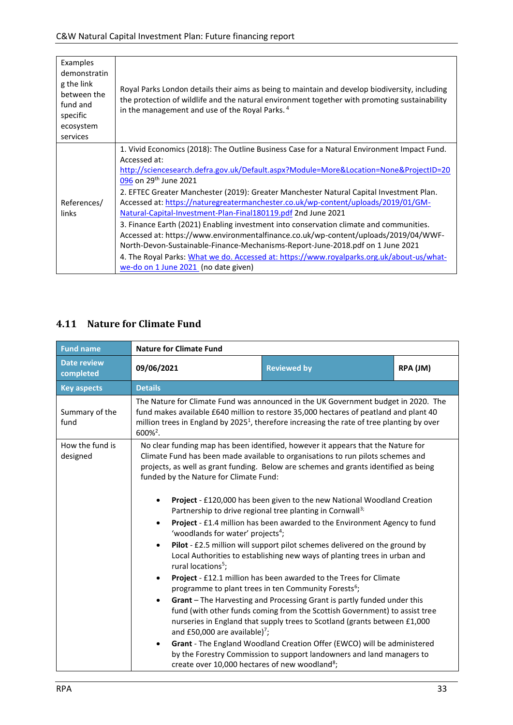| Examples<br>demonstratin<br>g the link<br>between the<br>fund and<br>specific<br>ecosystem<br>services | Royal Parks London details their aims as being to maintain and develop biodiversity, including<br>the protection of wildlife and the natural environment together with promoting sustainability<br>in the management and use of the Royal Parks. <sup>4</sup>                                                                                                                                                                                                                                                                                                                                                                                                                                                                                                                                                                                                                                      |
|--------------------------------------------------------------------------------------------------------|----------------------------------------------------------------------------------------------------------------------------------------------------------------------------------------------------------------------------------------------------------------------------------------------------------------------------------------------------------------------------------------------------------------------------------------------------------------------------------------------------------------------------------------------------------------------------------------------------------------------------------------------------------------------------------------------------------------------------------------------------------------------------------------------------------------------------------------------------------------------------------------------------|
| References/<br>links                                                                                   | 1. Vivid Economics (2018): The Outline Business Case for a Natural Environment Impact Fund.<br>Accessed at:<br>http://sciencesearch.defra.gov.uk/Default.aspx?Module=More&Location=None&ProjectID=20<br>096 on 29 <sup>th</sup> June 2021<br>2. EFTEC Greater Manchester (2019): Greater Manchester Natural Capital Investment Plan.<br>Accessed at: https://naturegreatermanchester.co.uk/wp-content/uploads/2019/01/GM-<br>Natural-Capital-Investment-Plan-Final180119.pdf 2nd June 2021<br>3. Finance Earth (2021) Enabling investment into conservation climate and communities.<br>Accessed at: https://www.environmentalfinance.co.uk/wp-content/uploads/2019/04/WWF-<br>North-Devon-Sustainable-Finance-Mechanisms-Report-June-2018.pdf on 1 June 2021<br>4. The Royal Parks: What we do. Accessed at: https://www.royalparks.org.uk/about-us/what-<br>we-do on 1 June 2021 (no date given) |

#### <span id="page-32-0"></span>**4.11 Nature for Climate Fund**

| <b>Fund name</b>                | <b>Nature for Climate Fund</b>                                                                                                                                                                                                                                                                                                                                                   |                                                                                                                                                                                                                                                                                       |          |  |  |  |  |  |  |
|---------------------------------|----------------------------------------------------------------------------------------------------------------------------------------------------------------------------------------------------------------------------------------------------------------------------------------------------------------------------------------------------------------------------------|---------------------------------------------------------------------------------------------------------------------------------------------------------------------------------------------------------------------------------------------------------------------------------------|----------|--|--|--|--|--|--|
| <b>Date review</b><br>completed | 09/06/2021                                                                                                                                                                                                                                                                                                                                                                       | <b>Reviewed by</b>                                                                                                                                                                                                                                                                    | RPA (JM) |  |  |  |  |  |  |
| <b>Key aspects</b>              | <b>Details</b>                                                                                                                                                                                                                                                                                                                                                                   |                                                                                                                                                                                                                                                                                       |          |  |  |  |  |  |  |
| Summary of the<br>fund          | 600% <sup>2</sup> .                                                                                                                                                                                                                                                                                                                                                              | The Nature for Climate Fund was announced in the UK Government budget in 2020. The<br>fund makes available £640 million to restore 35,000 hectares of peatland and plant 40<br>million trees in England by 2025 <sup>1</sup> , therefore increasing the rate of tree planting by over |          |  |  |  |  |  |  |
| How the fund is<br>designed     | No clear funding map has been identified, however it appears that the Nature for<br>Climate Fund has been made available to organisations to run pilots schemes and<br>projects, as well as grant funding. Below are schemes and grants identified as being<br>funded by the Nature for Climate Fund:<br>Project - £120,000 has been given to the new National Woodland Creation |                                                                                                                                                                                                                                                                                       |          |  |  |  |  |  |  |
|                                 |                                                                                                                                                                                                                                                                                                                                                                                  | Partnership to drive regional tree planting in Cornwall <sup>3;</sup>                                                                                                                                                                                                                 |          |  |  |  |  |  |  |
|                                 | Project - £1.4 million has been awarded to the Environment Agency to fund<br>'woodlands for water' projects <sup>4</sup> ;                                                                                                                                                                                                                                                       |                                                                                                                                                                                                                                                                                       |          |  |  |  |  |  |  |
|                                 | Pilot - £2.5 million will support pilot schemes delivered on the ground by<br>٠<br>Local Authorities to establishing new ways of planting trees in urban and<br>rural locations <sup>5</sup> ;                                                                                                                                                                                   |                                                                                                                                                                                                                                                                                       |          |  |  |  |  |  |  |
|                                 | $\bullet$                                                                                                                                                                                                                                                                                                                                                                        | Project - £12.1 million has been awarded to the Trees for Climate<br>programme to plant trees in ten Community Forests <sup>6</sup> ;                                                                                                                                                 |          |  |  |  |  |  |  |
|                                 | $\bullet$<br>and £50,000 are available) $^7$ ;                                                                                                                                                                                                                                                                                                                                   | Grant - The Harvesting and Processing Grant is partly funded under this<br>fund (with other funds coming from the Scottish Government) to assist tree<br>nurseries in England that supply trees to Scotland (grants between £1,000                                                    |          |  |  |  |  |  |  |
|                                 | $\bullet$<br>create over 10,000 hectares of new woodland <sup>8</sup> ;                                                                                                                                                                                                                                                                                                          | Grant - The England Woodland Creation Offer (EWCO) will be administered<br>by the Forestry Commission to support landowners and land managers to                                                                                                                                      |          |  |  |  |  |  |  |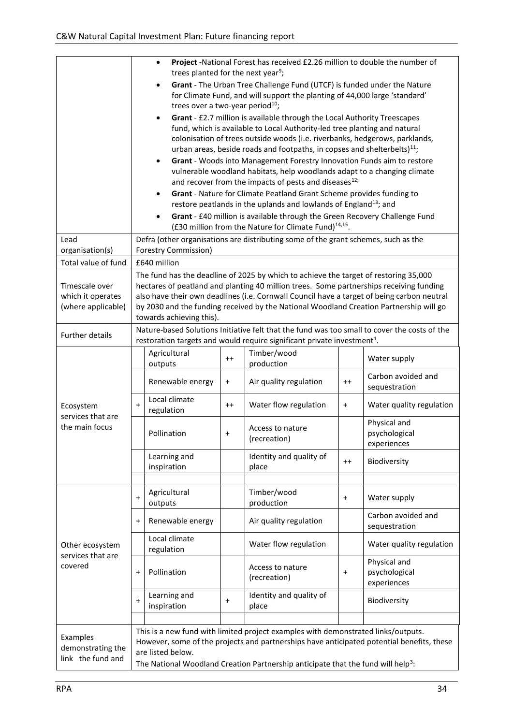|                                                           | Project -National Forest has received £2.26 million to double the number of<br>$\bullet$<br>trees planted for the next year <sup>9</sup> ;<br>Grant - The Urban Tree Challenge Fund (UTCF) is funded under the Nature<br>for Climate Fund, and will support the planting of 44,000 large 'standard'<br>trees over a two-year period <sup>10</sup> ;<br>Grant - £2.7 million is available through the Local Authority Treescapes<br>fund, which is available to Local Authority-led tree planting and natural<br>colonisation of trees outside woods (i.e. riverbanks, hedgerows, parklands,<br>urban areas, beside roads and footpaths, in copses and shelterbelts) <sup>11</sup> ;<br>Grant - Woods into Management Forestry Innovation Funds aim to restore<br>$\bullet$<br>vulnerable woodland habitats, help woodlands adapt to a changing climate<br>and recover from the impacts of pests and diseases <sup>12;</sup><br>Grant - Nature for Climate Peatland Grant Scheme provides funding to<br>restore peatlands in the uplands and lowlands of England <sup>13</sup> ; and<br>Grant - £40 million is available through the Green Recovery Challenge Fund |                                                                                                                                                                                                                                                                                                                                                                                                                                                                                                     |           |                                                                                                                                                                                   |           |                                                                                           |  |  |
|-----------------------------------------------------------|-------------------------------------------------------------------------------------------------------------------------------------------------------------------------------------------------------------------------------------------------------------------------------------------------------------------------------------------------------------------------------------------------------------------------------------------------------------------------------------------------------------------------------------------------------------------------------------------------------------------------------------------------------------------------------------------------------------------------------------------------------------------------------------------------------------------------------------------------------------------------------------------------------------------------------------------------------------------------------------------------------------------------------------------------------------------------------------------------------------------------------------------------------------------|-----------------------------------------------------------------------------------------------------------------------------------------------------------------------------------------------------------------------------------------------------------------------------------------------------------------------------------------------------------------------------------------------------------------------------------------------------------------------------------------------------|-----------|-----------------------------------------------------------------------------------------------------------------------------------------------------------------------------------|-----------|-------------------------------------------------------------------------------------------|--|--|
| Lead                                                      |                                                                                                                                                                                                                                                                                                                                                                                                                                                                                                                                                                                                                                                                                                                                                                                                                                                                                                                                                                                                                                                                                                                                                                   |                                                                                                                                                                                                                                                                                                                                                                                                                                                                                                     |           | (£30 million from the Nature for Climate Fund) <sup>14,15</sup> .<br>Defra (other organisations are distributing some of the grant schemes, such as the                           |           |                                                                                           |  |  |
| organisation(s)                                           |                                                                                                                                                                                                                                                                                                                                                                                                                                                                                                                                                                                                                                                                                                                                                                                                                                                                                                                                                                                                                                                                                                                                                                   | Forestry Commission)                                                                                                                                                                                                                                                                                                                                                                                                                                                                                |           |                                                                                                                                                                                   |           |                                                                                           |  |  |
| Total value of fund                                       |                                                                                                                                                                                                                                                                                                                                                                                                                                                                                                                                                                                                                                                                                                                                                                                                                                                                                                                                                                                                                                                                                                                                                                   | £640 million                                                                                                                                                                                                                                                                                                                                                                                                                                                                                        |           |                                                                                                                                                                                   |           |                                                                                           |  |  |
| Timescale over<br>which it operates<br>(where applicable) |                                                                                                                                                                                                                                                                                                                                                                                                                                                                                                                                                                                                                                                                                                                                                                                                                                                                                                                                                                                                                                                                                                                                                                   | The fund has the deadline of 2025 by which to achieve the target of restoring 35,000<br>hectares of peatland and planting 40 million trees. Some partnerships receiving funding<br>also have their own deadlines (i.e. Cornwall Council have a target of being carbon neutral<br>by 2030 and the funding received by the National Woodland Creation Partnership will go<br>towards achieving this).<br>Nature-based Solutions Initiative felt that the fund was too small to cover the costs of the |           |                                                                                                                                                                                   |           |                                                                                           |  |  |
| Further details                                           |                                                                                                                                                                                                                                                                                                                                                                                                                                                                                                                                                                                                                                                                                                                                                                                                                                                                                                                                                                                                                                                                                                                                                                   |                                                                                                                                                                                                                                                                                                                                                                                                                                                                                                     |           | restoration targets and would require significant private investment <sup>1</sup> .                                                                                               |           |                                                                                           |  |  |
|                                                           |                                                                                                                                                                                                                                                                                                                                                                                                                                                                                                                                                                                                                                                                                                                                                                                                                                                                                                                                                                                                                                                                                                                                                                   | Agricultural<br>outputs                                                                                                                                                                                                                                                                                                                                                                                                                                                                             | $++$      | Timber/wood<br>production                                                                                                                                                         |           | Water supply                                                                              |  |  |
|                                                           |                                                                                                                                                                                                                                                                                                                                                                                                                                                                                                                                                                                                                                                                                                                                                                                                                                                                                                                                                                                                                                                                                                                                                                   | Renewable energy                                                                                                                                                                                                                                                                                                                                                                                                                                                                                    | $\ddot{}$ | Air quality regulation                                                                                                                                                            | $^{++}$   | Carbon avoided and<br>sequestration                                                       |  |  |
| Ecosystem<br>services that are                            | $\ddot{}$                                                                                                                                                                                                                                                                                                                                                                                                                                                                                                                                                                                                                                                                                                                                                                                                                                                                                                                                                                                                                                                                                                                                                         | Local climate<br>regulation                                                                                                                                                                                                                                                                                                                                                                                                                                                                         | $^{++}$   | Water flow regulation                                                                                                                                                             | $\ddot{}$ | Water quality regulation                                                                  |  |  |
| the main focus                                            |                                                                                                                                                                                                                                                                                                                                                                                                                                                                                                                                                                                                                                                                                                                                                                                                                                                                                                                                                                                                                                                                                                                                                                   | Pollination                                                                                                                                                                                                                                                                                                                                                                                                                                                                                         | $\ddot{}$ | Access to nature<br>(recreation)                                                                                                                                                  |           | Physical and<br>psychological<br>experiences                                              |  |  |
|                                                           |                                                                                                                                                                                                                                                                                                                                                                                                                                                                                                                                                                                                                                                                                                                                                                                                                                                                                                                                                                                                                                                                                                                                                                   | Learning and<br>inspiration                                                                                                                                                                                                                                                                                                                                                                                                                                                                         |           | Identity and quality of<br>place                                                                                                                                                  | $^{++}$   | Biodiversity                                                                              |  |  |
|                                                           |                                                                                                                                                                                                                                                                                                                                                                                                                                                                                                                                                                                                                                                                                                                                                                                                                                                                                                                                                                                                                                                                                                                                                                   |                                                                                                                                                                                                                                                                                                                                                                                                                                                                                                     |           |                                                                                                                                                                                   |           |                                                                                           |  |  |
|                                                           | $\ddot{}$                                                                                                                                                                                                                                                                                                                                                                                                                                                                                                                                                                                                                                                                                                                                                                                                                                                                                                                                                                                                                                                                                                                                                         | Agricultural<br>outputs                                                                                                                                                                                                                                                                                                                                                                                                                                                                             |           | Timber/wood<br>production                                                                                                                                                         | $\ddot{}$ | Water supply                                                                              |  |  |
|                                                           | $\pmb{+}$                                                                                                                                                                                                                                                                                                                                                                                                                                                                                                                                                                                                                                                                                                                                                                                                                                                                                                                                                                                                                                                                                                                                                         | Renewable energy                                                                                                                                                                                                                                                                                                                                                                                                                                                                                    |           | Air quality regulation                                                                                                                                                            |           | Carbon avoided and<br>sequestration                                                       |  |  |
| Other ecosystem<br>services that are                      |                                                                                                                                                                                                                                                                                                                                                                                                                                                                                                                                                                                                                                                                                                                                                                                                                                                                                                                                                                                                                                                                                                                                                                   | Local climate<br>regulation                                                                                                                                                                                                                                                                                                                                                                                                                                                                         |           | Water flow regulation                                                                                                                                                             |           | Water quality regulation                                                                  |  |  |
| covered                                                   | $\pmb{+}$                                                                                                                                                                                                                                                                                                                                                                                                                                                                                                                                                                                                                                                                                                                                                                                                                                                                                                                                                                                                                                                                                                                                                         | Pollination                                                                                                                                                                                                                                                                                                                                                                                                                                                                                         |           | Access to nature<br>(recreation)                                                                                                                                                  | $\ddot{}$ | Physical and<br>psychological<br>experiences                                              |  |  |
|                                                           | $\ddot{}$                                                                                                                                                                                                                                                                                                                                                                                                                                                                                                                                                                                                                                                                                                                                                                                                                                                                                                                                                                                                                                                                                                                                                         | Learning and<br>inspiration                                                                                                                                                                                                                                                                                                                                                                                                                                                                         | $\ddot{}$ | Identity and quality of<br>place                                                                                                                                                  |           | Biodiversity                                                                              |  |  |
|                                                           |                                                                                                                                                                                                                                                                                                                                                                                                                                                                                                                                                                                                                                                                                                                                                                                                                                                                                                                                                                                                                                                                                                                                                                   |                                                                                                                                                                                                                                                                                                                                                                                                                                                                                                     |           |                                                                                                                                                                                   |           |                                                                                           |  |  |
| Examples<br>demonstrating the<br>link the fund and        |                                                                                                                                                                                                                                                                                                                                                                                                                                                                                                                                                                                                                                                                                                                                                                                                                                                                                                                                                                                                                                                                                                                                                                   | are listed below.                                                                                                                                                                                                                                                                                                                                                                                                                                                                                   |           | This is a new fund with limited project examples with demonstrated links/outputs.<br>The National Woodland Creation Partnership anticipate that the fund will help <sup>3</sup> : |           | However, some of the projects and partnerships have anticipated potential benefits, these |  |  |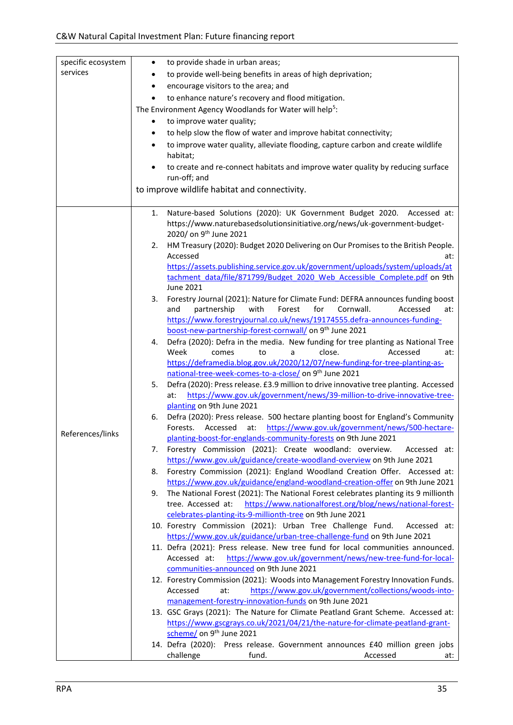| specific ecosystem | $\bullet$ | to provide shade in urban areas;                                                                            |
|--------------------|-----------|-------------------------------------------------------------------------------------------------------------|
| services           | $\bullet$ | to provide well-being benefits in areas of high deprivation;                                                |
|                    | $\bullet$ | encourage visitors to the area; and                                                                         |
|                    |           |                                                                                                             |
|                    | $\bullet$ | to enhance nature's recovery and flood mitigation.                                                          |
|                    |           | The Environment Agency Woodlands for Water will help <sup>5</sup> :                                         |
|                    |           | to improve water quality;                                                                                   |
|                    | $\bullet$ | to help slow the flow of water and improve habitat connectivity;                                            |
|                    | $\bullet$ | to improve water quality, alleviate flooding, capture carbon and create wildlife                            |
|                    |           | habitat;                                                                                                    |
|                    |           | to create and re-connect habitats and improve water quality by reducing surface                             |
|                    |           | run-off; and                                                                                                |
|                    |           | to improve wildlife habitat and connectivity.                                                               |
|                    |           |                                                                                                             |
|                    | 1.        | Nature-based Solutions (2020): UK Government Budget 2020. Accessed at:                                      |
|                    |           | https://www.naturebasedsolutionsinitiative.org/news/uk-government-budget-                                   |
|                    |           | 2020/ on 9 <sup>th</sup> June 2021                                                                          |
|                    | 2.        | HM Treasury (2020): Budget 2020 Delivering on Our Promises to the British People.                           |
|                    |           | Accessed<br>at:                                                                                             |
|                    |           | https://assets.publishing.service.gov.uk/government/uploads/system/uploads/at                               |
|                    |           | tachment data/file/871799/Budget 2020 Web Accessible Complete.pdf on 9th                                    |
|                    |           | <b>June 2021</b>                                                                                            |
|                    | 3.        | Forestry Journal (2021): Nature for Climate Fund: DEFRA announces funding boost                             |
|                    |           | with<br>Forest<br>for<br>Cornwall.<br>Accessed<br>partnership<br>and<br>at:                                 |
|                    |           | https://www.forestryjournal.co.uk/news/19174555.defra-announces-funding-                                    |
|                    |           | boost-new-partnership-forest-cornwall/ on 9 <sup>th</sup> June 2021                                         |
|                    | 4.        | Defra (2020): Defra in the media. New funding for tree planting as National Tree                            |
|                    |           | Week<br>close.<br>Accessed<br>comes<br>to<br>a<br>at:                                                       |
|                    |           | https://deframedia.blog.gov.uk/2020/12/07/new-funding-for-tree-planting-as-                                 |
|                    |           | national-tree-week-comes-to-a-close/ on 9th June 2021                                                       |
|                    | 5.        | Defra (2020): Press release. £3.9 million to drive innovative tree planting. Accessed                       |
|                    |           | https://www.gov.uk/government/news/39-million-to-drive-innovative-tree-<br>at:<br>planting on 9th June 2021 |
|                    | 6.        | Defra (2020): Press release. 500 hectare planting boost for England's Community                             |
|                    |           | https://www.gov.uk/government/news/500-hectare-<br>Forests.<br>Accessed<br>at:                              |
| References/links   |           | planting-boost-for-englands-community-forests on 9th June 2021                                              |
|                    | 7.        | Forestry Commission (2021): Create woodland: overview.<br>Accessed at:                                      |
|                    |           | https://www.gov.uk/guidance/create-woodland-overview on 9th June 2021                                       |
|                    | 8.        | Forestry Commission (2021): England Woodland Creation Offer. Accessed at:                                   |
|                    |           | https://www.gov.uk/guidance/england-woodland-creation-offer on 9th June 2021                                |
|                    | 9.        | The National Forest (2021): The National Forest celebrates planting its 9 millionth                         |
|                    |           | https://www.nationalforest.org/blog/news/national-forest-<br>tree. Accessed at:                             |
|                    |           | celebrates-planting-its-9-millionth-tree on 9th June 2021                                                   |
|                    |           | 10. Forestry Commission (2021): Urban Tree Challenge Fund.<br>Accessed at:                                  |
|                    |           | https://www.gov.uk/guidance/urban-tree-challenge-fund on 9th June 2021                                      |
|                    |           | 11. Defra (2021): Press release. New tree fund for local communities announced.                             |
|                    |           | https://www.gov.uk/government/news/new-tree-fund-for-local-<br>Accessed at:                                 |
|                    |           | communities-announced on 9th June 2021                                                                      |
|                    |           | 12. Forestry Commission (2021): Woods into Management Forestry Innovation Funds.                            |
|                    |           | https://www.gov.uk/government/collections/woods-into-<br>Accessed<br>at:                                    |
|                    |           | management-forestry-innovation-funds on 9th June 2021                                                       |
|                    |           | 13. GSC Grays (2021): The Nature for Climate Peatland Grant Scheme. Accessed at:                            |
|                    |           | https://www.gscgrays.co.uk/2021/04/21/the-nature-for-climate-peatland-grant-                                |
|                    |           | scheme/ on 9 <sup>th</sup> June 2021                                                                        |
|                    |           | 14. Defra (2020): Press release. Government announces £40 million green jobs                                |
|                    |           | challenge<br>Accessed<br>fund.<br>at:                                                                       |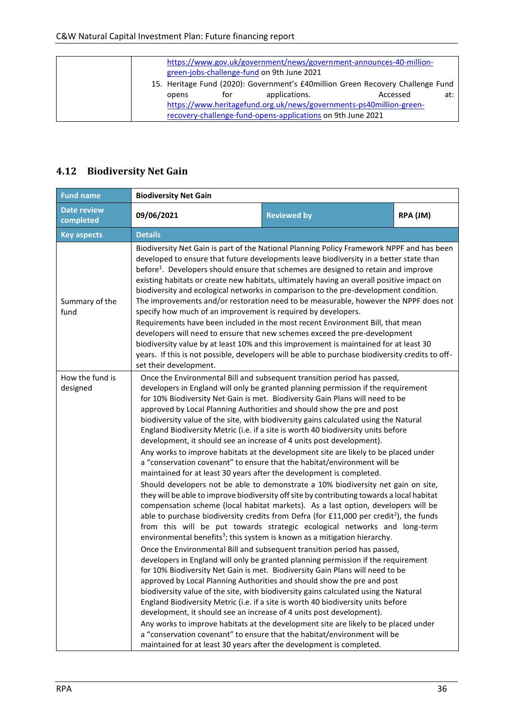|                                                                                                                                    |     | green-jobs-challenge-fund on 9th June 2021 | https://www.gov.uk/government/news/government-announces-40-million-                         |     |  |
|------------------------------------------------------------------------------------------------------------------------------------|-----|--------------------------------------------|---------------------------------------------------------------------------------------------|-----|--|
| opens                                                                                                                              | for | applications.                              | 15. Heritage Fund (2020): Government's £40million Green Recovery Challenge Fund<br>Accessed | at: |  |
| https://www.heritagefund.org.uk/news/governments-ps40million-green-<br>recovery-challenge-fund-opens-applications on 9th June 2021 |     |                                            |                                                                                             |     |  |

#### <span id="page-35-0"></span>**4.12 Biodiversity Net Gain**

| <b>Fund name</b>                | <b>Biodiversity Net Gain</b>                                                                                                                                                                                                                                                                                                                                                                                                                                                                                                                                                                                                                                                                                                                                                                                                                                                                                                                                                                                               |                                                                                                                                                                                                                                                                                                                                                                                                                                                                                                                                                                                                                                                                                                                                                                                                                                                                                                                                                                                                                                                                                                                                                                                                                                                                                                                                                                                                                                                                                                                                                                                                                                                                                                                                                                                                                                                                                                                                                                                                                                                                                                                                    |          |  |  |  |  |  |  |
|---------------------------------|----------------------------------------------------------------------------------------------------------------------------------------------------------------------------------------------------------------------------------------------------------------------------------------------------------------------------------------------------------------------------------------------------------------------------------------------------------------------------------------------------------------------------------------------------------------------------------------------------------------------------------------------------------------------------------------------------------------------------------------------------------------------------------------------------------------------------------------------------------------------------------------------------------------------------------------------------------------------------------------------------------------------------|------------------------------------------------------------------------------------------------------------------------------------------------------------------------------------------------------------------------------------------------------------------------------------------------------------------------------------------------------------------------------------------------------------------------------------------------------------------------------------------------------------------------------------------------------------------------------------------------------------------------------------------------------------------------------------------------------------------------------------------------------------------------------------------------------------------------------------------------------------------------------------------------------------------------------------------------------------------------------------------------------------------------------------------------------------------------------------------------------------------------------------------------------------------------------------------------------------------------------------------------------------------------------------------------------------------------------------------------------------------------------------------------------------------------------------------------------------------------------------------------------------------------------------------------------------------------------------------------------------------------------------------------------------------------------------------------------------------------------------------------------------------------------------------------------------------------------------------------------------------------------------------------------------------------------------------------------------------------------------------------------------------------------------------------------------------------------------------------------------------------------------|----------|--|--|--|--|--|--|
| <b>Date review</b><br>completed | 09/06/2021                                                                                                                                                                                                                                                                                                                                                                                                                                                                                                                                                                                                                                                                                                                                                                                                                                                                                                                                                                                                                 | <b>Reviewed by</b>                                                                                                                                                                                                                                                                                                                                                                                                                                                                                                                                                                                                                                                                                                                                                                                                                                                                                                                                                                                                                                                                                                                                                                                                                                                                                                                                                                                                                                                                                                                                                                                                                                                                                                                                                                                                                                                                                                                                                                                                                                                                                                                 | RPA (JM) |  |  |  |  |  |  |
| <b>Key aspects</b>              | <b>Details</b>                                                                                                                                                                                                                                                                                                                                                                                                                                                                                                                                                                                                                                                                                                                                                                                                                                                                                                                                                                                                             |                                                                                                                                                                                                                                                                                                                                                                                                                                                                                                                                                                                                                                                                                                                                                                                                                                                                                                                                                                                                                                                                                                                                                                                                                                                                                                                                                                                                                                                                                                                                                                                                                                                                                                                                                                                                                                                                                                                                                                                                                                                                                                                                    |          |  |  |  |  |  |  |
| Summary of the<br>fund          | Biodiversity Net Gain is part of the National Planning Policy Framework NPPF and has been<br>developed to ensure that future developments leave biodiversity in a better state than<br>before <sup>1</sup> . Developers should ensure that schemes are designed to retain and improve<br>existing habitats or create new habitats, ultimately having an overall positive impact on<br>biodiversity and ecological networks in comparison to the pre-development condition.<br>The improvements and/or restoration need to be measurable, however the NPPF does not<br>specify how much of an improvement is required by developers.<br>Requirements have been included in the most recent Environment Bill, that mean<br>developers will need to ensure that new schemes exceed the pre-development<br>biodiversity value by at least 10% and this improvement is maintained for at least 30<br>years. If this is not possible, developers will be able to purchase biodiversity credits to off-<br>set their development. |                                                                                                                                                                                                                                                                                                                                                                                                                                                                                                                                                                                                                                                                                                                                                                                                                                                                                                                                                                                                                                                                                                                                                                                                                                                                                                                                                                                                                                                                                                                                                                                                                                                                                                                                                                                                                                                                                                                                                                                                                                                                                                                                    |          |  |  |  |  |  |  |
| How the fund is<br>designed     | maintained for at least 30 years after the development is completed.                                                                                                                                                                                                                                                                                                                                                                                                                                                                                                                                                                                                                                                                                                                                                                                                                                                                                                                                                       | Once the Environmental Bill and subsequent transition period has passed,<br>developers in England will only be granted planning permission if the requirement<br>for 10% Biodiversity Net Gain is met. Biodiversity Gain Plans will need to be<br>approved by Local Planning Authorities and should show the pre and post<br>biodiversity value of the site, with biodiversity gains calculated using the Natural<br>England Biodiversity Metric (i.e. if a site is worth 40 biodiversity units before<br>development, it should see an increase of 4 units post development).<br>Any works to improve habitats at the development site are likely to be placed under<br>a "conservation covenant" to ensure that the habitat/environment will be<br>Should developers not be able to demonstrate a 10% biodiversity net gain on site,<br>they will be able to improve biodiversity off site by contributing towards a local habitat<br>compensation scheme (local habitat markets). As a last option, developers will be<br>able to purchase biodiversity credits from Defra (for £11,000 per credit <sup>2</sup> ), the funds<br>from this will be put towards strategic ecological networks and long-term<br>environmental benefits <sup>3</sup> ; this system is known as a mitigation hierarchy.<br>Once the Environmental Bill and subsequent transition period has passed,<br>developers in England will only be granted planning permission if the requirement<br>for 10% Biodiversity Net Gain is met. Biodiversity Gain Plans will need to be<br>approved by Local Planning Authorities and should show the pre and post<br>biodiversity value of the site, with biodiversity gains calculated using the Natural<br>England Biodiversity Metric (i.e. if a site is worth 40 biodiversity units before<br>development, it should see an increase of 4 units post development).<br>Any works to improve habitats at the development site are likely to be placed under<br>a "conservation covenant" to ensure that the habitat/environment will be<br>maintained for at least 30 years after the development is completed. |          |  |  |  |  |  |  |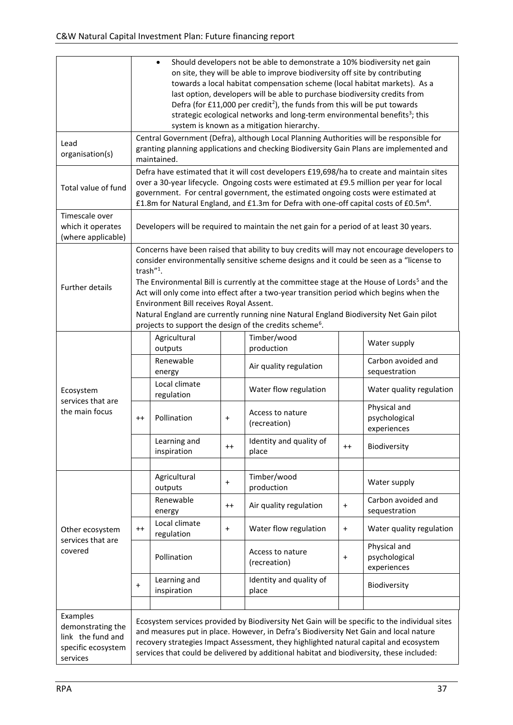|                                                                                      | Should developers not be able to demonstrate a 10% biodiversity net gain<br>$\bullet$<br>on site, they will be able to improve biodiversity off site by contributing<br>towards a local habitat compensation scheme (local habitat markets). As a<br>last option, developers will be able to purchase biodiversity credits from<br>Defra (for £11,000 per credit <sup>2</sup> ), the funds from this will be put towards<br>strategic ecological networks and long-term environmental benefits <sup>3</sup> ; this<br>system is known as a mitigation hierarchy.                                                  |                                                                                                                                                                                                                                                                                                                                                                                  |           |                                                                                         |           |                                              |  |  |
|--------------------------------------------------------------------------------------|-------------------------------------------------------------------------------------------------------------------------------------------------------------------------------------------------------------------------------------------------------------------------------------------------------------------------------------------------------------------------------------------------------------------------------------------------------------------------------------------------------------------------------------------------------------------------------------------------------------------|----------------------------------------------------------------------------------------------------------------------------------------------------------------------------------------------------------------------------------------------------------------------------------------------------------------------------------------------------------------------------------|-----------|-----------------------------------------------------------------------------------------|-----------|----------------------------------------------|--|--|
| Lead<br>organisation(s)                                                              |                                                                                                                                                                                                                                                                                                                                                                                                                                                                                                                                                                                                                   | Central Government (Defra), although Local Planning Authorities will be responsible for<br>granting planning applications and checking Biodiversity Gain Plans are implemented and<br>maintained.                                                                                                                                                                                |           |                                                                                         |           |                                              |  |  |
| Total value of fund                                                                  |                                                                                                                                                                                                                                                                                                                                                                                                                                                                                                                                                                                                                   | Defra have estimated that it will cost developers £19,698/ha to create and maintain sites<br>over a 30-year lifecycle. Ongoing costs were estimated at £9.5 million per year for local<br>government. For central government, the estimated ongoing costs were estimated at<br>£1.8m for Natural England, and £1.3m for Defra with one-off capital costs of £0.5m <sup>4</sup> . |           |                                                                                         |           |                                              |  |  |
| Timescale over<br>which it operates<br>(where applicable)                            |                                                                                                                                                                                                                                                                                                                                                                                                                                                                                                                                                                                                                   |                                                                                                                                                                                                                                                                                                                                                                                  |           | Developers will be required to maintain the net gain for a period of at least 30 years. |           |                                              |  |  |
| Further details                                                                      | Concerns have been raised that ability to buy credits will may not encourage developers to<br>consider environmentally sensitive scheme designs and it could be seen as a "license to<br>trash"1.<br>The Environmental Bill is currently at the committee stage at the House of Lords <sup>5</sup> and the<br>Act will only come into effect after a two-year transition period which begins when the<br>Environment Bill receives Royal Assent.<br>Natural England are currently running nine Natural England Biodiversity Net Gain pilot<br>projects to support the design of the credits scheme <sup>6</sup> . |                                                                                                                                                                                                                                                                                                                                                                                  |           |                                                                                         |           |                                              |  |  |
|                                                                                      |                                                                                                                                                                                                                                                                                                                                                                                                                                                                                                                                                                                                                   | Agricultural<br>outputs                                                                                                                                                                                                                                                                                                                                                          |           | Timber/wood<br>production                                                               |           | Water supply                                 |  |  |
|                                                                                      |                                                                                                                                                                                                                                                                                                                                                                                                                                                                                                                                                                                                                   | Renewable<br>energy                                                                                                                                                                                                                                                                                                                                                              |           | Air quality regulation                                                                  |           | Carbon avoided and<br>sequestration          |  |  |
| Ecosystem                                                                            |                                                                                                                                                                                                                                                                                                                                                                                                                                                                                                                                                                                                                   | Local climate<br>regulation                                                                                                                                                                                                                                                                                                                                                      |           | Water flow regulation                                                                   |           | Water quality regulation                     |  |  |
| services that are<br>the main focus                                                  | $^{++}$                                                                                                                                                                                                                                                                                                                                                                                                                                                                                                                                                                                                           | Pollination                                                                                                                                                                                                                                                                                                                                                                      | $\ddot{}$ | Access to nature<br>(recreation)                                                        |           | Physical and<br>psychological<br>experiences |  |  |
|                                                                                      |                                                                                                                                                                                                                                                                                                                                                                                                                                                                                                                                                                                                                   | Learning and<br>inspiration                                                                                                                                                                                                                                                                                                                                                      | $^{++}$   | Identity and quality of<br>place                                                        | $^{++}$   | Biodiversity                                 |  |  |
|                                                                                      |                                                                                                                                                                                                                                                                                                                                                                                                                                                                                                                                                                                                                   | Agricultural<br>outputs                                                                                                                                                                                                                                                                                                                                                          | $\ddot{}$ | Timber/wood<br>production                                                               |           | Water supply                                 |  |  |
|                                                                                      |                                                                                                                                                                                                                                                                                                                                                                                                                                                                                                                                                                                                                   | Renewable<br>energy                                                                                                                                                                                                                                                                                                                                                              | $^{++}$   | Air quality regulation                                                                  | $\ddot{}$ | Carbon avoided and<br>sequestration          |  |  |
| Other ecosystem                                                                      | $^{++}$                                                                                                                                                                                                                                                                                                                                                                                                                                                                                                                                                                                                           | Local climate<br>regulation                                                                                                                                                                                                                                                                                                                                                      | $\ddot{}$ | Water flow regulation                                                                   | $\ddot{}$ | Water quality regulation                     |  |  |
| services that are<br>covered                                                         |                                                                                                                                                                                                                                                                                                                                                                                                                                                                                                                                                                                                                   | Pollination                                                                                                                                                                                                                                                                                                                                                                      |           | Access to nature<br>(recreation)                                                        | $\ddot{}$ | Physical and<br>psychological<br>experiences |  |  |
|                                                                                      | $\ddot{}$                                                                                                                                                                                                                                                                                                                                                                                                                                                                                                                                                                                                         | Learning and<br>inspiration                                                                                                                                                                                                                                                                                                                                                      |           | Identity and quality of<br>place                                                        |           | Biodiversity                                 |  |  |
| Examples<br>demonstrating the<br>link the fund and<br>specific ecosystem<br>services |                                                                                                                                                                                                                                                                                                                                                                                                                                                                                                                                                                                                                   | Ecosystem services provided by Biodiversity Net Gain will be specific to the individual sites<br>and measures put in place. However, in Defra's Biodiversity Net Gain and local nature<br>recovery strategies Impact Assessment, they highlighted natural capital and ecosystem<br>services that could be delivered by additional habitat and biodiversity, these included:      |           |                                                                                         |           |                                              |  |  |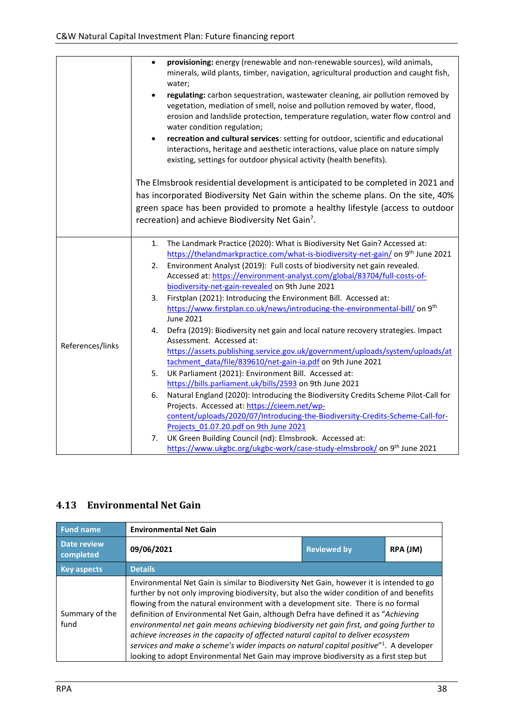|                  | provisioning: energy (renewable and non-renewable sources), wild animals,<br>$\bullet$<br>minerals, wild plants, timber, navigation, agricultural production and caught fish,<br>water;                                                                                                         |
|------------------|-------------------------------------------------------------------------------------------------------------------------------------------------------------------------------------------------------------------------------------------------------------------------------------------------|
|                  | regulating: carbon sequestration, wastewater cleaning, air pollution removed by<br>$\bullet$<br>vegetation, mediation of smell, noise and pollution removed by water, flood,<br>erosion and landslide protection, temperature regulation, water flow control and<br>water condition regulation; |
|                  | recreation and cultural services: setting for outdoor, scientific and educational<br>$\bullet$<br>interactions, heritage and aesthetic interactions, value place on nature simply<br>existing, settings for outdoor physical activity (health benefits).                                        |
|                  | The Elmsbrook residential development is anticipated to be completed in 2021 and                                                                                                                                                                                                                |
|                  | has incorporated Biodiversity Net Gain within the scheme plans. On the site, 40%                                                                                                                                                                                                                |
|                  | green space has been provided to promote a healthy lifestyle (access to outdoor                                                                                                                                                                                                                 |
|                  | recreation) and achieve Biodiversity Net Gain <sup>7</sup> .                                                                                                                                                                                                                                    |
|                  |                                                                                                                                                                                                                                                                                                 |
|                  | The Landmark Practice (2020): What is Biodiversity Net Gain? Accessed at:<br>1.<br>https://thelandmarkpractice.com/what-is-biodiversity-net-gain/ on 9 <sup>th</sup> June 2021                                                                                                                  |
|                  | Environment Analyst (2019): Full costs of biodiversity net gain revealed.<br>2.                                                                                                                                                                                                                 |
|                  | Accessed at: https://environment-analyst.com/global/83704/full-costs-of-                                                                                                                                                                                                                        |
|                  | biodiversity-net-gain-revealed on 9th June 2021                                                                                                                                                                                                                                                 |
|                  | Firstplan (2021): Introducing the Environment Bill. Accessed at:<br>3.                                                                                                                                                                                                                          |
|                  | https://www.firstplan.co.uk/news/introducing-the-environmental-bill/ on 9 <sup>th</sup>                                                                                                                                                                                                         |
|                  | June 2021                                                                                                                                                                                                                                                                                       |
|                  | Defra (2019): Biodiversity net gain and local nature recovery strategies. Impact<br>4.                                                                                                                                                                                                          |
| References/links | Assessment. Accessed at:                                                                                                                                                                                                                                                                        |
|                  | https://assets.publishing.service.gov.uk/government/uploads/system/uploads/at                                                                                                                                                                                                                   |
|                  | tachment data/file/839610/net-gain-ia.pdf on 9th June 2021<br>UK Parliament (2021): Environment Bill. Accessed at:                                                                                                                                                                              |
|                  | 5.<br>https://bills.parliament.uk/bills/2593 on 9th June 2021                                                                                                                                                                                                                                   |
|                  | Natural England (2020): Introducing the Biodiversity Credits Scheme Pilot-Call for<br>6.                                                                                                                                                                                                        |
|                  | Projects. Accessed at: https://cieem.net/wp-                                                                                                                                                                                                                                                    |
|                  | content/uploads/2020/07/Introducing-the-Biodiversity-Credits-Scheme-Call-for-                                                                                                                                                                                                                   |
|                  | Projects 01.07.20.pdf on 9th June 2021                                                                                                                                                                                                                                                          |
|                  | UK Green Building Council (nd): Elmsbrook. Accessed at:<br>7.                                                                                                                                                                                                                                   |
|                  | https://www.ukgbc.org/ukgbc-work/case-study-elmsbrook/ on 9 <sup>th</sup> June 2021                                                                                                                                                                                                             |

#### <span id="page-37-0"></span>**4.13 Environmental Net Gain**

| <b>Fund name</b>         | <b>Environmental Net Gain</b>                                                                                                                                                                                                                                                                                                                                                                                                                                                                                                                                                                                                                                                                                                     |  |  |  |  |  |  |  |
|--------------------------|-----------------------------------------------------------------------------------------------------------------------------------------------------------------------------------------------------------------------------------------------------------------------------------------------------------------------------------------------------------------------------------------------------------------------------------------------------------------------------------------------------------------------------------------------------------------------------------------------------------------------------------------------------------------------------------------------------------------------------------|--|--|--|--|--|--|--|
| Date review<br>completed | 09/06/2021<br>RPA (JM)<br><b>Reviewed by</b>                                                                                                                                                                                                                                                                                                                                                                                                                                                                                                                                                                                                                                                                                      |  |  |  |  |  |  |  |
| <b>Key aspects</b>       | <b>Details</b>                                                                                                                                                                                                                                                                                                                                                                                                                                                                                                                                                                                                                                                                                                                    |  |  |  |  |  |  |  |
| Summary of the<br>fund   | Environmental Net Gain is similar to Biodiversity Net Gain, however it is intended to go<br>further by not only improving biodiversity, but also the wider condition of and benefits<br>flowing from the natural environment with a development site. There is no formal<br>definition of Environmental Net Gain, although Defra have defined it as "Achieving<br>environmental net gain means achieving biodiversity net gain first, and going further to<br>achieve increases in the capacity of affected natural capital to deliver ecosystem<br>services and make a scheme's wider impacts on natural capital positive"1. A developer<br>looking to adopt Environmental Net Gain may improve biodiversity as a first step but |  |  |  |  |  |  |  |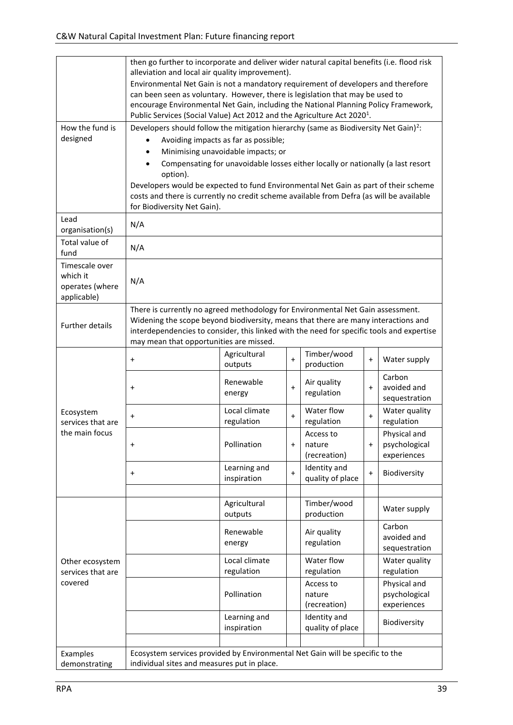|                                                              | then go further to incorporate and deliver wider natural capital benefits (i.e. flood risk<br>alleviation and local air quality improvement).<br>Environmental Net Gain is not a mandatory requirement of developers and therefore                                                                                                                                                                                                                                                              |                             |           |                                     |           |                                              |  |  |
|--------------------------------------------------------------|-------------------------------------------------------------------------------------------------------------------------------------------------------------------------------------------------------------------------------------------------------------------------------------------------------------------------------------------------------------------------------------------------------------------------------------------------------------------------------------------------|-----------------------------|-----------|-------------------------------------|-----------|----------------------------------------------|--|--|
|                                                              | can been seen as voluntary. However, there is legislation that may be used to<br>encourage Environmental Net Gain, including the National Planning Policy Framework,<br>Public Services (Social Value) Act 2012 and the Agriculture Act 2020 <sup>1</sup> .                                                                                                                                                                                                                                     |                             |           |                                     |           |                                              |  |  |
| How the fund is<br>designed                                  | Developers should follow the mitigation hierarchy (same as Biodiversity Net Gain) <sup>2</sup> :<br>Avoiding impacts as far as possible;<br>Minimising unavoidable impacts; or<br>Compensating for unavoidable losses either locally or nationally (a last resort<br>option).<br>Developers would be expected to fund Environmental Net Gain as part of their scheme<br>costs and there is currently no credit scheme available from Defra (as will be available<br>for Biodiversity Net Gain). |                             |           |                                     |           |                                              |  |  |
| Lead<br>organisation(s)                                      | N/A                                                                                                                                                                                                                                                                                                                                                                                                                                                                                             |                             |           |                                     |           |                                              |  |  |
| Total value of<br>fund                                       | N/A                                                                                                                                                                                                                                                                                                                                                                                                                                                                                             |                             |           |                                     |           |                                              |  |  |
| Timescale over<br>which it<br>operates (where<br>applicable) | N/A                                                                                                                                                                                                                                                                                                                                                                                                                                                                                             |                             |           |                                     |           |                                              |  |  |
| <b>Further details</b>                                       | There is currently no agreed methodology for Environmental Net Gain assessment.<br>Widening the scope beyond biodiversity, means that there are many interactions and<br>interdependencies to consider, this linked with the need for specific tools and expertise<br>may mean that opportunities are missed.                                                                                                                                                                                   |                             |           |                                     |           |                                              |  |  |
|                                                              | $\ddot{}$                                                                                                                                                                                                                                                                                                                                                                                                                                                                                       | Agricultural<br>outputs     | $\ddot{}$ | Timber/wood<br>production           | $\ddot{}$ | Water supply                                 |  |  |
|                                                              | $\ddot{}$                                                                                                                                                                                                                                                                                                                                                                                                                                                                                       | Renewable<br>energy         | $\ddot{}$ | Air quality<br>regulation           | $\ddot{}$ | Carbon<br>avoided and<br>sequestration       |  |  |
| Ecosystem<br>services that are                               | $\ddot{}$                                                                                                                                                                                                                                                                                                                                                                                                                                                                                       | Local climate<br>regulation | $\ddot{}$ | Water flow<br>regulation            | $\ddot{}$ | Water quality<br>regulation                  |  |  |
| the main focus                                               | $\ddot{}$                                                                                                                                                                                                                                                                                                                                                                                                                                                                                       | Pollination                 | +         | Access to<br>nature<br>(recreation) | $\ddot{}$ | Physical and<br>psychological<br>experiences |  |  |
|                                                              | $\ddot{}$                                                                                                                                                                                                                                                                                                                                                                                                                                                                                       | Learning and<br>inspiration | $\ddot{}$ | Identity and<br>quality of place    | $\ddot{}$ | Biodiversity                                 |  |  |
|                                                              |                                                                                                                                                                                                                                                                                                                                                                                                                                                                                                 | Agricultural<br>outputs     |           | Timber/wood<br>production           |           | Water supply                                 |  |  |
|                                                              |                                                                                                                                                                                                                                                                                                                                                                                                                                                                                                 | Renewable<br>energy         |           | Air quality<br>regulation           |           | Carbon<br>avoided and<br>sequestration       |  |  |
| Other ecosystem<br>services that are                         |                                                                                                                                                                                                                                                                                                                                                                                                                                                                                                 | Local climate<br>regulation |           | Water flow<br>regulation            |           | Water quality<br>regulation                  |  |  |
| covered                                                      |                                                                                                                                                                                                                                                                                                                                                                                                                                                                                                 | Pollination                 |           | Access to<br>nature<br>(recreation) |           | Physical and<br>psychological<br>experiences |  |  |
|                                                              |                                                                                                                                                                                                                                                                                                                                                                                                                                                                                                 | Learning and<br>inspiration |           | Identity and<br>quality of place    |           | Biodiversity                                 |  |  |
| Examples<br>demonstrating                                    | Ecosystem services provided by Environmental Net Gain will be specific to the<br>individual sites and measures put in place.                                                                                                                                                                                                                                                                                                                                                                    |                             |           |                                     |           |                                              |  |  |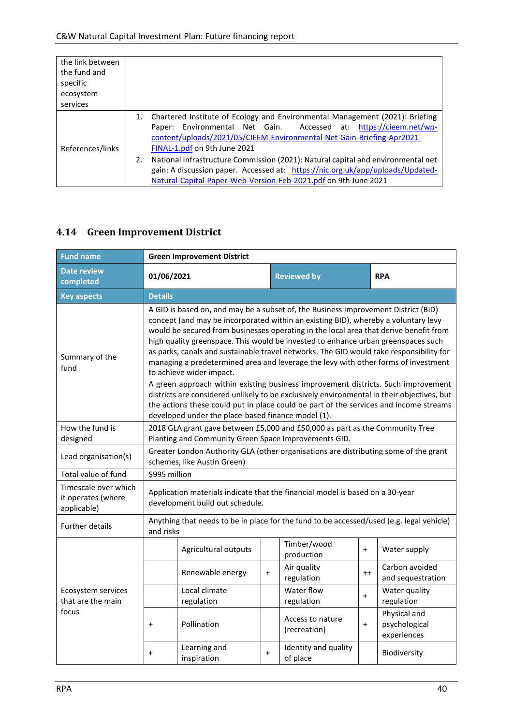| the link between<br>the fund and<br>specific<br>ecosystem<br>services |                                                                                                                                                                                                                                                                                                                                                                                                                                                                                                            |
|-----------------------------------------------------------------------|------------------------------------------------------------------------------------------------------------------------------------------------------------------------------------------------------------------------------------------------------------------------------------------------------------------------------------------------------------------------------------------------------------------------------------------------------------------------------------------------------------|
| References/links                                                      | Chartered Institute of Ecology and Environmental Management (2021): Briefing<br>Paper: Environmental Net Gain. Accessed at: https://cieem.net/wp-<br>content/uploads/2021/05/CIEEM-Environmental-Net-Gain-Briefing-Apr2021-<br>FINAL-1.pdf on 9th June 2021<br>National Infrastructure Commission (2021): Natural capital and environmental net<br>2.<br>gain: A discussion paper. Accessed at: https://nic.org.uk/app/uploads/Updated-<br>Natural-Capital-Paper-Web-Version-Feb-2021.pdf on 9th June 2021 |

#### <span id="page-39-0"></span>**4.14 Green Improvement District**

| <b>Fund name</b>                                          | <b>Green Improvement District</b>                                                                                                                                                                                                                                                                                                                                                                                                                                                                                                                                                                                                                                                                                                                                                                                                                                                                     |                                 |           |                                                                                          |      |                                              |  |  |
|-----------------------------------------------------------|-------------------------------------------------------------------------------------------------------------------------------------------------------------------------------------------------------------------------------------------------------------------------------------------------------------------------------------------------------------------------------------------------------------------------------------------------------------------------------------------------------------------------------------------------------------------------------------------------------------------------------------------------------------------------------------------------------------------------------------------------------------------------------------------------------------------------------------------------------------------------------------------------------|---------------------------------|-----------|------------------------------------------------------------------------------------------|------|----------------------------------------------|--|--|
| <b>Date review</b><br>completed                           | <b>Reviewed by</b><br>01/06/2021<br><b>RPA</b>                                                                                                                                                                                                                                                                                                                                                                                                                                                                                                                                                                                                                                                                                                                                                                                                                                                        |                                 |           |                                                                                          |      |                                              |  |  |
| <b>Key aspects</b>                                        | <b>Details</b>                                                                                                                                                                                                                                                                                                                                                                                                                                                                                                                                                                                                                                                                                                                                                                                                                                                                                        |                                 |           |                                                                                          |      |                                              |  |  |
| Summary of the<br>fund                                    | A GID is based on, and may be a subset of, the Business Improvement District (BID)<br>concept (and may be incorporated within an existing BID), whereby a voluntary levy<br>would be secured from businesses operating in the local area that derive benefit from<br>high quality greenspace. This would be invested to enhance urban greenspaces such<br>as parks, canals and sustainable travel networks. The GID would take responsibility for<br>managing a predetermined area and leverage the levy with other forms of investment<br>to achieve wider impact.<br>A green approach within existing business improvement districts. Such improvement<br>districts are considered unlikely to be exclusively environmental in their objectives, but<br>the actions these could put in place could be part of the services and income streams<br>developed under the place-based finance model (1). |                                 |           |                                                                                          |      |                                              |  |  |
| How the fund is<br>designed                               | 2018 GLA grant gave between £5,000 and £50,000 as part as the Community Tree<br>Planting and Community Green Space Improvements GID.                                                                                                                                                                                                                                                                                                                                                                                                                                                                                                                                                                                                                                                                                                                                                                  |                                 |           |                                                                                          |      |                                              |  |  |
| Lead organisation(s)                                      | Greater London Authority GLA (other organisations are distributing some of the grant<br>schemes, like Austin Green)                                                                                                                                                                                                                                                                                                                                                                                                                                                                                                                                                                                                                                                                                                                                                                                   |                                 |           |                                                                                          |      |                                              |  |  |
| Total value of fund                                       | \$995 million                                                                                                                                                                                                                                                                                                                                                                                                                                                                                                                                                                                                                                                                                                                                                                                                                                                                                         |                                 |           |                                                                                          |      |                                              |  |  |
| Timescale over which<br>it operates (where<br>applicable) |                                                                                                                                                                                                                                                                                                                                                                                                                                                                                                                                                                                                                                                                                                                                                                                                                                                                                                       | development build out schedule. |           | Application materials indicate that the financial model is based on a 30-year            |      |                                              |  |  |
| <b>Further details</b>                                    | and risks                                                                                                                                                                                                                                                                                                                                                                                                                                                                                                                                                                                                                                                                                                                                                                                                                                                                                             |                                 |           | Anything that needs to be in place for the fund to be accessed/used (e.g. legal vehicle) |      |                                              |  |  |
|                                                           |                                                                                                                                                                                                                                                                                                                                                                                                                                                                                                                                                                                                                                                                                                                                                                                                                                                                                                       | Agricultural outputs            |           | Timber/wood<br>production                                                                | $+$  | Water supply                                 |  |  |
|                                                           |                                                                                                                                                                                                                                                                                                                                                                                                                                                                                                                                                                                                                                                                                                                                                                                                                                                                                                       | Renewable energy                | $+$       | Air quality<br>regulation                                                                | $++$ | Carbon avoided<br>and sequestration          |  |  |
| Ecosystem services<br>that are the main                   |                                                                                                                                                                                                                                                                                                                                                                                                                                                                                                                                                                                                                                                                                                                                                                                                                                                                                                       | Local climate<br>regulation     |           | Water flow<br>regulation                                                                 | $+$  | Water quality<br>regulation                  |  |  |
| focus                                                     | $\ddot{}$                                                                                                                                                                                                                                                                                                                                                                                                                                                                                                                                                                                                                                                                                                                                                                                                                                                                                             | Pollination                     |           | Access to nature<br>(recreation)                                                         | $+$  | Physical and<br>psychological<br>experiences |  |  |
|                                                           | $\ddot{}$                                                                                                                                                                                                                                                                                                                                                                                                                                                                                                                                                                                                                                                                                                                                                                                                                                                                                             | Learning and<br>inspiration     | $\ddot{}$ | Identity and quality<br>of place                                                         |      | Biodiversity                                 |  |  |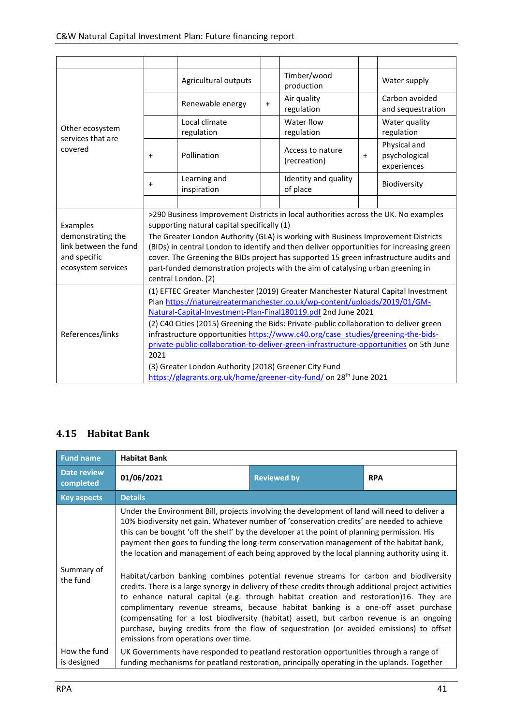|                                                                                              |                                                                                                                                                                                                                                                                                                                                                                                                                                                                                                                                                                                                                                                            | Agricultural outputs        |     | Timber/wood<br>production        |           | Water supply                                 |
|----------------------------------------------------------------------------------------------|------------------------------------------------------------------------------------------------------------------------------------------------------------------------------------------------------------------------------------------------------------------------------------------------------------------------------------------------------------------------------------------------------------------------------------------------------------------------------------------------------------------------------------------------------------------------------------------------------------------------------------------------------------|-----------------------------|-----|----------------------------------|-----------|----------------------------------------------|
|                                                                                              |                                                                                                                                                                                                                                                                                                                                                                                                                                                                                                                                                                                                                                                            | Renewable energy            | $+$ | Air quality<br>regulation        |           | Carbon avoided<br>and sequestration          |
| Other ecosystem<br>services that are                                                         |                                                                                                                                                                                                                                                                                                                                                                                                                                                                                                                                                                                                                                                            | Local climate<br>regulation |     | Water flow<br>regulation         |           | Water quality<br>regulation                  |
| covered                                                                                      | $\ddot{}$                                                                                                                                                                                                                                                                                                                                                                                                                                                                                                                                                                                                                                                  | Pollination                 |     | Access to nature<br>(recreation) | $\ddot{}$ | Physical and<br>psychological<br>experiences |
|                                                                                              | $\ddot{}$                                                                                                                                                                                                                                                                                                                                                                                                                                                                                                                                                                                                                                                  | Learning and<br>inspiration |     | Identity and quality<br>of place |           | Biodiversity                                 |
|                                                                                              |                                                                                                                                                                                                                                                                                                                                                                                                                                                                                                                                                                                                                                                            |                             |     |                                  |           |                                              |
| Examples<br>demonstrating the<br>link between the fund<br>and specific<br>ecosystem services | >290 Business Improvement Districts in local authorities across the UK. No examples<br>supporting natural capital specifically (1)<br>The Greater London Authority (GLA) is working with Business Improvement Districts<br>(BIDs) in central London to identify and then deliver opportunities for increasing green<br>cover. The Greening the BIDs project has supported 15 green infrastructure audits and<br>part-funded demonstration projects with the aim of catalysing urban greening in<br>central London. (2)                                                                                                                                     |                             |     |                                  |           |                                              |
| References/links                                                                             | (1) EFTEC Greater Manchester (2019) Greater Manchester Natural Capital Investment<br>Plan https://naturegreatermanchester.co.uk/wp-content/uploads/2019/01/GM-<br>Natural-Capital-Investment-Plan-Final180119.pdf 2nd June 2021<br>(2) C40 Cities (2015) Greening the Bids: Private-public collaboration to deliver green<br>infrastructure opportunities https://www.c40.org/case_studies/greening-the-bids-<br>private-public-collaboration-to-deliver-green-infrastructure-opportunities on 5th June<br>2021<br>(3) Greater London Authority (2018) Greener City Fund<br>https://glagrants.org.uk/home/greener-city-fund/ on 28 <sup>th</sup> June 2021 |                             |     |                                  |           |                                              |

#### <span id="page-40-0"></span>**4.15 Habitat Bank**

| <b>Fund name</b>            | <b>Habitat Bank</b>                                                                                                                                                                                                                                                                                                                                                                                                                                                                                                                                                                                                                                                                                                                                                                                                                                                                                                                                                                                                                                                                                     |                    |            |  |  |  |  |
|-----------------------------|---------------------------------------------------------------------------------------------------------------------------------------------------------------------------------------------------------------------------------------------------------------------------------------------------------------------------------------------------------------------------------------------------------------------------------------------------------------------------------------------------------------------------------------------------------------------------------------------------------------------------------------------------------------------------------------------------------------------------------------------------------------------------------------------------------------------------------------------------------------------------------------------------------------------------------------------------------------------------------------------------------------------------------------------------------------------------------------------------------|--------------------|------------|--|--|--|--|
| Date review<br>completed    | 01/06/2021                                                                                                                                                                                                                                                                                                                                                                                                                                                                                                                                                                                                                                                                                                                                                                                                                                                                                                                                                                                                                                                                                              | <b>Reviewed by</b> | <b>RPA</b> |  |  |  |  |
| <b>Key aspects</b>          | <b>Details</b>                                                                                                                                                                                                                                                                                                                                                                                                                                                                                                                                                                                                                                                                                                                                                                                                                                                                                                                                                                                                                                                                                          |                    |            |  |  |  |  |
| Summary of<br>the fund      | Under the Environment Bill, projects involving the development of land will need to deliver a<br>10% biodiversity net gain. Whatever number of 'conservation credits' are needed to achieve<br>this can be bought 'off the shelf' by the developer at the point of planning permission. His<br>payment then goes to funding the long-term conservation management of the habitat bank,<br>the location and management of each being approved by the local planning authority using it.<br>Habitat/carbon banking combines potential revenue streams for carbon and biodiversity<br>credits. There is a large synergy in delivery of these credits through additional project activities<br>to enhance natural capital (e.g. through habitat creation and restoration)16. They are<br>complimentary revenue streams, because habitat banking is a one-off asset purchase<br>(compensating for a lost biodiversity (habitat) asset), but carbon revenue is an ongoing<br>purchase, buying credits from the flow of sequestration (or avoided emissions) to offset<br>emissions from operations over time. |                    |            |  |  |  |  |
| How the fund<br>is designed | UK Governments have responded to peatland restoration opportunities through a range of<br>funding mechanisms for peatland restoration, principally operating in the uplands. Together                                                                                                                                                                                                                                                                                                                                                                                                                                                                                                                                                                                                                                                                                                                                                                                                                                                                                                                   |                    |            |  |  |  |  |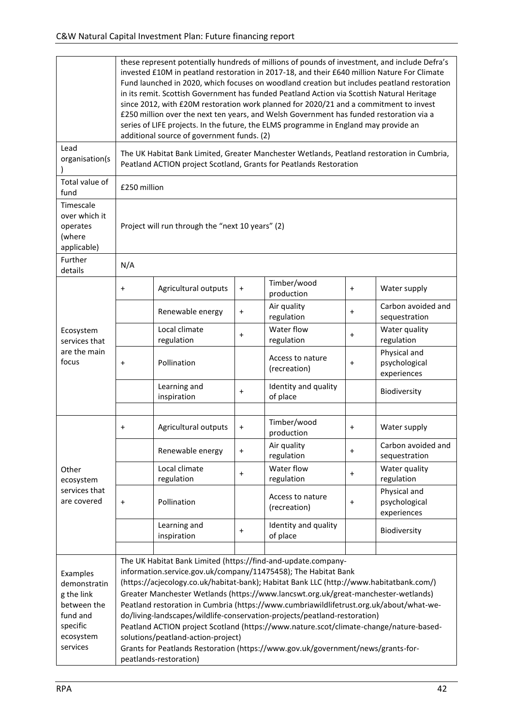| these represent potentially hundreds of millions of pounds of investment, and include Defra's<br>invested £10M in peatland restoration in 2017-18, and their £640 million Nature For Climate<br>Fund launched in 2020, which focuses on woodland creation but includes peatland restoration<br>in its remit. Scottish Government has funded Peatland Action via Scottish Natural Heritage<br>since 2012, with £20M restoration work planned for 2020/21 and a commitment to invest<br>£250 million over the next ten years, and Welsh Government has funded restoration via a<br>series of LIFE projects. In the future, the ELMS programme in England may provide an<br>additional source of government funds. (2) |                                                                                                                                                                  |                                                |                                  |                            |                                              |  |  |  |
|---------------------------------------------------------------------------------------------------------------------------------------------------------------------------------------------------------------------------------------------------------------------------------------------------------------------------------------------------------------------------------------------------------------------------------------------------------------------------------------------------------------------------------------------------------------------------------------------------------------------------------------------------------------------------------------------------------------------|------------------------------------------------------------------------------------------------------------------------------------------------------------------|------------------------------------------------|----------------------------------|----------------------------|----------------------------------------------|--|--|--|
|                                                                                                                                                                                                                                                                                                                                                                                                                                                                                                                                                                                                                                                                                                                     | The UK Habitat Bank Limited, Greater Manchester Wetlands, Peatland restoration in Cumbria,<br>Peatland ACTION project Scotland, Grants for Peatlands Restoration |                                                |                                  |                            |                                              |  |  |  |
|                                                                                                                                                                                                                                                                                                                                                                                                                                                                                                                                                                                                                                                                                                                     | £250 million                                                                                                                                                     |                                                |                                  |                            |                                              |  |  |  |
|                                                                                                                                                                                                                                                                                                                                                                                                                                                                                                                                                                                                                                                                                                                     | Project will run through the "next 10 years" (2)                                                                                                                 |                                                |                                  |                            |                                              |  |  |  |
| N/A                                                                                                                                                                                                                                                                                                                                                                                                                                                                                                                                                                                                                                                                                                                 |                                                                                                                                                                  |                                                |                                  |                            |                                              |  |  |  |
| $\ddot{}$                                                                                                                                                                                                                                                                                                                                                                                                                                                                                                                                                                                                                                                                                                           | Agricultural outputs                                                                                                                                             | $\ddot{}$                                      | Timber/wood<br>production        | $\ddot{}$                  | Water supply                                 |  |  |  |
|                                                                                                                                                                                                                                                                                                                                                                                                                                                                                                                                                                                                                                                                                                                     | Renewable energy                                                                                                                                                 | $\ddot{}$                                      | Air quality<br>regulation        | $\ddot{}$                  | Carbon avoided and<br>sequestration          |  |  |  |
|                                                                                                                                                                                                                                                                                                                                                                                                                                                                                                                                                                                                                                                                                                                     | Local climate<br>regulation                                                                                                                                      | $\ddot{}$                                      | Water flow<br>regulation         | $\ddot{}$                  | Water quality<br>regulation                  |  |  |  |
| $\ddot{}$                                                                                                                                                                                                                                                                                                                                                                                                                                                                                                                                                                                                                                                                                                           | Pollination                                                                                                                                                      |                                                | Access to nature<br>(recreation) | $\ddot{}$                  | Physical and<br>psychological<br>experiences |  |  |  |
|                                                                                                                                                                                                                                                                                                                                                                                                                                                                                                                                                                                                                                                                                                                     | Learning and<br>inspiration                                                                                                                                      | $\ddot{}$                                      | Identity and quality<br>of place |                            | Biodiversity                                 |  |  |  |
|                                                                                                                                                                                                                                                                                                                                                                                                                                                                                                                                                                                                                                                                                                                     |                                                                                                                                                                  |                                                |                                  |                            |                                              |  |  |  |
|                                                                                                                                                                                                                                                                                                                                                                                                                                                                                                                                                                                                                                                                                                                     |                                                                                                                                                                  |                                                | production                       |                            | Water supply                                 |  |  |  |
|                                                                                                                                                                                                                                                                                                                                                                                                                                                                                                                                                                                                                                                                                                                     | Renewable energy                                                                                                                                                 | $\ddot{}$                                      | regulation                       | $\ddot{}$                  | Carbon avoided and<br>sequestration          |  |  |  |
|                                                                                                                                                                                                                                                                                                                                                                                                                                                                                                                                                                                                                                                                                                                     | Local climate<br>regulation                                                                                                                                      | $\ddot{}$                                      | Water flow<br>regulation         | $\ddot{}$                  | Water quality<br>regulation                  |  |  |  |
| $\ddot{}$                                                                                                                                                                                                                                                                                                                                                                                                                                                                                                                                                                                                                                                                                                           | Pollination                                                                                                                                                      |                                                | Access to nature<br>(recreation) | $\pmb{+}$                  | Physical and<br>psychological<br>experiences |  |  |  |
|                                                                                                                                                                                                                                                                                                                                                                                                                                                                                                                                                                                                                                                                                                                     | Learning and<br>inspiration                                                                                                                                      | $\begin{array}{c} + \end{array}$               | Identity and quality<br>of place |                            | Biodiversity                                 |  |  |  |
|                                                                                                                                                                                                                                                                                                                                                                                                                                                                                                                                                                                                                                                                                                                     |                                                                                                                                                                  |                                                |                                  |                            |                                              |  |  |  |
| The UK Habitat Bank Limited (https://find-and-update.company-<br>information.service.gov.uk/company/11475458); The Habitat Bank<br>(https://acjecology.co.uk/habitat-bank); Habitat Bank LLC (http://www.habitatbank.com/)<br>Greater Manchester Wetlands (https://www.lancswt.org.uk/great-manchester-wetlands)<br>Peatland restoration in Cumbria (https://www.cumbriawildlifetrust.org.uk/about/what-we-<br>do/living-landscapes/wildlife-conservation-projects/peatland-restoration)<br>Peatland ACTION project Scotland (https://www.nature.scot/climate-change/nature-based-<br>solutions/peatland-action-project)<br>Grants for Peatlands Restoration (https://www.gov.uk/government/news/grants-for-        |                                                                                                                                                                  |                                                |                                  |                            |                                              |  |  |  |
|                                                                                                                                                                                                                                                                                                                                                                                                                                                                                                                                                                                                                                                                                                                     | $\ddot{}$                                                                                                                                                        | Agricultural outputs<br>peatlands-restoration) | $\ddot{}$                        | Timber/wood<br>Air quality | $\ddot{}$                                    |  |  |  |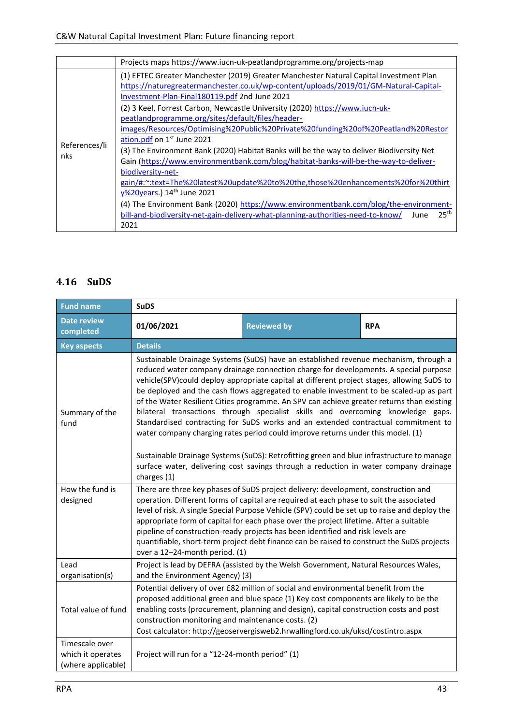|                      | Projects maps https://www.iucn-uk-peatlandprogramme.org/projects-map                                                                                                                                                                                                                                                                                                                                                                                                                                                                                                                                                                                                                                                                                                                                                                                                                                                                                                                                                                 |
|----------------------|--------------------------------------------------------------------------------------------------------------------------------------------------------------------------------------------------------------------------------------------------------------------------------------------------------------------------------------------------------------------------------------------------------------------------------------------------------------------------------------------------------------------------------------------------------------------------------------------------------------------------------------------------------------------------------------------------------------------------------------------------------------------------------------------------------------------------------------------------------------------------------------------------------------------------------------------------------------------------------------------------------------------------------------|
| References/li<br>nks | (1) EFTEC Greater Manchester (2019) Greater Manchester Natural Capital Investment Plan<br>https://naturegreatermanchester.co.uk/wp-content/uploads/2019/01/GM-Natural-Capital-<br>Investment-Plan-Final180119.pdf 2nd June 2021<br>(2) 3 Keel, Forrest Carbon, Newcastle University (2020) https://www.iucn-uk-<br>peatlandprogramme.org/sites/default/files/header-<br>images/Resources/Optimising%20Public%20Private%20funding%20of%20Peatland%20Restor<br>ation.pdf on 1st June 2021<br>(3) The Environment Bank (2020) Habitat Banks will be the way to deliver Biodiversity Net<br>Gain (https://www.environmentbank.com/blog/habitat-banks-will-be-the-way-to-deliver-<br>biodiversity-net-<br>gain/#:~:text=The%20latest%20update%20to%20the,those%20enhancements%20for%20thirt<br>y%20years.) 14th June 2021<br>(4) The Environment Bank (2020) https://www.environmentbank.com/blog/the-environment-<br>25 <sup>th</sup><br>bill-and-biodiversity-net-gain-delivery-what-planning-authorities-need-to-know/<br>June<br>2021 |

#### <span id="page-42-0"></span>**4.16 SuDS**

| <b>Fund name</b>                                          | <b>SuDS</b>                                                                                                                                                                                                                                                                                                                                                                                                                                                                                                                                                                                                                                                                                                                                                                                                                                                                                                       |  |  |  |  |  |  |
|-----------------------------------------------------------|-------------------------------------------------------------------------------------------------------------------------------------------------------------------------------------------------------------------------------------------------------------------------------------------------------------------------------------------------------------------------------------------------------------------------------------------------------------------------------------------------------------------------------------------------------------------------------------------------------------------------------------------------------------------------------------------------------------------------------------------------------------------------------------------------------------------------------------------------------------------------------------------------------------------|--|--|--|--|--|--|
| <b>Date review</b><br>completed                           | 01/06/2021<br><b>Reviewed by</b><br><b>RPA</b>                                                                                                                                                                                                                                                                                                                                                                                                                                                                                                                                                                                                                                                                                                                                                                                                                                                                    |  |  |  |  |  |  |
| <b>Key aspects</b>                                        | <b>Details</b>                                                                                                                                                                                                                                                                                                                                                                                                                                                                                                                                                                                                                                                                                                                                                                                                                                                                                                    |  |  |  |  |  |  |
| Summary of the<br>fund                                    | Sustainable Drainage Systems (SuDS) have an established revenue mechanism, through a<br>reduced water company drainage connection charge for developments. A special purpose<br>vehicle(SPV)could deploy appropriate capital at different project stages, allowing SuDS to<br>be deployed and the cash flows aggregated to enable investment to be scaled-up as part<br>of the Water Resilient Cities programme. An SPV can achieve greater returns than existing<br>bilateral transactions through specialist skills and overcoming knowledge gaps.<br>Standardised contracting for SuDS works and an extended contractual commitment to<br>water company charging rates period could improve returns under this model. (1)<br>Sustainable Drainage Systems (SuDS): Retrofitting green and blue infrastructure to manage<br>surface water, delivering cost savings through a reduction in water company drainage |  |  |  |  |  |  |
| How the fund is<br>designed                               | charges (1)<br>There are three key phases of SuDS project delivery: development, construction and<br>operation. Different forms of capital are required at each phase to suit the associated<br>level of risk. A single Special Purpose Vehicle (SPV) could be set up to raise and deploy the<br>appropriate form of capital for each phase over the project lifetime. After a suitable<br>pipeline of construction-ready projects has been identified and risk levels are<br>quantifiable, short-term project debt finance can be raised to construct the SuDS projects<br>over a 12-24-month period. (1)                                                                                                                                                                                                                                                                                                        |  |  |  |  |  |  |
| Lead<br>organisation(s)                                   | Project is lead by DEFRA (assisted by the Welsh Government, Natural Resources Wales,<br>and the Environment Agency) (3)                                                                                                                                                                                                                                                                                                                                                                                                                                                                                                                                                                                                                                                                                                                                                                                           |  |  |  |  |  |  |
| Total value of fund                                       | Potential delivery of over £82 million of social and environmental benefit from the<br>proposed additional green and blue space (1) Key cost components are likely to be the<br>enabling costs (procurement, planning and design), capital construction costs and post<br>construction monitoring and maintenance costs. (2)<br>Cost calculator: http://geoservergisweb2.hrwallingford.co.uk/uksd/costintro.aspx                                                                                                                                                                                                                                                                                                                                                                                                                                                                                                  |  |  |  |  |  |  |
| Timescale over<br>which it operates<br>(where applicable) | Project will run for a "12-24-month period" (1)                                                                                                                                                                                                                                                                                                                                                                                                                                                                                                                                                                                                                                                                                                                                                                                                                                                                   |  |  |  |  |  |  |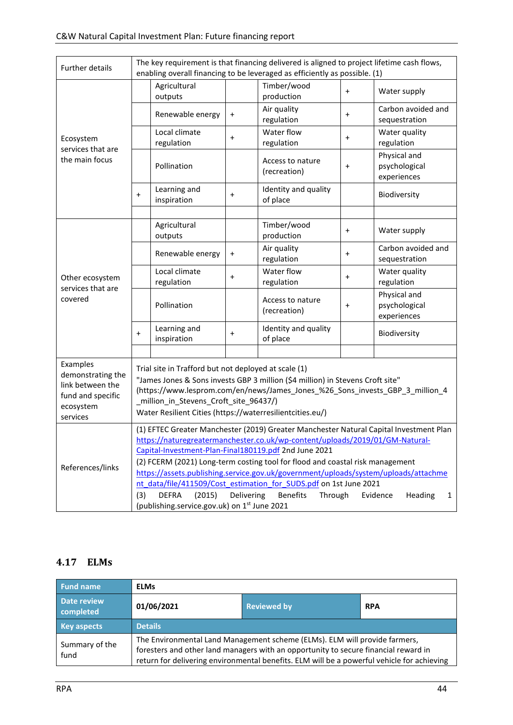| Further details                                                                                 | The key requirement is that financing delivered is aligned to project lifetime cash flows,<br>enabling overall financing to be leveraged as efficiently as possible. (1)                                                                                                                                                                                                                                                                                                                                                                                                                                                              |                             |           |                                  |           |                                              |
|-------------------------------------------------------------------------------------------------|---------------------------------------------------------------------------------------------------------------------------------------------------------------------------------------------------------------------------------------------------------------------------------------------------------------------------------------------------------------------------------------------------------------------------------------------------------------------------------------------------------------------------------------------------------------------------------------------------------------------------------------|-----------------------------|-----------|----------------------------------|-----------|----------------------------------------------|
| Ecosystem<br>services that are<br>the main focus                                                | Agricultural<br>outputs                                                                                                                                                                                                                                                                                                                                                                                                                                                                                                                                                                                                               |                             |           | Timber/wood<br>production        | $\ddot{}$ | Water supply                                 |
|                                                                                                 | Renewable energy                                                                                                                                                                                                                                                                                                                                                                                                                                                                                                                                                                                                                      |                             | $\ddot{}$ | Air quality<br>regulation        | $\ddot{}$ | Carbon avoided and<br>sequestration          |
|                                                                                                 |                                                                                                                                                                                                                                                                                                                                                                                                                                                                                                                                                                                                                                       | Local climate<br>regulation | $\pmb{+}$ | Water flow<br>regulation         | $\ddot{}$ | Water quality<br>regulation                  |
|                                                                                                 |                                                                                                                                                                                                                                                                                                                                                                                                                                                                                                                                                                                                                                       | Pollination                 |           | Access to nature<br>(recreation) | +         | Physical and<br>psychological<br>experiences |
|                                                                                                 | $\ddot{}$                                                                                                                                                                                                                                                                                                                                                                                                                                                                                                                                                                                                                             | Learning and<br>inspiration | $\ddot{}$ | Identity and quality<br>of place |           | Biodiversity                                 |
|                                                                                                 |                                                                                                                                                                                                                                                                                                                                                                                                                                                                                                                                                                                                                                       |                             |           |                                  |           |                                              |
|                                                                                                 |                                                                                                                                                                                                                                                                                                                                                                                                                                                                                                                                                                                                                                       | Agricultural<br>outputs     |           | Timber/wood<br>production        | $\ddot{}$ | Water supply                                 |
|                                                                                                 |                                                                                                                                                                                                                                                                                                                                                                                                                                                                                                                                                                                                                                       | Renewable energy            | $\ddot{}$ | Air quality<br>regulation        | $\ddot{}$ | Carbon avoided and<br>sequestration          |
| Other ecosystem                                                                                 |                                                                                                                                                                                                                                                                                                                                                                                                                                                                                                                                                                                                                                       | Local climate<br>regulation | $\pmb{+}$ | Water flow<br>regulation         | +         | Water quality<br>regulation                  |
| services that are<br>covered                                                                    |                                                                                                                                                                                                                                                                                                                                                                                                                                                                                                                                                                                                                                       | Pollination                 |           | Access to nature<br>(recreation) | $\pmb{+}$ | Physical and<br>psychological<br>experiences |
|                                                                                                 | $\ddot{}$                                                                                                                                                                                                                                                                                                                                                                                                                                                                                                                                                                                                                             | Learning and<br>inspiration | $\pmb{+}$ | Identity and quality<br>of place |           | Biodiversity                                 |
|                                                                                                 |                                                                                                                                                                                                                                                                                                                                                                                                                                                                                                                                                                                                                                       |                             |           |                                  |           |                                              |
| Examples<br>demonstrating the<br>link between the<br>fund and specific<br>ecosystem<br>services | Trial site in Trafford but not deployed at scale (1)<br>"James Jones & Sons invests GBP 3 million (\$4 million) in Stevens Croft site"<br>(https://www.lesprom.com/en/news/James Jones %26 Sons invests GBP 3 million 4<br>_million_in_Stevens_Croft_site_96437/)<br>Water Resilient Cities (https://waterresilientcities.eu/)                                                                                                                                                                                                                                                                                                        |                             |           |                                  |           |                                              |
| References/links                                                                                | (1) EFTEC Greater Manchester (2019) Greater Manchester Natural Capital Investment Plan<br>https://naturegreatermanchester.co.uk/wp-content/uploads/2019/01/GM-Natural-<br>Capital-Investment-Plan-Final180119.pdf 2nd June 2021<br>(2) FCERM (2021) Long-term costing tool for flood and coastal risk management<br>https://assets.publishing.service.gov.uk/government/uploads/system/uploads/attachme<br>nt data/file/411509/Cost estimation for SUDS.pdf on 1st June 2021<br><b>DEFRA</b><br>(2015)<br>Delivering<br>(3)<br><b>Benefits</b><br>Through<br>Evidence<br>Heading<br>1<br>(publishing.service.gov.uk) on 1st June 2021 |                             |           |                                  |           |                                              |

#### <span id="page-43-0"></span>**4.17 ELMs**

| <b>Fund name</b>         | <b>ELMs</b>                                                                                                                                                                                                                                                     |  |  |  |  |  |
|--------------------------|-----------------------------------------------------------------------------------------------------------------------------------------------------------------------------------------------------------------------------------------------------------------|--|--|--|--|--|
| Date review<br>completed | 01/06/2021<br><b>Reviewed by</b><br><b>RPA</b>                                                                                                                                                                                                                  |  |  |  |  |  |
| <b>Key aspects</b>       | <b>Details</b>                                                                                                                                                                                                                                                  |  |  |  |  |  |
| Summary of the<br>fund   | The Environmental Land Management scheme (ELMs). ELM will provide farmers,<br>foresters and other land managers with an opportunity to secure financial reward in<br>return for delivering environmental benefits. ELM will be a powerful vehicle for achieving |  |  |  |  |  |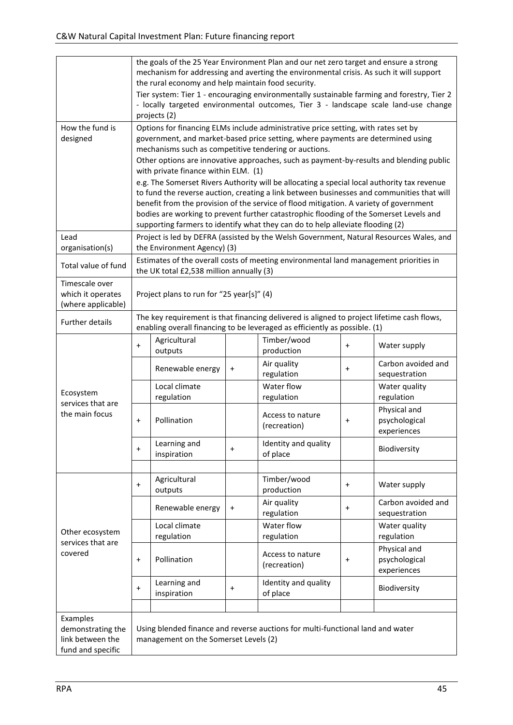|                                                                        | the goals of the 25 Year Environment Plan and our net zero target and ensure a strong<br>mechanism for addressing and averting the environmental crisis. As such it will support<br>the rural economy and help maintain food security.<br>Tier system: Tier 1 - encouraging environmentally sustainable farming and forestry, Tier 2<br>- locally targeted environmental outcomes, Tier 3 - landscape scale land-use change<br>projects (2)                                                                                                                                                       |                             |           |                                  |           |                                              |  |
|------------------------------------------------------------------------|---------------------------------------------------------------------------------------------------------------------------------------------------------------------------------------------------------------------------------------------------------------------------------------------------------------------------------------------------------------------------------------------------------------------------------------------------------------------------------------------------------------------------------------------------------------------------------------------------|-----------------------------|-----------|----------------------------------|-----------|----------------------------------------------|--|
| How the fund is<br>designed                                            | Options for financing ELMs include administrative price setting, with rates set by<br>government, and market-based price setting, where payments are determined using<br>mechanisms such as competitive tendering or auctions.                                                                                                                                                                                                                                                                                                                                                                    |                             |           |                                  |           |                                              |  |
|                                                                        | Other options are innovative approaches, such as payment-by-results and blending public<br>with private finance within ELM. (1)<br>e.g. The Somerset Rivers Authority will be allocating a special local authority tax revenue<br>to fund the reverse auction, creating a link between businesses and communities that will<br>benefit from the provision of the service of flood mitigation. A variety of government<br>bodies are working to prevent further catastrophic flooding of the Somerset Levels and<br>supporting farmers to identify what they can do to help alleviate flooding (2) |                             |           |                                  |           |                                              |  |
| Lead                                                                   | Project is led by DEFRA (assisted by the Welsh Government, Natural Resources Wales, and                                                                                                                                                                                                                                                                                                                                                                                                                                                                                                           |                             |           |                                  |           |                                              |  |
| organisation(s)<br>Total value of fund                                 | the Environment Agency) (3)<br>Estimates of the overall costs of meeting environmental land management priorities in<br>the UK total £2,538 million annually (3)                                                                                                                                                                                                                                                                                                                                                                                                                                  |                             |           |                                  |           |                                              |  |
| Timescale over<br>which it operates<br>(where applicable)              | Project plans to run for "25 year[s]" (4)                                                                                                                                                                                                                                                                                                                                                                                                                                                                                                                                                         |                             |           |                                  |           |                                              |  |
| <b>Further details</b>                                                 | The key requirement is that financing delivered is aligned to project lifetime cash flows,<br>enabling overall financing to be leveraged as efficiently as possible. (1)                                                                                                                                                                                                                                                                                                                                                                                                                          |                             |           |                                  |           |                                              |  |
| Ecosystem<br>services that are<br>the main focus                       | $\ddot{}$                                                                                                                                                                                                                                                                                                                                                                                                                                                                                                                                                                                         | Agricultural<br>outputs     |           | Timber/wood<br>production        | $\ddot{}$ | Water supply                                 |  |
|                                                                        |                                                                                                                                                                                                                                                                                                                                                                                                                                                                                                                                                                                                   | Renewable energy            | $\pmb{+}$ | Air quality<br>regulation        | $\ddot{}$ | Carbon avoided and<br>sequestration          |  |
|                                                                        |                                                                                                                                                                                                                                                                                                                                                                                                                                                                                                                                                                                                   | Local climate<br>regulation |           | Water flow<br>regulation         |           | Water quality<br>regulation                  |  |
|                                                                        | $\ddot{}$                                                                                                                                                                                                                                                                                                                                                                                                                                                                                                                                                                                         | Pollination                 |           | Access to nature<br>(recreation) | +         | Physical and<br>psychological<br>experiences |  |
|                                                                        | $\ddot{}$                                                                                                                                                                                                                                                                                                                                                                                                                                                                                                                                                                                         | Learning and<br>inspiration | $\pmb{+}$ | Identity and quality<br>of place |           | Biodiversity                                 |  |
|                                                                        |                                                                                                                                                                                                                                                                                                                                                                                                                                                                                                                                                                                                   |                             |           |                                  |           |                                              |  |
| Other ecosystem<br>services that are<br>covered                        | Agricultural<br>$+$<br>outputs                                                                                                                                                                                                                                                                                                                                                                                                                                                                                                                                                                    |                             |           | Timber/wood<br>production        | $\ddot{}$ | Water supply                                 |  |
|                                                                        |                                                                                                                                                                                                                                                                                                                                                                                                                                                                                                                                                                                                   | Renewable energy            | $\ddot{}$ | Air quality<br>regulation        | $\ddot{}$ | Carbon avoided and<br>sequestration          |  |
|                                                                        |                                                                                                                                                                                                                                                                                                                                                                                                                                                                                                                                                                                                   | Local climate<br>regulation |           | Water flow<br>regulation         |           | Water quality<br>regulation                  |  |
|                                                                        | $+$                                                                                                                                                                                                                                                                                                                                                                                                                                                                                                                                                                                               | Pollination                 |           | Access to nature<br>(recreation) | $\ddot{}$ | Physical and<br>psychological<br>experiences |  |
|                                                                        | $+$                                                                                                                                                                                                                                                                                                                                                                                                                                                                                                                                                                                               | Learning and<br>inspiration | $\ddot{}$ | Identity and quality<br>of place |           | Biodiversity                                 |  |
|                                                                        |                                                                                                                                                                                                                                                                                                                                                                                                                                                                                                                                                                                                   |                             |           |                                  |           |                                              |  |
| Examples<br>demonstrating the<br>link between the<br>fund and specific | Using blended finance and reverse auctions for multi-functional land and water<br>management on the Somerset Levels (2)                                                                                                                                                                                                                                                                                                                                                                                                                                                                           |                             |           |                                  |           |                                              |  |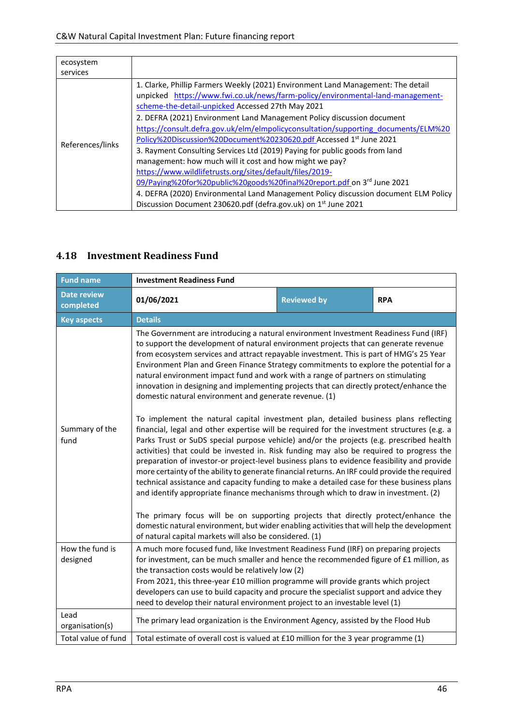| ecosystem                    |                                                                                                                                                                                                                                                                                                                                                                                                                                                                                                                                                                                                                                                                                 |
|------------------------------|---------------------------------------------------------------------------------------------------------------------------------------------------------------------------------------------------------------------------------------------------------------------------------------------------------------------------------------------------------------------------------------------------------------------------------------------------------------------------------------------------------------------------------------------------------------------------------------------------------------------------------------------------------------------------------|
|                              |                                                                                                                                                                                                                                                                                                                                                                                                                                                                                                                                                                                                                                                                                 |
| services<br>References/links | 1. Clarke, Phillip Farmers Weekly (2021) Environment Land Management: The detail<br>unpicked https://www.fwi.co.uk/news/farm-policy/environmental-land-management-<br>scheme-the-detail-unpicked Accessed 27th May 2021<br>2. DEFRA (2021) Environment Land Management Policy discussion document<br>https://consult.defra.gov.uk/elm/elmpolicyconsultation/supporting_documents/ELM%20<br>Policy%20Discussion%20Document%20230620.pdf Accessed 1 <sup>st</sup> June 2021<br>3. Rayment Consulting Services Ltd (2019) Paying for public goods from land<br>management: how much will it cost and how might we pay?<br>https://www.wildlifetrusts.org/sites/default/files/2019- |
|                              | 09/Paying%20for%20public%20goods%20final%20report.pdf on 3 <sup>rd</sup> June 2021                                                                                                                                                                                                                                                                                                                                                                                                                                                                                                                                                                                              |
|                              | 4. DEFRA (2020) Environmental Land Management Policy discussion document ELM Policy                                                                                                                                                                                                                                                                                                                                                                                                                                                                                                                                                                                             |
|                              | Discussion Document 230620.pdf (defra.gov.uk) on 1 <sup>st</sup> June 2021                                                                                                                                                                                                                                                                                                                                                                                                                                                                                                                                                                                                      |

#### <span id="page-45-0"></span>**4.18 Investment Readiness Fund**

| <b>Fund name</b>                | <b>Investment Readiness Fund</b>                                                                                                                                                                                                                                                                                                                                                                                                                                                                                                                                                                                                                                                                                                                                                                                                                                                                                                                                                                                                                                                                                                                                                                                                                                                                                                                                                                                                                                                                 |                    |            |  |  |  |
|---------------------------------|--------------------------------------------------------------------------------------------------------------------------------------------------------------------------------------------------------------------------------------------------------------------------------------------------------------------------------------------------------------------------------------------------------------------------------------------------------------------------------------------------------------------------------------------------------------------------------------------------------------------------------------------------------------------------------------------------------------------------------------------------------------------------------------------------------------------------------------------------------------------------------------------------------------------------------------------------------------------------------------------------------------------------------------------------------------------------------------------------------------------------------------------------------------------------------------------------------------------------------------------------------------------------------------------------------------------------------------------------------------------------------------------------------------------------------------------------------------------------------------------------|--------------------|------------|--|--|--|
| <b>Date review</b><br>completed | 01/06/2021                                                                                                                                                                                                                                                                                                                                                                                                                                                                                                                                                                                                                                                                                                                                                                                                                                                                                                                                                                                                                                                                                                                                                                                                                                                                                                                                                                                                                                                                                       | <b>Reviewed by</b> | <b>RPA</b> |  |  |  |
| <b>Key aspects</b>              | <b>Details</b>                                                                                                                                                                                                                                                                                                                                                                                                                                                                                                                                                                                                                                                                                                                                                                                                                                                                                                                                                                                                                                                                                                                                                                                                                                                                                                                                                                                                                                                                                   |                    |            |  |  |  |
|                                 | The Government are introducing a natural environment Investment Readiness Fund (IRF)<br>to support the development of natural environment projects that can generate revenue<br>from ecosystem services and attract repayable investment. This is part of HMG's 25 Year<br>Environment Plan and Green Finance Strategy commitments to explore the potential for a<br>natural environment impact fund and work with a range of partners on stimulating<br>innovation in designing and implementing projects that can directly protect/enhance the<br>domestic natural environment and generate revenue. (1)<br>To implement the natural capital investment plan, detailed business plans reflecting<br>Summary of the<br>financial, legal and other expertise will be required for the investment structures (e.g. a<br>Parks Trust or SuDS special purpose vehicle) and/or the projects (e.g. prescribed health<br>fund<br>activities) that could be invested in. Risk funding may also be required to progress the<br>preparation of investor-or project-level business plans to evidence feasibility and provide<br>more certainty of the ability to generate financial returns. An IRF could provide the required<br>technical assistance and capacity funding to make a detailed case for these business plans<br>and identify appropriate finance mechanisms through which to draw in investment. (2)<br>The primary focus will be on supporting projects that directly protect/enhance the |                    |            |  |  |  |
|                                 |                                                                                                                                                                                                                                                                                                                                                                                                                                                                                                                                                                                                                                                                                                                                                                                                                                                                                                                                                                                                                                                                                                                                                                                                                                                                                                                                                                                                                                                                                                  |                    |            |  |  |  |
|                                 | domestic natural environment, but wider enabling activities that will help the development<br>of natural capital markets will also be considered. (1)                                                                                                                                                                                                                                                                                                                                                                                                                                                                                                                                                                                                                                                                                                                                                                                                                                                                                                                                                                                                                                                                                                                                                                                                                                                                                                                                            |                    |            |  |  |  |
| How the fund is<br>designed     | A much more focused fund, like Investment Readiness Fund (IRF) on preparing projects<br>for investment, can be much smaller and hence the recommended figure of £1 million, as<br>the transaction costs would be relatively low (2)                                                                                                                                                                                                                                                                                                                                                                                                                                                                                                                                                                                                                                                                                                                                                                                                                                                                                                                                                                                                                                                                                                                                                                                                                                                              |                    |            |  |  |  |
|                                 | From 2021, this three-year £10 million programme will provide grants which project<br>developers can use to build capacity and procure the specialist support and advice they<br>need to develop their natural environment project to an investable level (1)                                                                                                                                                                                                                                                                                                                                                                                                                                                                                                                                                                                                                                                                                                                                                                                                                                                                                                                                                                                                                                                                                                                                                                                                                                    |                    |            |  |  |  |
| Lead<br>organisation(s)         | The primary lead organization is the Environment Agency, assisted by the Flood Hub                                                                                                                                                                                                                                                                                                                                                                                                                                                                                                                                                                                                                                                                                                                                                                                                                                                                                                                                                                                                                                                                                                                                                                                                                                                                                                                                                                                                               |                    |            |  |  |  |
| Total value of fund             | Total estimate of overall cost is valued at £10 million for the 3 year programme (1)                                                                                                                                                                                                                                                                                                                                                                                                                                                                                                                                                                                                                                                                                                                                                                                                                                                                                                                                                                                                                                                                                                                                                                                                                                                                                                                                                                                                             |                    |            |  |  |  |